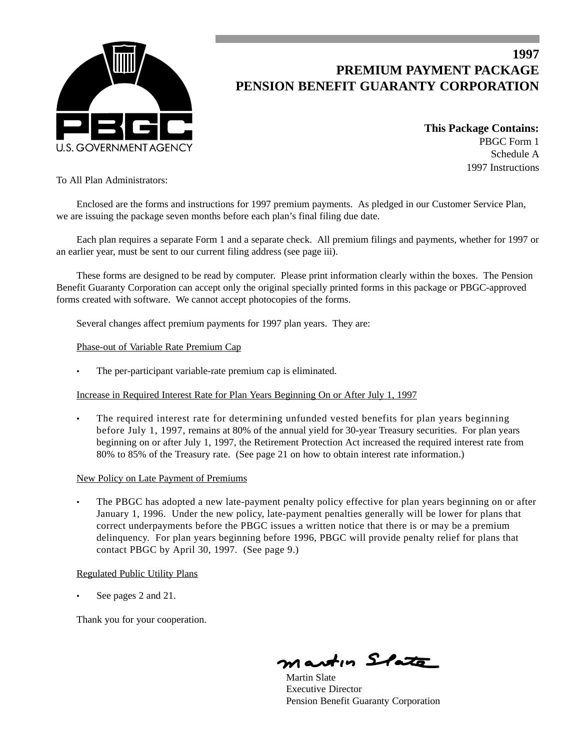

## **1997 PREMIUM PAYMENT PACKAGE PENSION BENEFIT GUARANTY CORPORATION**

**This Package Contains:** PBGC Form 1 Schedule A

1997 Instructions

To All Plan Administrators:

Enclosed are the forms and instructions for 1997 premium payments. As pledged in our Customer Service Plan, we are issuing the package seven months before each plan's final filing due date.

Each plan requires a separate Form 1 and a separate check. All premium filings and payments, whether for 1997 or an earlier year, must be sent to our current filing address (see page iii).

These forms are designed to be read by computer. Please print information clearly within the boxes. The Pension Benefit Guaranty Corporation can accept only the original specially printed forms in this package or PBGC-approved forms created with software. We cannot accept photocopies of the forms.

Several changes affect premium payments for 1997 plan years. They are:

### Phase-out of Variable Rate Premium Cap

The per-participant variable-rate premium cap is eliminated.

Increase in Required Interest Rate for Plan Years Beginning On or After July 1, 1997

The required interest rate for determining unfunded vested benefits for plan years beginning before July 1, 1997, remains at 80% of the annual yield for 30-year Treasury securities. For plan years beginning on or after July 1, 1997, the Retirement Protection Act increased the required interest rate from 80% to 85% of the Treasury rate. (See page 21 on how to obtain interest rate information.)

### New Policy on Late Payment of Premiums

• The PBGC has adopted a new late-payment penalty policy effective for plan years beginning on or after January 1, 1996. Under the new policy, late-payment penalties generally will be lower for plans that correct underpayments before the PBGC issues a written notice that there is or may be a premium delinquency. For plan years beginning before 1996, PBGC will provide penalty relief for plans that contact PBGC by April 30, 1997. (See page 9.)

### Regulated Public Utility Plans

See pages 2 and 21.

Thank you for your cooperation.

Martin Slate

Martin Slate Executive Director Pension Benefit Guaranty Corporation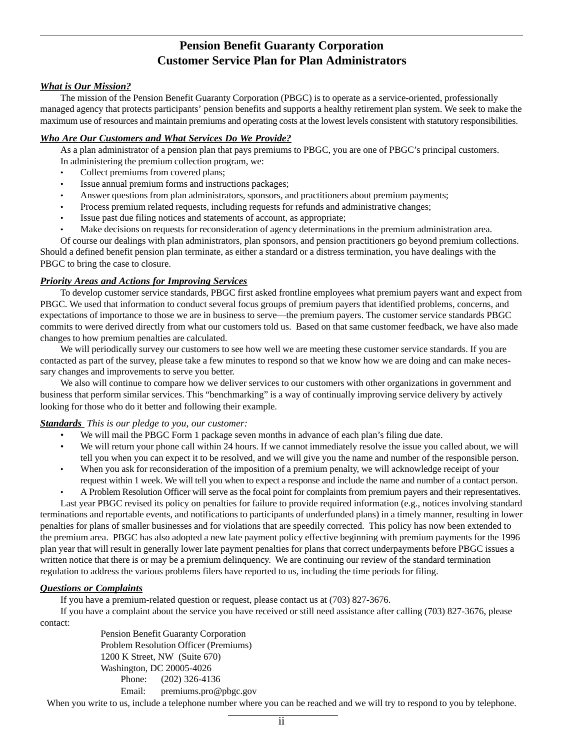## **Pension Benefit Guaranty Corporation Customer Service Plan for Plan Administrators**

### *What is Our Mission?*

The mission of the Pension Benefit Guaranty Corporation (PBGC) is to operate as a service-oriented, professionally managed agency that protects participants' pension benefits and supports a healthy retirement plan system. We seek to make the maximum use of resources and maintain premiums and operating costs at the lowest levels consistent with statutory responsibilities.

### *Who Are Our Customers and What Services Do We Provide?*

As a plan administrator of a pension plan that pays premiums to PBGC, you are one of PBGC's principal customers. In administering the premium collection program, we:

- Collect premiums from covered plans;
- Issue annual premium forms and instructions packages;
- Answer questions from plan administrators, sponsors, and practitioners about premium payments;
- Process premium related requests, including requests for refunds and administrative changes;
- Issue past due filing notices and statements of account, as appropriate;
- Make decisions on requests for reconsideration of agency determinations in the premium administration area.

Of course our dealings with plan administrators, plan sponsors, and pension practitioners go beyond premium collections. Should a defined benefit pension plan terminate, as either a standard or a distress termination, you have dealings with the PBGC to bring the case to closure.

### *Priority Areas and Actions for Improving Services*

To develop customer service standards, PBGC first asked frontline employees what premium payers want and expect from PBGC. We used that information to conduct several focus groups of premium payers that identified problems, concerns, and expectations of importance to those we are in business to serve—the premium payers. The customer service standards PBGC commits to were derived directly from what our customers told us. Based on that same customer feedback, we have also made changes to how premium penalties are calculated.

We will periodically survey our customers to see how well we are meeting these customer service standards. If you are contacted as part of the survey, please take a few minutes to respond so that we know how we are doing and can make necessary changes and improvements to serve you better.

We also will continue to compare how we deliver services to our customers with other organizations in government and business that perform similar services. This "benchmarking" is a way of continually improving service delivery by actively looking for those who do it better and following their example.

### *Standards This is our pledge to you, our customer:*

- We will mail the PBGC Form 1 package seven months in advance of each plan's filing due date.
- We will return your phone call within 24 hours. If we cannot immediately resolve the issue you called about, we will tell you when you can expect it to be resolved, and we will give you the name and number of the responsible person.
- When you ask for reconsideration of the imposition of a premium penalty, we will acknowledge receipt of your request within 1 week. We will tell you when to expect a response and include the name and number of a contact person.
- A Problem Resolution Officer will serve as the focal point for complaints from premium payers and their representatives.

Last year PBGC revised its policy on penalties for failure to provide required information (e.g., notices involving standard terminations and reportable events, and notifications to participants of underfunded plans) in a timely manner, resulting in lower penalties for plans of smaller businesses and for violations that are speedily corrected. This policy has now been extended to the premium area. PBGC has also adopted a new late payment policy effective beginning with premium payments for the 1996 plan year that will result in generally lower late payment penalties for plans that correct underpayments before PBGC issues a written notice that there is or may be a premium delinquency. We are continuing our review of the standard termination regulation to address the various problems filers have reported to us, including the time periods for filing.

### *Questions or Complaints*

If you have a premium-related question or request, please contact us at (703) 827-3676.

If you have a complaint about the service you have received or still need assistance after calling (703) 827-3676, please contact:

> Pension Benefit Guaranty Corporation Problem Resolution Officer (Premiums) 1200 K Street, NW (Suite 670) Washington, DC 20005-4026 Phone: (202) 326-4136 Email: premiums.pro@pbgc.gov

When you write to us, include a telephone number where you can be reached and we will try to respond to you by telephone.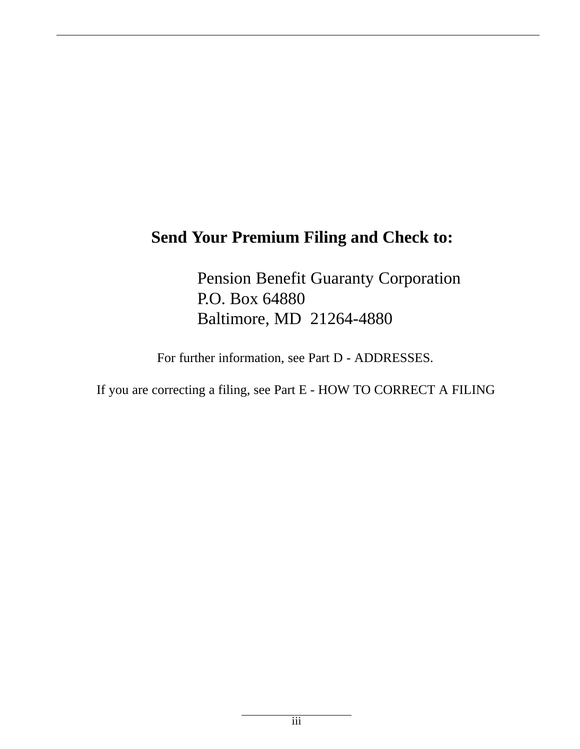# **Send Your Premium Filing and Check to:**

Pension Benefit Guaranty Corporation P.O. Box 64880 Baltimore, MD 21264-4880

For further information, see Part D - ADDRESSES.

If you are correcting a filing, see Part E - HOW TO CORRECT A FILING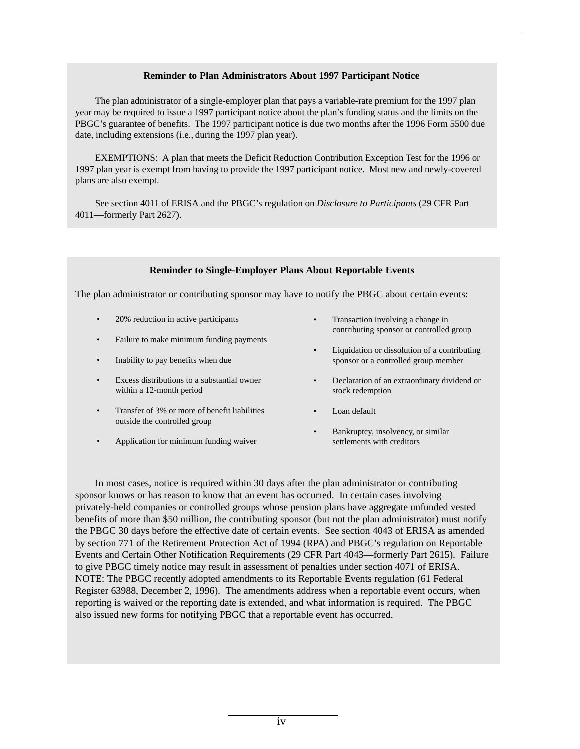### **Reminder to Plan Administrators About 1997 Participant Notice**

The plan administrator of a single-employer plan that pays a variable-rate premium for the 1997 plan year may be required to issue a 1997 participant notice about the plan's funding status and the limits on the PBGC's guarantee of benefits. The 1997 participant notice is due two months after the 1996 Form 5500 due date, including extensions (i.e., during the 1997 plan year).

EXEMPTIONS: A plan that meets the Deficit Reduction Contribution Exception Test for the 1996 or 1997 plan year is exempt from having to provide the 1997 participant notice. Most new and newly-covered plans are also exempt.

See section 4011 of ERISA and the PBGC's regulation on *Disclosure to Participants* (29 CFR Part 4011—formerly Part 2627).

### **Reminder to Single-Employer Plans About Reportable Events**

The plan administrator or contributing sponsor may have to notify the PBGC about certain events:

- 20% reduction in active participants
- Failure to make minimum funding payments
- Inability to pay benefits when due
- Excess distributions to a substantial owner within a 12-month period
- Transfer of 3% or more of benefit liabilities outside the controlled group
- Application for minimum funding waiver
- Transaction involving a change in contributing sponsor or controlled group
- Liquidation or dissolution of a contributing sponsor or a controlled group member
- Declaration of an extraordinary dividend or stock redemption
- Loan default
- Bankruptcy, insolvency, or similar settlements with creditors

In most cases, notice is required within 30 days after the plan administrator or contributing sponsor knows or has reason to know that an event has occurred. In certain cases involving privately-held companies or controlled groups whose pension plans have aggregate unfunded vested benefits of more than \$50 million, the contributing sponsor (but not the plan administrator) must notify the PBGC 30 days before the effective date of certain events. See section 4043 of ERISA as amended by section 771 of the Retirement Protection Act of 1994 (RPA) and PBGC's regulation on Reportable Events and Certain Other Notification Requirements (29 CFR Part 4043—formerly Part 2615). Failure to give PBGC timely notice may result in assessment of penalties under section 4071 of ERISA. NOTE: The PBGC recently adopted amendments to its Reportable Events regulation (61 Federal Register 63988, December 2, 1996). The amendments address when a reportable event occurs, when reporting is waived or the reporting date is extended, and what information is required. The PBGC also issued new forms for notifying PBGC that a reportable event has occurred.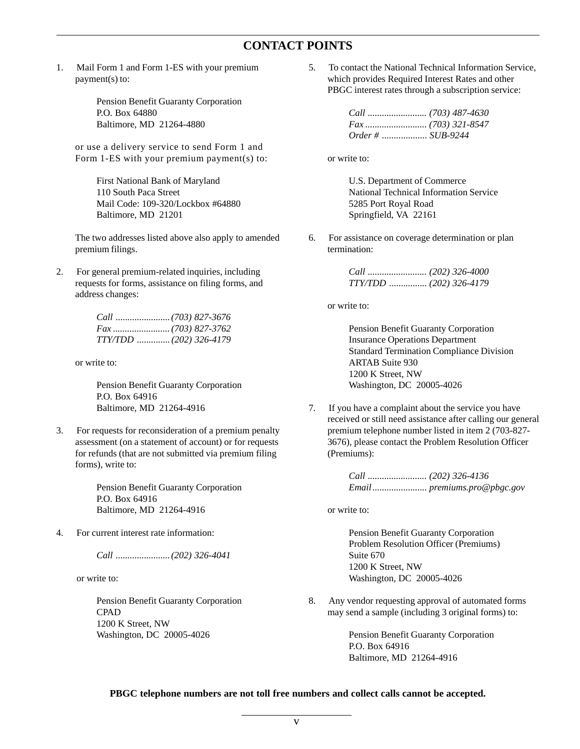## **CONTACT POINTS**

1. Mail Form 1 and Form 1-ES with your premium payment(s) to:

> Pension Benefit Guaranty Corporation P.O. Box 64880 Baltimore, MD 21264-4880

or use a delivery service to send Form 1 and Form 1-ES with your premium payment(s) to:

> First National Bank of Maryland 110 South Paca Street Mail Code: 109-320/Lockbox #64880 Baltimore, MD 21201

The two addresses listed above also apply to amended premium filings.

2. For general premium-related inquiries, including requests for forms, assistance on filing forms, and address changes:

| TTY/TDD (202) 326-4179 |
|------------------------|

or write to:

Pension Benefit Guaranty Corporation P.O. Box 64916 Baltimore, MD 21264-4916

3. For requests for reconsideration of a premium penalty assessment (on a statement of account) or for requests for refunds (that are not submitted via premium filing forms), write to:

> Pension Benefit Guaranty Corporation P.O. Box 64916 Baltimore, MD 21264-4916

4. For current interest rate information:

*Call .......................(202) 326-4041*

or write to:

Pension Benefit Guaranty Corporation CPAD 1200 K Street, NW Washington, DC 20005-4026

5. To contact the National Technical Information Service, which provides Required Interest Rates and other PBGC interest rates through a subscription service:

or write to:

U.S. Department of Commerce National Technical Information Service 5285 Port Royal Road Springfield, VA 22161

6. For assistance on coverage determination or plan termination:

> *Call ......................... (202) 326-4000 TTY/TDD ................ (202) 326-4179*

or write to:

Pension Benefit Guaranty Corporation Insurance Operations Department Standard Termination Compliance Division ARTAB Suite 930 1200 K Street, NW Washington, DC 20005-4026

7. If you have a complaint about the service you have received or still need assistance after calling our general premium telephone number listed in item 2 (703-827- 3676), please contact the Problem Resolution Officer (Premiums):

> *Call ......................... (202) 326-4136 Email....................... premiums.pro@pbgc.gov*

or write to:

Pension Benefit Guaranty Corporation Problem Resolution Officer (Premiums) Suite 670 1200 K Street, NW Washington, DC 20005-4026

8. Any vendor requesting approval of automated forms may send a sample (including 3 original forms) to:

> Pension Benefit Guaranty Corporation P.O. Box 64916 Baltimore, MD 21264-4916

**PBGC telephone numbers are not toll free numbers and collect calls cannot be accepted.**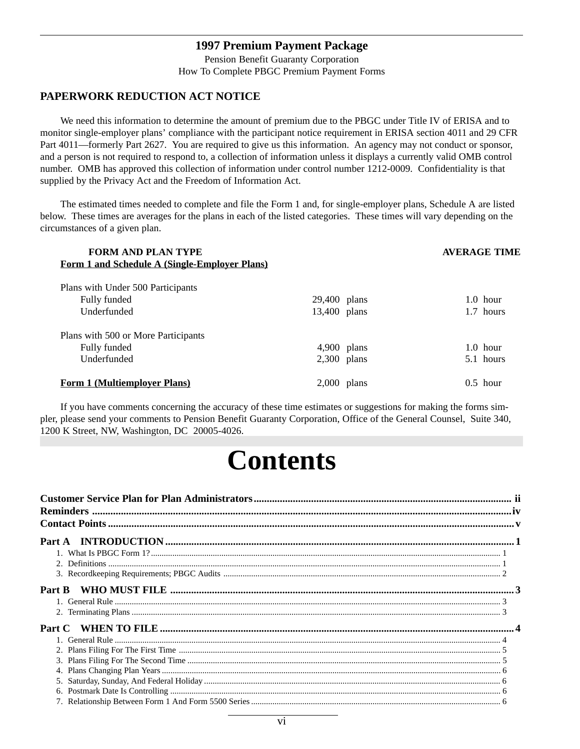### **1997 Premium Payment Package**

Pension Benefit Guaranty Corporation How To Complete PBGC Premium Payment Forms

### **PAPERWORK REDUCTION ACT NOTICE**

We need this information to determine the amount of premium due to the PBGC under Title IV of ERISA and to monitor single-employer plans' compliance with the participant notice requirement in ERISA section 4011 and 29 CFR Part 4011—formerly Part 2627. You are required to give us this information. An agency may not conduct or sponsor, and a person is not required to respond to, a collection of information unless it displays a currently valid OMB control number. OMB has approved this collection of information under control number 1212-0009. Confidentiality is that supplied by the Privacy Act and the Freedom of Information Act.

The estimated times needed to complete and file the Form 1 and, for single-employer plans, Schedule A are listed below. These times are averages for the plans in each of the listed categories. These times will vary depending on the circumstances of a given plan.

### **FORM AND PLAN TYPE AVERAGE TIME Form 1 and Schedule A (Single-Employer Plans)**

| Plans with Under 500 Participants   |               |            |
|-------------------------------------|---------------|------------|
| Fully funded                        | 29,400 plans  | $1.0$ hour |
| Underfunded                         | 13,400 plans  | 1.7 hours  |
| Plans with 500 or More Participants |               |            |
| Fully funded                        | $4,900$ plans | $1.0$ hour |
| Underfunded                         | $2,300$ plans | 5.1 hours  |
| <b>Form 1 (Multiemployer Plans)</b> | $2,000$ plans | $0.5$ hour |

If you have comments concerning the accuracy of these time estimates or suggestions for making the forms simpler, please send your comments to Pension Benefit Guaranty Corporation, Office of the General Counsel, Suite 340, 1200 K Street, NW, Washington, DC 20005-4026.

# **Contents**

| Part C |  |
|--------|--|
|        |  |
|        |  |
|        |  |
|        |  |
|        |  |
|        |  |
|        |  |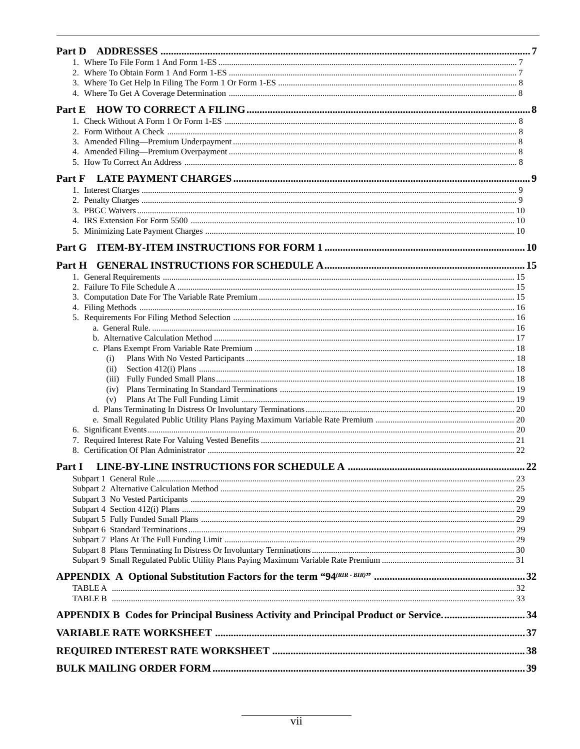| Part D                                                                              |     |
|-------------------------------------------------------------------------------------|-----|
|                                                                                     |     |
|                                                                                     |     |
|                                                                                     |     |
|                                                                                     |     |
|                                                                                     |     |
| Part E                                                                              |     |
|                                                                                     |     |
|                                                                                     |     |
|                                                                                     |     |
|                                                                                     |     |
|                                                                                     |     |
| Part F                                                                              |     |
|                                                                                     |     |
|                                                                                     |     |
|                                                                                     |     |
|                                                                                     |     |
|                                                                                     |     |
| Part G                                                                              |     |
|                                                                                     |     |
|                                                                                     |     |
|                                                                                     |     |
|                                                                                     |     |
|                                                                                     |     |
|                                                                                     |     |
|                                                                                     |     |
|                                                                                     |     |
|                                                                                     |     |
|                                                                                     |     |
| (i)                                                                                 |     |
| (ii)                                                                                |     |
|                                                                                     |     |
| (iv)                                                                                |     |
| (v)                                                                                 |     |
|                                                                                     |     |
|                                                                                     |     |
|                                                                                     |     |
|                                                                                     |     |
|                                                                                     |     |
|                                                                                     | .22 |
|                                                                                     |     |
|                                                                                     |     |
|                                                                                     |     |
|                                                                                     |     |
|                                                                                     |     |
|                                                                                     |     |
|                                                                                     |     |
|                                                                                     |     |
|                                                                                     |     |
|                                                                                     |     |
|                                                                                     |     |
|                                                                                     |     |
|                                                                                     |     |
| APPENDIX B Codes for Principal Business Activity and Principal Product or Service34 |     |
|                                                                                     |     |
|                                                                                     |     |
|                                                                                     |     |
|                                                                                     |     |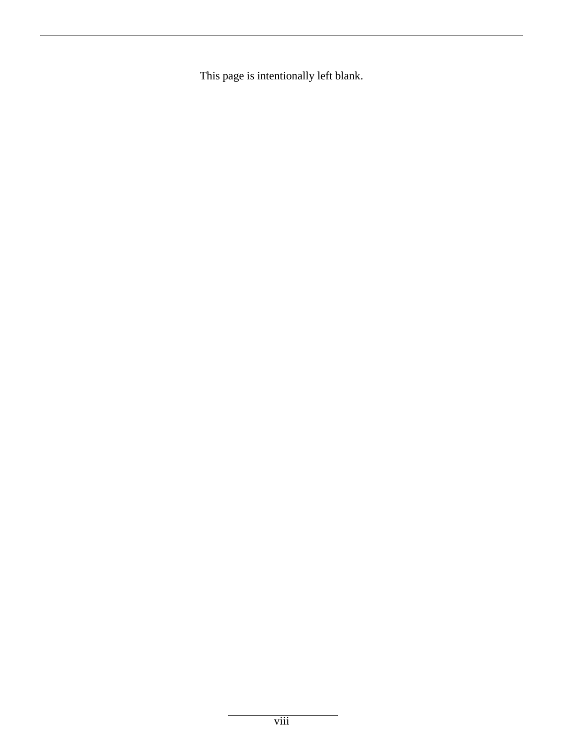This page is intentionally left blank.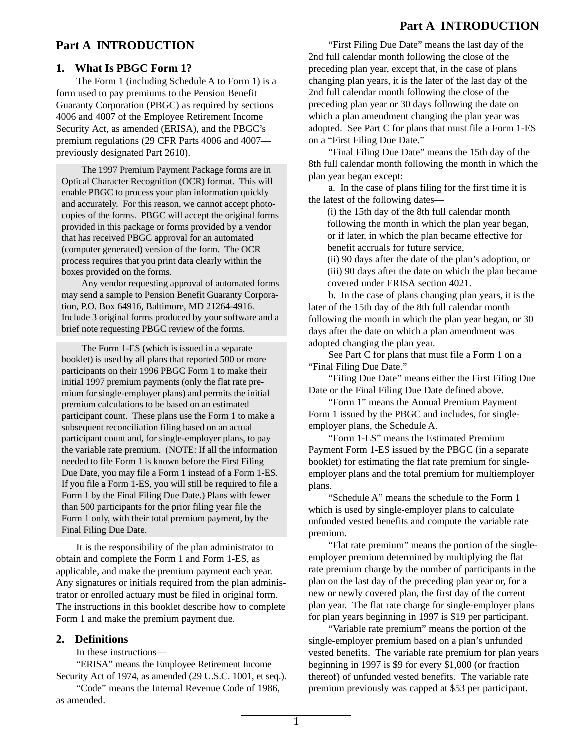## **Part A INTRODUCTION**

## **Part A INTRODUCTION**

### **1. What Is PBGC Form 1?**

The Form 1 (including Schedule A to Form 1) is a form used to pay premiums to the Pension Benefit Guaranty Corporation (PBGC) as required by sections 4006 and 4007 of the Employee Retirement Income Security Act, as amended (ERISA), and the PBGC's premium regulations (29 CFR Parts 4006 and 4007 previously designated Part 2610).

The 1997 Premium Payment Package forms are in Optical Character Recognition (OCR) format. This will enable PBGC to process your plan information quickly and accurately. For this reason, we cannot accept photocopies of the forms. PBGC will accept the original forms provided in this package or forms provided by a vendor that has received PBGC approval for an automated (computer generated) version of the form. The OCR process requires that you print data clearly within the boxes provided on the forms.

Any vendor requesting approval of automated forms may send a sample to Pension Benefit Guaranty Corporation, P.O. Box 64916, Baltimore, MD 21264-4916. Include 3 original forms produced by your software and a brief note requesting PBGC review of the forms.

The Form 1-ES (which is issued in a separate booklet) is used by all plans that reported 500 or more participants on their 1996 PBGC Form 1 to make their initial 1997 premium payments (only the flat rate premium for single-employer plans) and permits the initial premium calculations to be based on an estimated participant count. These plans use the Form 1 to make a subsequent reconciliation filing based on an actual participant count and, for single-employer plans, to pay the variable rate premium. (NOTE: If all the information needed to file Form 1 is known before the First Filing Due Date, you may file a Form 1 instead of a Form 1-ES. If you file a Form 1-ES, you will still be required to file a Form 1 by the Final Filing Due Date.) Plans with fewer than 500 participants for the prior filing year file the Form 1 only, with their total premium payment, by the Final Filing Due Date.

It is the responsibility of the plan administrator to obtain and complete the Form 1 and Form 1-ES, as applicable, and make the premium payment each year. Any signatures or initials required from the plan administrator or enrolled actuary must be filed in original form. The instructions in this booklet describe how to complete Form 1 and make the premium payment due.

### **2. Definitions**

In these instructions—

"ERISA" means the Employee Retirement Income Security Act of 1974, as amended (29 U.S.C. 1001, et seq.).

"Code" means the Internal Revenue Code of 1986, as amended.

"First Filing Due Date" means the last day of the 2nd full calendar month following the close of the preceding plan year, except that, in the case of plans changing plan years, it is the later of the last day of the 2nd full calendar month following the close of the preceding plan year or 30 days following the date on which a plan amendment changing the plan year was adopted. See Part C for plans that must file a Form 1-ES on a "First Filing Due Date."

"Final Filing Due Date" means the 15th day of the 8th full calendar month following the month in which the plan year began except:

a. In the case of plans filing for the first time it is the latest of the following dates—

(i) the 15th day of the 8th full calendar month following the month in which the plan year began, or if later, in which the plan became effective for benefit accruals for future service,

(ii) 90 days after the date of the plan's adoption, or (iii) 90 days after the date on which the plan became covered under ERISA section 4021.

b. In the case of plans changing plan years, it is the later of the 15th day of the 8th full calendar month following the month in which the plan year began, or 30 days after the date on which a plan amendment was adopted changing the plan year.

See Part C for plans that must file a Form 1 on a "Final Filing Due Date."

"Filing Due Date" means either the First Filing Due Date or the Final Filing Due Date defined above.

"Form 1" means the Annual Premium Payment Form 1 issued by the PBGC and includes, for singleemployer plans, the Schedule A.

"Form 1-ES" means the Estimated Premium Payment Form 1-ES issued by the PBGC (in a separate booklet) for estimating the flat rate premium for singleemployer plans and the total premium for multiemployer plans.

"Schedule A" means the schedule to the Form 1 which is used by single-employer plans to calculate unfunded vested benefits and compute the variable rate premium.

"Flat rate premium" means the portion of the singleemployer premium determined by multiplying the flat rate premium charge by the number of participants in the plan on the last day of the preceding plan year or, for a new or newly covered plan, the first day of the current plan year. The flat rate charge for single-employer plans for plan years beginning in 1997 is \$19 per participant.

"Variable rate premium" means the portion of the single-employer premium based on a plan's unfunded vested benefits. The variable rate premium for plan years beginning in 1997 is \$9 for every \$1,000 (or fraction thereof) of unfunded vested benefits. The variable rate premium previously was capped at \$53 per participant.

1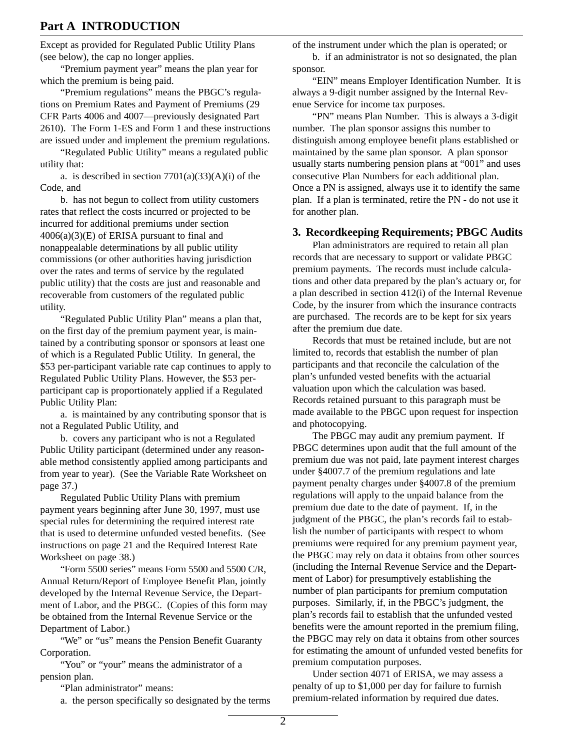## **Part A INTRODUCTION**

Except as provided for Regulated Public Utility Plans (see below), the cap no longer applies.

"Premium payment year" means the plan year for which the premium is being paid.

"Premium regulations" means the PBGC's regulations on Premium Rates and Payment of Premiums (29 CFR Parts 4006 and 4007—previously designated Part 2610). The Form 1-ES and Form 1 and these instructions are issued under and implement the premium regulations.

"Regulated Public Utility" means a regulated public utility that:

a. is described in section  $7701(a)(33)(A)(i)$  of the Code, and

b. has not begun to collect from utility customers rates that reflect the costs incurred or projected to be incurred for additional premiums under section 4006(a)(3)(E) of ERISA pursuant to final and nonappealable determinations by all public utility commissions (or other authorities having jurisdiction over the rates and terms of service by the regulated public utility) that the costs are just and reasonable and recoverable from customers of the regulated public utility.

"Regulated Public Utility Plan" means a plan that, on the first day of the premium payment year, is maintained by a contributing sponsor or sponsors at least one of which is a Regulated Public Utility. In general, the \$53 per-participant variable rate cap continues to apply to Regulated Public Utility Plans. However, the \$53 perparticipant cap is proportionately applied if a Regulated Public Utility Plan:

a. is maintained by any contributing sponsor that is not a Regulated Public Utility, and

b. covers any participant who is not a Regulated Public Utility participant (determined under any reasonable method consistently applied among participants and from year to year). (See the Variable Rate Worksheet on page 37.)

Regulated Public Utility Plans with premium payment years beginning after June 30, 1997, must use special rules for determining the required interest rate that is used to determine unfunded vested benefits. (See instructions on page 21 and the Required Interest Rate Worksheet on page 38.)

"Form 5500 series" means Form 5500 and 5500 C/R, Annual Return/Report of Employee Benefit Plan, jointly developed by the Internal Revenue Service, the Department of Labor, and the PBGC. (Copies of this form may be obtained from the Internal Revenue Service or the Department of Labor.)

"We" or "us" means the Pension Benefit Guaranty Corporation.

"You" or "your" means the administrator of a pension plan.

"Plan administrator" means:

a. the person specifically so designated by the terms

of the instrument under which the plan is operated; or

b. if an administrator is not so designated, the plan sponsor.

"EIN" means Employer Identification Number. It is always a 9-digit number assigned by the Internal Revenue Service for income tax purposes.

"PN" means Plan Number. This is always a 3-digit number. The plan sponsor assigns this number to distinguish among employee benefit plans established or maintained by the same plan sponsor. A plan sponsor usually starts numbering pension plans at "001" and uses consecutive Plan Numbers for each additional plan. Once a PN is assigned, always use it to identify the same plan. If a plan is terminated, retire the PN - do not use it for another plan.

### **3. Recordkeeping Requirements; PBGC Audits**

Plan administrators are required to retain all plan records that are necessary to support or validate PBGC premium payments. The records must include calculations and other data prepared by the plan's actuary or, for a plan described in section 412(i) of the Internal Revenue Code, by the insurer from which the insurance contracts are purchased. The records are to be kept for six years after the premium due date.

Records that must be retained include, but are not limited to, records that establish the number of plan participants and that reconcile the calculation of the plan's unfunded vested benefits with the actuarial valuation upon which the calculation was based. Records retained pursuant to this paragraph must be made available to the PBGC upon request for inspection and photocopying.

The PBGC may audit any premium payment. If PBGC determines upon audit that the full amount of the premium due was not paid, late payment interest charges under §4007.7 of the premium regulations and late payment penalty charges under §4007.8 of the premium regulations will apply to the unpaid balance from the premium due date to the date of payment. If, in the judgment of the PBGC, the plan's records fail to establish the number of participants with respect to whom premiums were required for any premium payment year, the PBGC may rely on data it obtains from other sources (including the Internal Revenue Service and the Department of Labor) for presumptively establishing the number of plan participants for premium computation purposes. Similarly, if, in the PBGC's judgment, the plan's records fail to establish that the unfunded vested benefits were the amount reported in the premium filing, the PBGC may rely on data it obtains from other sources for estimating the amount of unfunded vested benefits for premium computation purposes.

Under section 4071 of ERISA, we may assess a penalty of up to \$1,000 per day for failure to furnish premium-related information by required due dates.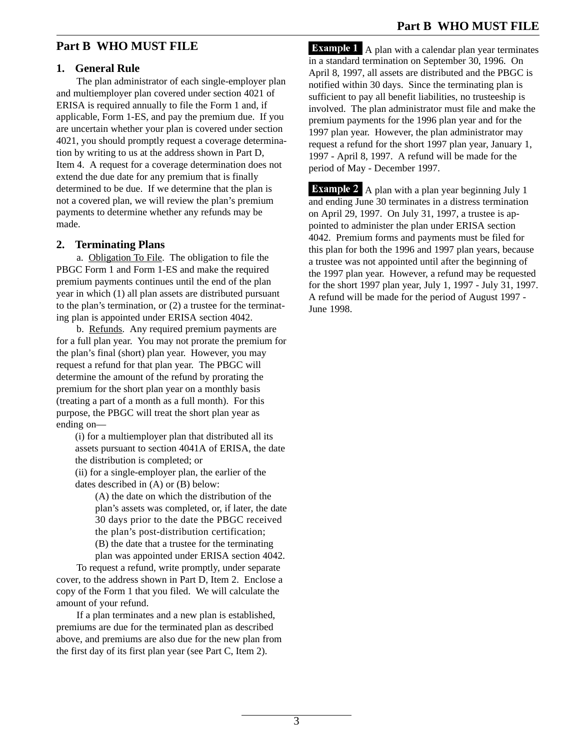## **Part B WHO MUST FILE**

### **1. General Rule**

The plan administrator of each single-employer plan and multiemployer plan covered under section 4021 of ERISA is required annually to file the Form 1 and, if applicable, Form 1-ES, and pay the premium due. If you are uncertain whether your plan is covered under section 4021, you should promptly request a coverage determination by writing to us at the address shown in Part D, Item 4. A request for a coverage determination does not extend the due date for any premium that is finally determined to be due. If we determine that the plan is not a covered plan, we will review the plan's premium payments to determine whether any refunds may be made.

### **2. Terminating Plans**

a. Obligation To File. The obligation to file the PBGC Form 1 and Form 1-ES and make the required premium payments continues until the end of the plan year in which (1) all plan assets are distributed pursuant to the plan's termination, or (2) a trustee for the terminating plan is appointed under ERISA section 4042.

b. Refunds. Any required premium payments are for a full plan year. You may not prorate the premium for the plan's final (short) plan year. However, you may request a refund for that plan year. The PBGC will determine the amount of the refund by prorating the premium for the short plan year on a monthly basis (treating a part of a month as a full month). For this purpose, the PBGC will treat the short plan year as ending on—

(i) for a multiemployer plan that distributed all its assets pursuant to section 4041A of ERISA, the date the distribution is completed; or

(ii) for a single-employer plan, the earlier of the dates described in (A) or (B) below:

> (A) the date on which the distribution of the plan's assets was completed, or, if later, the date 30 days prior to the date the PBGC received the plan's post-distribution certification;

(B) the date that a trustee for the terminating plan was appointed under ERISA section 4042.

To request a refund, write promptly, under separate cover, to the address shown in Part D, Item 2. Enclose a copy of the Form 1 that you filed. We will calculate the amount of your refund.

If a plan terminates and a new plan is established, premiums are due for the terminated plan as described above, and premiums are also due for the new plan from the first day of its first plan year (see Part C, Item 2).

**Example 1** A plan with a calendar plan year terminates in a standard termination on September 30, 1996. On April 8, 1997, all assets are distributed and the PBGC is notified within 30 days. Since the terminating plan is sufficient to pay all benefit liabilities, no trusteeship is involved. The plan administrator must file and make the premium payments for the 1996 plan year and for the 1997 plan year. However, the plan administrator may request a refund for the short 1997 plan year, January 1, 1997 - April 8, 1997. A refund will be made for the period of May - December 1997.

**Example 2** A plan with a plan year beginning July 1 and ending June 30 terminates in a distress termination on April 29, 1997. On July 31, 1997, a trustee is appointed to administer the plan under ERISA section 4042. Premium forms and payments must be filed for this plan for both the 1996 and 1997 plan years, because a trustee was not appointed until after the beginning of the 1997 plan year. However, a refund may be requested for the short 1997 plan year, July 1, 1997 - July 31, 1997. A refund will be made for the period of August 1997 - June 1998.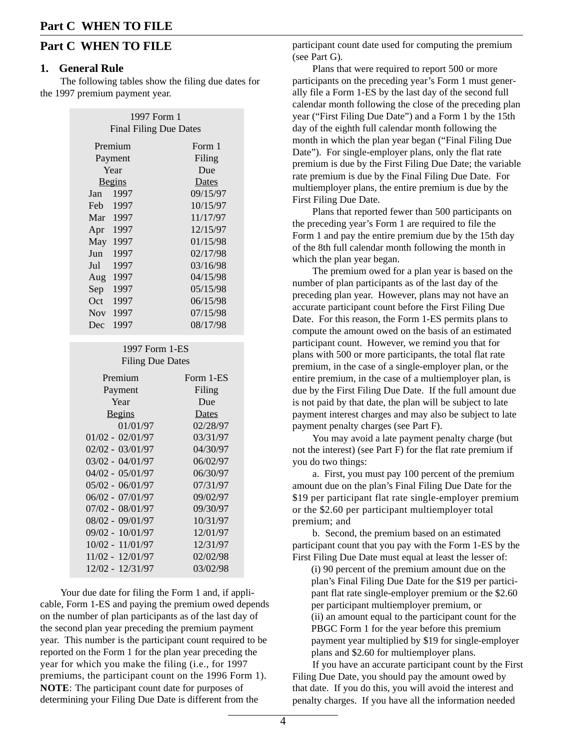## **Part C WHEN TO FILE**

### **1. General Rule**

The following tables show the filing due dates for the 1997 premium payment year.

| 1997 Form 1                   |               |          |  |
|-------------------------------|---------------|----------|--|
| <b>Final Filing Due Dates</b> |               |          |  |
|                               | Premium       | Form 1   |  |
|                               | Payment       | Filing   |  |
|                               | Year          | Due      |  |
|                               | <b>Begins</b> | Dates    |  |
| Jan                           | 1997          | 09/15/97 |  |
| Feb                           | 1997          | 10/15/97 |  |
| Mar                           | 1997          | 11/17/97 |  |
| Apr                           | 1997          | 12/15/97 |  |
| May                           | 1997          | 01/15/98 |  |
| Jun                           | 1997          | 02/17/98 |  |
| Jul                           | 1997          | 03/16/98 |  |
| Aug                           | 1997          | 04/15/98 |  |
| Sep                           | 1997          | 05/15/98 |  |
| Oct                           | 1997          | 06/15/98 |  |
| Nov                           | 1997          | 07/15/98 |  |
| Dec                           | 1997          | 08/17/98 |  |

### 1997 Form 1-ES Filing Due Dates

| Premium            | Form 1-ES |
|--------------------|-----------|
| Payment            | Filing    |
| Year               | Due       |
| <u>Begins</u>      | Dates     |
| 01/01/97           | 02/28/97  |
| $01/02 - 02/01/97$ | 03/31/97  |
| $02/02 - 03/01/97$ | 04/30/97  |
| $03/02 - 04/01/97$ | 06/02/97  |
| $04/02 - 05/01/97$ | 06/30/97  |
| $05/02 - 06/01/97$ | 07/31/97  |
| 06/02 - 07/01/97   | 09/02/97  |
| 07/02 - 08/01/97   | 09/30/97  |
| $08/02 - 09/01/97$ | 10/31/97  |
| 09/02 - 10/01/97   | 12/01/97  |
| $10/02 - 11/01/97$ | 12/31/97  |
| 11/02 - 12/01/97   | 02/02/98  |
| 12/02 - 12/31/97   | 03/02/98  |

Your due date for filing the Form 1 and, if applicable, Form 1-ES and paying the premium owed depends on the number of plan participants as of the last day of the second plan year preceding the premium payment year. This number is the participant count required to be reported on the Form 1 for the plan year preceding the year for which you make the filing (i.e., for 1997 premiums, the participant count on the 1996 Form 1). **NOTE**: The participant count date for purposes of determining your Filing Due Date is different from the

participant count date used for computing the premium (see Part G).

Plans that were required to report 500 or more participants on the preceding year's Form 1 must generally file a Form 1-ES by the last day of the second full calendar month following the close of the preceding plan year ("First Filing Due Date") and a Form 1 by the 15th day of the eighth full calendar month following the month in which the plan year began ("Final Filing Due Date"). For single-employer plans, only the flat rate premium is due by the First Filing Due Date; the variable rate premium is due by the Final Filing Due Date. For multiemployer plans, the entire premium is due by the First Filing Due Date.

Plans that reported fewer than 500 participants on the preceding year's Form 1 are required to file the Form 1 and pay the entire premium due by the 15th day of the 8th full calendar month following the month in which the plan year began.

The premium owed for a plan year is based on the number of plan participants as of the last day of the preceding plan year. However, plans may not have an accurate participant count before the First Filing Due Date. For this reason, the Form 1-ES permits plans to compute the amount owed on the basis of an estimated participant count. However, we remind you that for plans with 500 or more participants, the total flat rate premium, in the case of a single-employer plan, or the entire premium, in the case of a multiemployer plan, is due by the First Filing Due Date. If the full amount due is not paid by that date, the plan will be subject to late payment interest charges and may also be subject to late payment penalty charges (see Part F).

You may avoid a late payment penalty charge (but not the interest) (see Part F) for the flat rate premium if you do two things:

a. First, you must pay 100 percent of the premium amount due on the plan's Final Filing Due Date for the \$19 per participant flat rate single-employer premium or the \$2.60 per participant multiemployer total premium; and

b. Second, the premium based on an estimated participant count that you pay with the Form 1-ES by the First Filing Due Date must equal at least the lesser of:

(i) 90 percent of the premium amount due on the plan's Final Filing Due Date for the \$19 per participant flat rate single-employer premium or the \$2.60 per participant multiemployer premium, or (ii) an amount equal to the participant count for the PBGC Form 1 for the year before this premium payment year multiplied by \$19 for single-employer plans and \$2.60 for multiemployer plans.

If you have an accurate participant count by the First Filing Due Date, you should pay the amount owed by that date. If you do this, you will avoid the interest and penalty charges. If you have all the information needed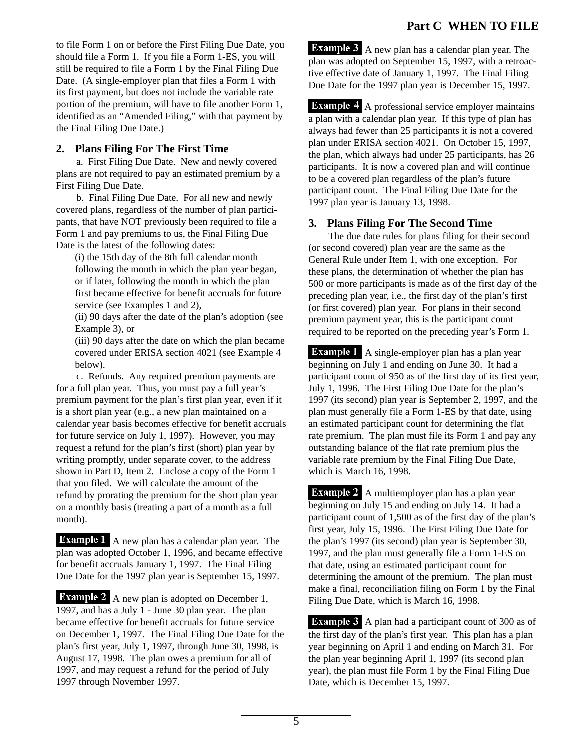to file Form 1 on or before the First Filing Due Date, you should file a Form 1. If you file a Form 1-ES, you will still be required to file a Form 1 by the Final Filing Due Date. (A single-employer plan that files a Form 1 with its first payment, but does not include the variable rate portion of the premium, will have to file another Form 1, identified as an "Amended Filing," with that payment by the Final Filing Due Date.)

## **2. Plans Filing For The First Time**

a. First Filing Due Date. New and newly covered plans are not required to pay an estimated premium by a First Filing Due Date.

b. Final Filing Due Date. For all new and newly covered plans, regardless of the number of plan participants, that have NOT previously been required to file a Form 1 and pay premiums to us, the Final Filing Due Date is the latest of the following dates:

(i) the 15th day of the 8th full calendar month following the month in which the plan year began, or if later, following the month in which the plan first became effective for benefit accruals for future service (see Examples 1 and 2),

(ii) 90 days after the date of the plan's adoption (see Example 3), or

(iii) 90 days after the date on which the plan became covered under ERISA section 4021 (see Example 4 below).

c. Refunds. Any required premium payments are for a full plan year. Thus, you must pay a full year's premium payment for the plan's first plan year, even if it is a short plan year (e.g., a new plan maintained on a calendar year basis becomes effective for benefit accruals for future service on July 1, 1997). However, you may request a refund for the plan's first (short) plan year by writing promptly, under separate cover, to the address shown in Part D, Item 2. Enclose a copy of the Form 1 that you filed. We will calculate the amount of the refund by prorating the premium for the short plan year on a monthly basis (treating a part of a month as a full month).

**Example 1** A new plan has a calendar plan year. The plan was adopted October 1, 1996, and became effective for benefit accruals January 1, 1997. The Final Filing Due Date for the 1997 plan year is September 15, 1997.

**Example 2** A new plan is adopted on December 1, 1997, and has a July 1 - June 30 plan year. The plan became effective for benefit accruals for future service on December 1, 1997. The Final Filing Due Date for the plan's first year, July 1, 1997, through June 30, 1998, is August 17, 1998. The plan owes a premium for all of 1997, and may request a refund for the period of July 1997 through November 1997.

Example 3 A new plan has a calendar plan year. The plan was adopted on September 15, 1997, with a retroactive effective date of January 1, 1997. The Final Filing Due Date for the 1997 plan year is December 15, 1997.

**Example 4** A professional service employer maintains a plan with a calendar plan year. If this type of plan has always had fewer than 25 participants it is not a covered plan under ERISA section 4021. On October 15, 1997, the plan, which always had under 25 participants, has 26 participants. It is now a covered plan and will continue to be a covered plan regardless of the plan's future participant count. The Final Filing Due Date for the 1997 plan year is January 13, 1998.

## **3. Plans Filing For The Second Time**

The due date rules for plans filing for their second (or second covered) plan year are the same as the General Rule under Item 1, with one exception. For these plans, the determination of whether the plan has 500 or more participants is made as of the first day of the preceding plan year, i.e., the first day of the plan's first (or first covered) plan year. For plans in their second premium payment year, this is the participant count required to be reported on the preceding year's Form 1.

**Example 1** A single-employer plan has a plan year beginning on July 1 and ending on June 30. It had a participant count of 950 as of the first day of its first year, July 1, 1996. The First Filing Due Date for the plan's 1997 (its second) plan year is September 2, 1997, and the plan must generally file a Form 1-ES by that date, using an estimated participant count for determining the flat rate premium. The plan must file its Form 1 and pay any outstanding balance of the flat rate premium plus the variable rate premium by the Final Filing Due Date, which is March 16, 1998.

**Example 2** A multiemployer plan has a plan year beginning on July 15 and ending on July 14. It had a participant count of 1,500 as of the first day of the plan's first year, July 15, 1996. The First Filing Due Date for the plan's 1997 (its second) plan year is September 30, 1997, and the plan must generally file a Form 1-ES on that date, using an estimated participant count for determining the amount of the premium. The plan must make a final, reconciliation filing on Form 1 by the Final Filing Due Date, which is March 16, 1998.

**Example 3** A plan had a participant count of 300 as of the first day of the plan's first year. This plan has a plan year beginning on April 1 and ending on March 31. For the plan year beginning April 1, 1997 (its second plan year), the plan must file Form 1 by the Final Filing Due Date, which is December 15, 1997.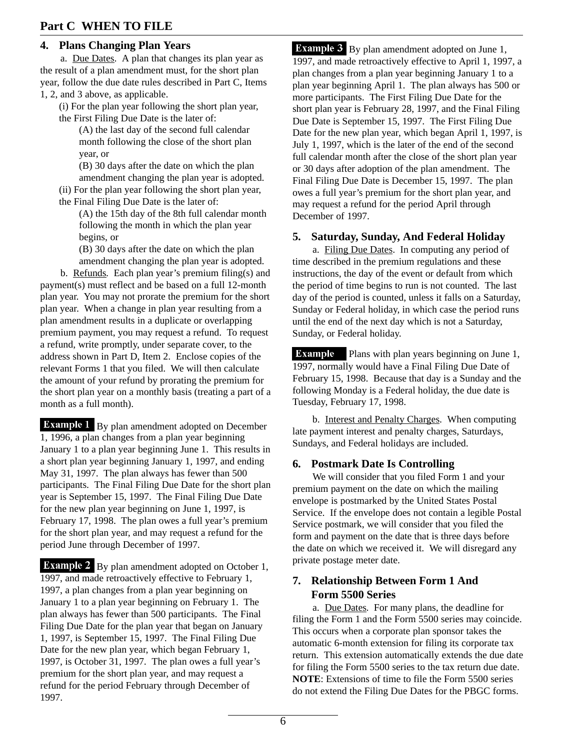## **Part C WHEN TO FILE**

### **4. Plans Changing Plan Years**

a. Due Dates. A plan that changes its plan year as the result of a plan amendment must, for the short plan year, follow the due date rules described in Part C, Items 1, 2, and 3 above, as applicable.

(i) For the plan year following the short plan year, the First Filing Due Date is the later of:

(A) the last day of the second full calendar month following the close of the short plan year, or

(B) 30 days after the date on which the plan amendment changing the plan year is adopted.

(ii) For the plan year following the short plan year, the Final Filing Due Date is the later of:

(A) the 15th day of the 8th full calendar month following the month in which the plan year begins, or

(B) 30 days after the date on which the plan amendment changing the plan year is adopted.

b. Refunds. Each plan year's premium filing(s) and payment(s) must reflect and be based on a full 12-month plan year. You may not prorate the premium for the short plan year. When a change in plan year resulting from a plan amendment results in a duplicate or overlapping premium payment, you may request a refund. To request a refund, write promptly, under separate cover, to the address shown in Part D, Item 2. Enclose copies of the relevant Forms 1 that you filed. We will then calculate the amount of your refund by prorating the premium for the short plan year on a monthly basis (treating a part of a month as a full month).

**Example 1** By plan amendment adopted on December 1, 1996, a plan changes from a plan year beginning January 1 to a plan year beginning June 1. This results in a short plan year beginning January 1, 1997, and ending May 31, 1997. The plan always has fewer than 500 participants. The Final Filing Due Date for the short plan year is September 15, 1997. The Final Filing Due Date for the new plan year beginning on June 1, 1997, is February 17, 1998. The plan owes a full year's premium for the short plan year, and may request a refund for the period June through December of 1997.

**Example 2** By plan amendment adopted on October 1, 1997, and made retroactively effective to February 1, 1997, a plan changes from a plan year beginning on January 1 to a plan year beginning on February 1. The plan always has fewer than 500 participants. The Final Filing Due Date for the plan year that began on January 1, 1997, is September 15, 1997. The Final Filing Due Date for the new plan year, which began February 1, 1997, is October 31, 1997. The plan owes a full year's premium for the short plan year, and may request a refund for the period February through December of 1997.

**Example 3** By plan amendment adopted on June 1, 1997, and made retroactively effective to April 1, 1997, a plan changes from a plan year beginning January 1 to a plan year beginning April 1. The plan always has 500 or more participants. The First Filing Due Date for the short plan year is February 28, 1997, and the Final Filing Due Date is September 15, 1997. The First Filing Due Date for the new plan year, which began April 1, 1997, is July 1, 1997, which is the later of the end of the second full calendar month after the close of the short plan year or 30 days after adoption of the plan amendment. The Final Filing Due Date is December 15, 1997. The plan owes a full year's premium for the short plan year, and may request a refund for the period April through December of 1997.

### **5. Saturday, Sunday, And Federal Holiday**

a. Filing Due Dates. In computing any period of time described in the premium regulations and these instructions, the day of the event or default from which the period of time begins to run is not counted. The last day of the period is counted, unless it falls on a Saturday, Sunday or Federal holiday, in which case the period runs until the end of the next day which is not a Saturday, Sunday, or Federal holiday.

**Example** Plans with plan years beginning on June 1, 1997, normally would have a Final Filing Due Date of February 15, 1998. Because that day is a Sunday and the following Monday is a Federal holiday, the due date is Tuesday, February 17, 1998.

b. Interest and Penalty Charges. When computing late payment interest and penalty charges, Saturdays, Sundays, and Federal holidays are included.

### **6. Postmark Date Is Controlling**

We will consider that you filed Form 1 and your premium payment on the date on which the mailing envelope is postmarked by the United States Postal Service. If the envelope does not contain a legible Postal Service postmark, we will consider that you filed the form and payment on the date that is three days before the date on which we received it. We will disregard any private postage meter date.

## **7. Relationship Between Form 1 And Form 5500 Series**

a. Due Dates. For many plans, the deadline for filing the Form 1 and the Form 5500 series may coincide. This occurs when a corporate plan sponsor takes the automatic 6-month extension for filing its corporate tax return. This extension automatically extends the due date for filing the Form 5500 series to the tax return due date. **NOTE**: Extensions of time to file the Form 5500 series do not extend the Filing Due Dates for the PBGC forms.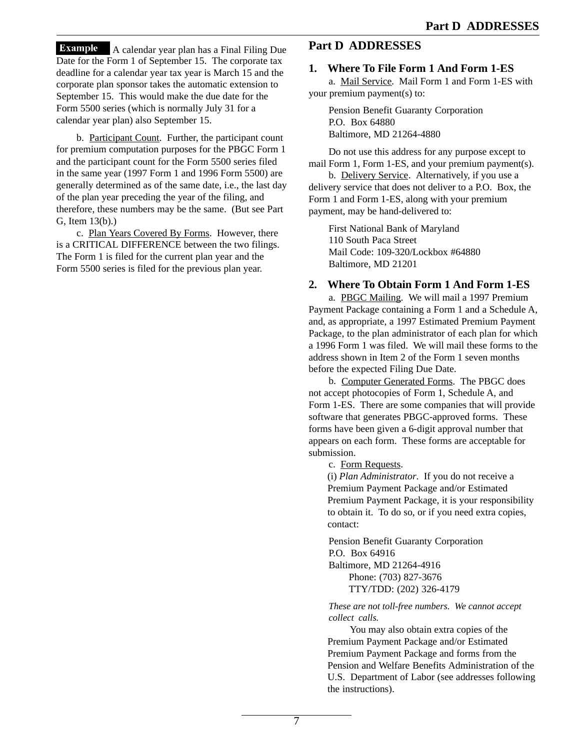**Example** A calendar year plan has a Final Filing Due Date for the Form 1 of September 15. The corporate tax deadline for a calendar year tax year is March 15 and the corporate plan sponsor takes the automatic extension to September 15. This would make the due date for the Form 5500 series (which is normally July 31 for a calendar year plan) also September 15.

b. Participant Count. Further, the participant count for premium computation purposes for the PBGC Form 1 and the participant count for the Form 5500 series filed in the same year (1997 Form 1 and 1996 Form 5500) are generally determined as of the same date, i.e., the last day of the plan year preceding the year of the filing, and therefore, these numbers may be the same. (But see Part G, Item 13(b).)

c. Plan Years Covered By Forms. However, there is a CRITICAL DIFFERENCE between the two filings. The Form 1 is filed for the current plan year and the Form 5500 series is filed for the previous plan year.

## **Part D ADDRESSES**

### **1. Where To File Form 1 And Form 1-ES**

a. Mail Service. Mail Form 1 and Form 1-ES with your premium payment(s) to:

Pension Benefit Guaranty Corporation P.O. Box 64880 Baltimore, MD 21264-4880

Do not use this address for any purpose except to mail Form 1, Form 1-ES, and your premium payment(s).

b. Delivery Service. Alternatively, if you use a delivery service that does not deliver to a P.O. Box, the Form 1 and Form 1-ES, along with your premium payment, may be hand-delivered to:

First National Bank of Maryland 110 South Paca Street Mail Code: 109-320/Lockbox #64880 Baltimore, MD 21201

### **2. Where To Obtain Form 1 And Form 1-ES**

a. PBGC Mailing. We will mail a 1997 Premium Payment Package containing a Form 1 and a Schedule A, and, as appropriate, a 1997 Estimated Premium Payment Package, to the plan administrator of each plan for which a 1996 Form 1 was filed. We will mail these forms to the address shown in Item 2 of the Form 1 seven months before the expected Filing Due Date.

b. Computer Generated Forms. The PBGC does not accept photocopies of Form 1, Schedule A, and Form 1-ES. There are some companies that will provide software that generates PBGC-approved forms. These forms have been given a 6-digit approval number that appears on each form. These forms are acceptable for submission.

c. Form Requests.

(i) *Plan Administrator*. If you do not receive a Premium Payment Package and/or Estimated Premium Payment Package, it is your responsibility to obtain it. To do so, or if you need extra copies, contact:

Pension Benefit Guaranty Corporation P.O. Box 64916 Baltimore, MD 21264-4916 Phone: (703) 827-3676 TTY/TDD: (202) 326-4179

*These are not toll-free numbers. We cannot accept collect calls.*

You may also obtain extra copies of the Premium Payment Package and/or Estimated Premium Payment Package and forms from the Pension and Welfare Benefits Administration of the U.S. Department of Labor (see addresses following the instructions).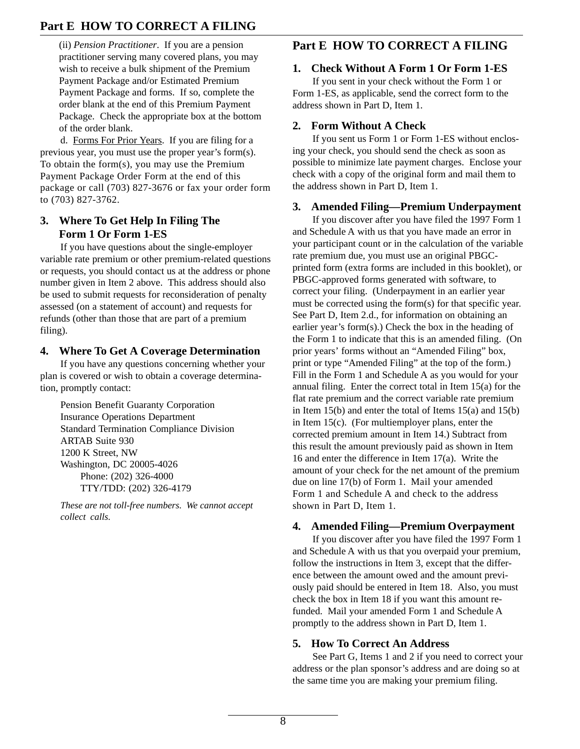## **Part E HOW TO CORRECT A FILING**

(ii) *Pension Practitioner*. If you are a pension practitioner serving many covered plans, you may wish to receive a bulk shipment of the Premium Payment Package and/or Estimated Premium Payment Package and forms. If so, complete the order blank at the end of this Premium Payment Package. Check the appropriate box at the bottom of the order blank.

d. Forms For Prior Years. If you are filing for a previous year, you must use the proper year's form(s). To obtain the form(s), you may use the Premium Payment Package Order Form at the end of this package or call (703) 827-3676 or fax your order form to (703) 827-3762.

## **3. Where To Get Help In Filing The Form 1 Or Form 1-ES**

If you have questions about the single-employer variable rate premium or other premium-related questions or requests, you should contact us at the address or phone number given in Item 2 above. This address should also be used to submit requests for reconsideration of penalty assessed (on a statement of account) and requests for refunds (other than those that are part of a premium filing).

## **4. Where To Get A Coverage Determination**

If you have any questions concerning whether your plan is covered or wish to obtain a coverage determination, promptly contact:

Pension Benefit Guaranty Corporation Insurance Operations Department Standard Termination Compliance Division ARTAB Suite 930 1200 K Street, NW Washington, DC 20005-4026 Phone: (202) 326-4000 TTY/TDD: (202) 326-4179

*These are not toll-free numbers. We cannot accept collect calls.*

## **Part E HOW TO CORRECT A FILING**

### **1. Check Without A Form 1 Or Form 1-ES**

If you sent in your check without the Form 1 or Form 1-ES, as applicable, send the correct form to the address shown in Part D, Item 1.

### **2. Form Without A Check**

If you sent us Form 1 or Form 1-ES without enclosing your check, you should send the check as soon as possible to minimize late payment charges. Enclose your check with a copy of the original form and mail them to the address shown in Part D, Item 1.

### **3. Amended Filing—Premium Underpayment**

If you discover after you have filed the 1997 Form 1 and Schedule A with us that you have made an error in your participant count or in the calculation of the variable rate premium due, you must use an original PBGCprinted form (extra forms are included in this booklet), or PBGC-approved forms generated with software, to correct your filing. (Underpayment in an earlier year must be corrected using the form(s) for that specific year. See Part D, Item 2.d., for information on obtaining an earlier year's form(s).) Check the box in the heading of the Form 1 to indicate that this is an amended filing. (On prior years' forms without an "Amended Filing" box, print or type "Amended Filing" at the top of the form.) Fill in the Form 1 and Schedule A as you would for your annual filing. Enter the correct total in Item 15(a) for the flat rate premium and the correct variable rate premium in Item 15(b) and enter the total of Items 15(a) and 15(b) in Item 15(c). (For multiemployer plans, enter the corrected premium amount in Item 14.) Subtract from this result the amount previously paid as shown in Item 16 and enter the difference in Item 17(a). Write the amount of your check for the net amount of the premium due on line 17(b) of Form 1. Mail your amended Form 1 and Schedule A and check to the address shown in Part D, Item 1.

### **4. Amended Filing—Premium Overpayment**

If you discover after you have filed the 1997 Form 1 and Schedule A with us that you overpaid your premium, follow the instructions in Item 3, except that the difference between the amount owed and the amount previously paid should be entered in Item 18. Also, you must check the box in Item 18 if you want this amount refunded. Mail your amended Form 1 and Schedule A promptly to the address shown in Part D, Item 1.

### **5. How To Correct An Address**

See Part G, Items 1 and 2 if you need to correct your address or the plan sponsor's address and are doing so at the same time you are making your premium filing.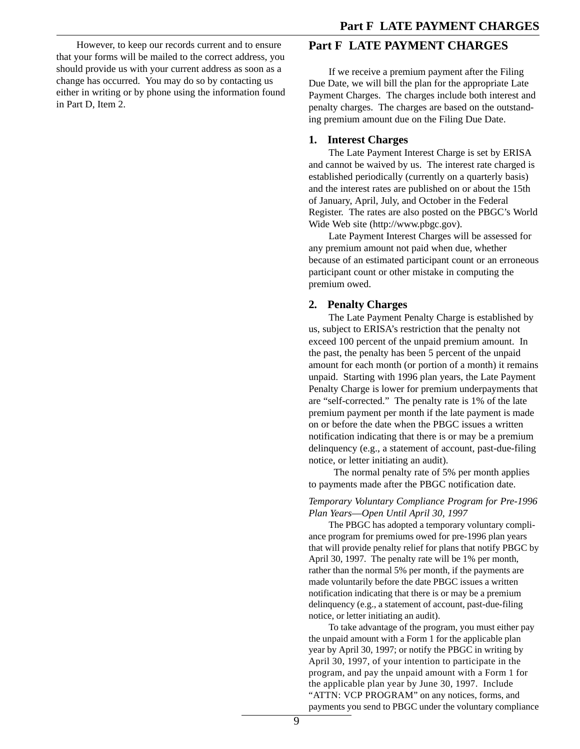However, to keep our records current and to ensure that your forms will be mailed to the correct address, you should provide us with your current address as soon as a change has occurred. You may do so by contacting us either in writing or by phone using the information found in Part D, Item 2.

## **Part F LATE PAYMENT CHARGES**

If we receive a premium payment after the Filing Due Date, we will bill the plan for the appropriate Late Payment Charges. The charges include both interest and penalty charges. The charges are based on the outstanding premium amount due on the Filing Due Date.

### **1. Interest Charges**

The Late Payment Interest Charge is set by ERISA and cannot be waived by us. The interest rate charged is established periodically (currently on a quarterly basis) and the interest rates are published on or about the 15th of January, April, July, and October in the Federal Register. The rates are also posted on the PBGC's World Wide Web site (http://www.pbgc.gov).

Late Payment Interest Charges will be assessed for any premium amount not paid when due, whether because of an estimated participant count or an erroneous participant count or other mistake in computing the premium owed.

### **2. Penalty Charges**

The Late Payment Penalty Charge is established by us, subject to ERISA's restriction that the penalty not exceed 100 percent of the unpaid premium amount. In the past, the penalty has been 5 percent of the unpaid amount for each month (or portion of a month) it remains unpaid. Starting with 1996 plan years, the Late Payment Penalty Charge is lower for premium underpayments that are "self-corrected." The penalty rate is 1% of the late premium payment per month if the late payment is made on or before the date when the PBGC issues a written notification indicating that there is or may be a premium delinquency (e.g., a statement of account, past-due-filing notice, or letter initiating an audit).

 The normal penalty rate of 5% per month applies to payments made after the PBGC notification date.

### *Temporary Voluntary Compliance Program for Pre-1996 Plan Years*—*Open Until April 30, 1997*

The PBGC has adopted a temporary voluntary compliance program for premiums owed for pre-1996 plan years that will provide penalty relief for plans that notify PBGC by April 30, 1997. The penalty rate will be 1% per month, rather than the normal 5% per month, if the payments are made voluntarily before the date PBGC issues a written notification indicating that there is or may be a premium delinquency (e.g., a statement of account, past-due-filing notice, or letter initiating an audit).

To take advantage of the program, you must either pay the unpaid amount with a Form 1 for the applicable plan year by April 30, 1997; or notify the PBGC in writing by April 30, 1997, of your intention to participate in the program, and pay the unpaid amount with a Form 1 for the applicable plan year by June 30, 1997. Include "ATTN: VCP PROGRAM" on any notices, forms, and payments you send to PBGC under the voluntary compliance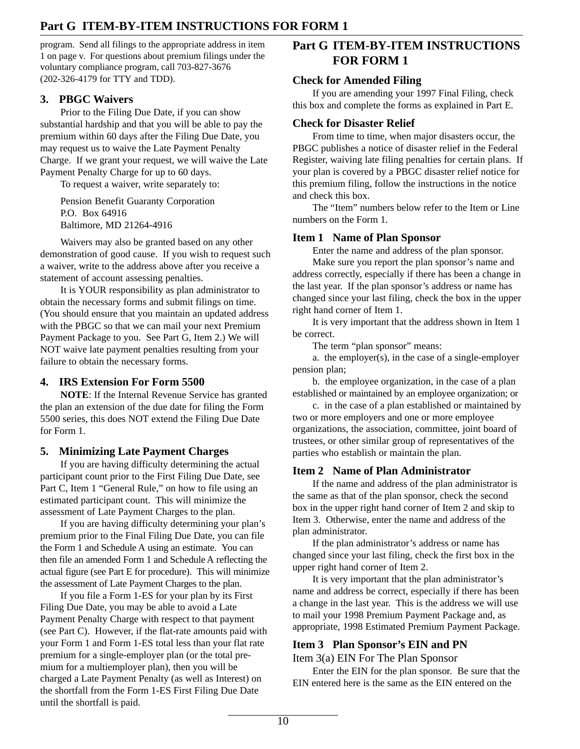program. Send all filings to the appropriate address in item 1 on page v. For questions about premium filings under the voluntary compliance program, call 703-827-3676 (202-326-4179 for TTY and TDD).

## **3. PBGC Waivers**

Prior to the Filing Due Date, if you can show substantial hardship and that you will be able to pay the premium within 60 days after the Filing Due Date, you may request us to waive the Late Payment Penalty Charge. If we grant your request, we will waive the Late Payment Penalty Charge for up to 60 days.

To request a waiver, write separately to:

Pension Benefit Guaranty Corporation P.O. Box 64916 Baltimore, MD 21264-4916

Waivers may also be granted based on any other demonstration of good cause. If you wish to request such a waiver, write to the address above after you receive a statement of account assessing penalties.

It is YOUR responsibility as plan administrator to obtain the necessary forms and submit filings on time. (You should ensure that you maintain an updated address with the PBGC so that we can mail your next Premium Payment Package to you. See Part G, Item 2.) We will NOT waive late payment penalties resulting from your failure to obtain the necessary forms.

### **4. IRS Extension For Form 5500**

**NOTE**: If the Internal Revenue Service has granted the plan an extension of the due date for filing the Form 5500 series, this does NOT extend the Filing Due Date for Form 1.

### **5. Minimizing Late Payment Charges**

If you are having difficulty determining the actual participant count prior to the First Filing Due Date, see Part C, Item 1 "General Rule," on how to file using an estimated participant count. This will minimize the assessment of Late Payment Charges to the plan.

If you are having difficulty determining your plan's premium prior to the Final Filing Due Date, you can file the Form 1 and Schedule A using an estimate. You can then file an amended Form 1 and Schedule A reflecting the actual figure (see Part E for procedure). This will minimize the assessment of Late Payment Charges to the plan.

If you file a Form 1-ES for your plan by its First Filing Due Date, you may be able to avoid a Late Payment Penalty Charge with respect to that payment (see Part C). However, if the flat-rate amounts paid with your Form 1 and Form 1-ES total less than your flat rate premium for a single-employer plan (or the total premium for a multiemployer plan), then you will be charged a Late Payment Penalty (as well as Interest) on the shortfall from the Form 1-ES First Filing Due Date until the shortfall is paid.

## **Part G ITEM-BY-ITEM INSTRUCTIONS FOR FORM 1**

### **Check for Amended Filing**

If you are amending your 1997 Final Filing, check this box and complete the forms as explained in Part E.

### **Check for Disaster Relief**

From time to time, when major disasters occur, the PBGC publishes a notice of disaster relief in the Federal Register, waiving late filing penalties for certain plans. If your plan is covered by a PBGC disaster relief notice for this premium filing, follow the instructions in the notice and check this box.

The "Item" numbers below refer to the Item or Line numbers on the Form 1.

### **Item 1 Name of Plan Sponsor**

Enter the name and address of the plan sponsor.

Make sure you report the plan sponsor's name and address correctly, especially if there has been a change in the last year. If the plan sponsor's address or name has changed since your last filing, check the box in the upper right hand corner of Item 1.

It is very important that the address shown in Item 1 be correct.

The term "plan sponsor" means:

a. the employer(s), in the case of a single-employer pension plan;

b. the employee organization, in the case of a plan established or maintained by an employee organization; or

c. in the case of a plan established or maintained by two or more employers and one or more employee organizations, the association, committee, joint board of trustees, or other similar group of representatives of the parties who establish or maintain the plan.

### **Item 2 Name of Plan Administrator**

If the name and address of the plan administrator is the same as that of the plan sponsor, check the second box in the upper right hand corner of Item 2 and skip to Item 3. Otherwise, enter the name and address of the plan administrator.

If the plan administrator's address or name has changed since your last filing, check the first box in the upper right hand corner of Item 2.

It is very important that the plan administrator's name and address be correct, especially if there has been a change in the last year. This is the address we will use to mail your 1998 Premium Payment Package and, as appropriate, 1998 Estimated Premium Payment Package.

### **Item 3 Plan Sponsor's EIN and PN**

Item 3(a) EIN For The Plan Sponsor

Enter the EIN for the plan sponsor. Be sure that the EIN entered here is the same as the EIN entered on the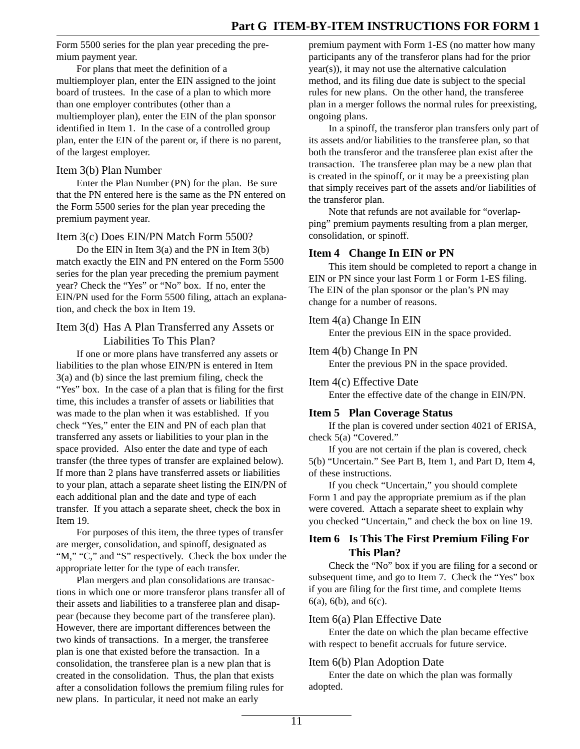Form 5500 series for the plan year preceding the premium payment year.

For plans that meet the definition of a multiemployer plan, enter the EIN assigned to the joint board of trustees. In the case of a plan to which more than one employer contributes (other than a multiemployer plan), enter the EIN of the plan sponsor identified in Item 1. In the case of a controlled group plan, enter the EIN of the parent or, if there is no parent, of the largest employer.

### Item 3(b) Plan Number

Enter the Plan Number (PN) for the plan. Be sure that the PN entered here is the same as the PN entered on the Form 5500 series for the plan year preceding the premium payment year.

### Item 3(c) Does EIN/PN Match Form 5500?

Do the EIN in Item 3(a) and the PN in Item 3(b) match exactly the EIN and PN entered on the Form 5500 series for the plan year preceding the premium payment year? Check the "Yes" or "No" box. If no, enter the EIN/PN used for the Form 5500 filing, attach an explanation, and check the box in Item 19.

### Item 3(d) Has A Plan Transferred any Assets or Liabilities To This Plan?

If one or more plans have transferred any assets or liabilities to the plan whose EIN/PN is entered in Item 3(a) and (b) since the last premium filing, check the "Yes" box. In the case of a plan that is filing for the first time, this includes a transfer of assets or liabilities that was made to the plan when it was established. If you check "Yes," enter the EIN and PN of each plan that transferred any assets or liabilities to your plan in the space provided. Also enter the date and type of each transfer (the three types of transfer are explained below). If more than 2 plans have transferred assets or liabilities to your plan, attach a separate sheet listing the EIN/PN of each additional plan and the date and type of each transfer. If you attach a separate sheet, check the box in Item 19.

For purposes of this item, the three types of transfer are merger, consolidation, and spinoff, designated as "M," "C," and "S" respectively. Check the box under the appropriate letter for the type of each transfer.

Plan mergers and plan consolidations are transactions in which one or more transferor plans transfer all of their assets and liabilities to a transferee plan and disappear (because they become part of the transferee plan). However, there are important differences between the two kinds of transactions. In a merger, the transferee plan is one that existed before the transaction. In a consolidation, the transferee plan is a new plan that is created in the consolidation. Thus, the plan that exists after a consolidation follows the premium filing rules for new plans. In particular, it need not make an early

premium payment with Form 1-ES (no matter how many participants any of the transferor plans had for the prior year(s)), it may not use the alternative calculation method, and its filing due date is subject to the special rules for new plans. On the other hand, the transferee plan in a merger follows the normal rules for preexisting, ongoing plans.

In a spinoff, the transferor plan transfers only part of its assets and/or liabilities to the transferee plan, so that both the transferor and the transferee plan exist after the transaction. The transferee plan may be a new plan that is created in the spinoff, or it may be a preexisting plan that simply receives part of the assets and/or liabilities of the transferor plan.

Note that refunds are not available for "overlapping" premium payments resulting from a plan merger, consolidation, or spinoff.

### **Item 4 Change In EIN or PN**

This item should be completed to report a change in EIN or PN since your last Form 1 or Form 1-ES filing. The EIN of the plan sponsor or the plan's PN may change for a number of reasons.

### Item 4(a) Change In EIN

Enter the previous EIN in the space provided.

### Item 4(b) Change In PN

Enter the previous PN in the space provided.

Item 4(c) Effective Date Enter the effective date of the change in EIN/PN.

### **Item 5 Plan Coverage Status**

If the plan is covered under section 4021 of ERISA, check 5(a) "Covered."

If you are not certain if the plan is covered, check 5(b) "Uncertain." See Part B, Item 1, and Part D, Item 4, of these instructions.

If you check "Uncertain," you should complete Form 1 and pay the appropriate premium as if the plan were covered. Attach a separate sheet to explain why you checked "Uncertain," and check the box on line 19.

### **Item 6 Is This The First Premium Filing For This Plan?**

Check the "No" box if you are filing for a second or subsequent time, and go to Item 7. Check the "Yes" box if you are filing for the first time, and complete Items 6(a), 6(b), and 6(c).

### Item 6(a) Plan Effective Date

Enter the date on which the plan became effective with respect to benefit accruals for future service.

### Item 6(b) Plan Adoption Date

Enter the date on which the plan was formally adopted.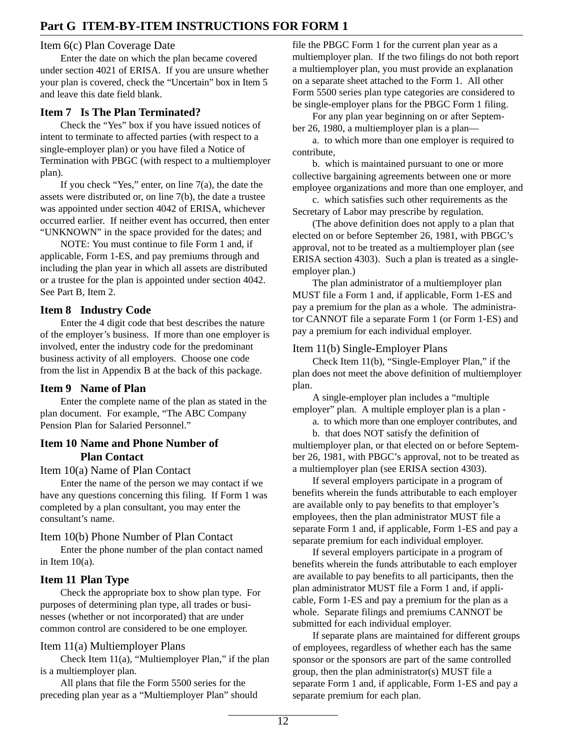## **Part G ITEM-BY-ITEM INSTRUCTIONS FOR FORM 1**

### Item 6(c) Plan Coverage Date

Enter the date on which the plan became covered under section 4021 of ERISA. If you are unsure whether your plan is covered, check the "Uncertain" box in Item 5 and leave this date field blank.

### **Item 7 Is The Plan Terminated?**

Check the "Yes" box if you have issued notices of intent to terminate to affected parties (with respect to a single-employer plan) or you have filed a Notice of Termination with PBGC (with respect to a multiemployer plan).

If you check "Yes," enter, on line 7(a), the date the assets were distributed or, on line 7(b), the date a trustee was appointed under section 4042 of ERISA, whichever occurred earlier. If neither event has occurred, then enter "UNKNOWN" in the space provided for the dates; and

NOTE: You must continue to file Form 1 and, if applicable, Form 1-ES, and pay premiums through and including the plan year in which all assets are distributed or a trustee for the plan is appointed under section 4042. See Part B, Item 2.

## **Item 8 Industry Code**

Enter the 4 digit code that best describes the nature of the employer's business. If more than one employer is involved, enter the industry code for the predominant business activity of all employers. Choose one code from the list in Appendix B at the back of this package.

### **Item 9 Name of Plan**

Enter the complete name of the plan as stated in the plan document. For example, "The ABC Company Pension Plan for Salaried Personnel."

## **Item 10 Name and Phone Number of Plan Contact**

Item 10(a) Name of Plan Contact

Enter the name of the person we may contact if we have any questions concerning this filing. If Form 1 was completed by a plan consultant, you may enter the consultant's name.

### Item 10(b) Phone Number of Plan Contact

Enter the phone number of the plan contact named in Item  $10(a)$ .

### **Item 11 Plan Type**

Check the appropriate box to show plan type. For purposes of determining plan type, all trades or businesses (whether or not incorporated) that are under common control are considered to be one employer.

### Item 11(a) Multiemployer Plans

Check Item 11(a), "Multiemployer Plan," if the plan is a multiemployer plan.

All plans that file the Form 5500 series for the preceding plan year as a "Multiemployer Plan" should file the PBGC Form 1 for the current plan year as a multiemployer plan. If the two filings do not both report a multiemployer plan, you must provide an explanation on a separate sheet attached to the Form 1. All other Form 5500 series plan type categories are considered to be single-employer plans for the PBGC Form 1 filing.

For any plan year beginning on or after September 26, 1980, a multiemployer plan is a plan—

a. to which more than one employer is required to contribute,

b. which is maintained pursuant to one or more collective bargaining agreements between one or more employee organizations and more than one employer, and

c. which satisfies such other requirements as the Secretary of Labor may prescribe by regulation.

(The above definition does not apply to a plan that elected on or before September 26, 1981, with PBGC's approval, not to be treated as a multiemployer plan (see ERISA section 4303). Such a plan is treated as a singleemployer plan.)

The plan administrator of a multiemployer plan MUST file a Form 1 and, if applicable, Form 1-ES and pay a premium for the plan as a whole. The administrator CANNOT file a separate Form 1 (or Form 1-ES) and pay a premium for each individual employer.

### Item 11(b) Single-Employer Plans

Check Item 11(b), "Single-Employer Plan," if the plan does not meet the above definition of multiemployer plan.

A single-employer plan includes a "multiple employer" plan. A multiple employer plan is a plan -

a. to which more than one employer contributes, and

b. that does NOT satisfy the definition of multiemployer plan, or that elected on or before September 26, 1981, with PBGC's approval, not to be treated as a multiemployer plan (see ERISA section 4303).

If several employers participate in a program of benefits wherein the funds attributable to each employer are available only to pay benefits to that employer's employees, then the plan administrator MUST file a separate Form 1 and, if applicable, Form 1-ES and pay a separate premium for each individual employer.

If several employers participate in a program of benefits wherein the funds attributable to each employer are available to pay benefits to all participants, then the plan administrator MUST file a Form 1 and, if applicable, Form 1-ES and pay a premium for the plan as a whole. Separate filings and premiums CANNOT be submitted for each individual employer.

If separate plans are maintained for different groups of employees, regardless of whether each has the same sponsor or the sponsors are part of the same controlled group, then the plan administrator(s) MUST file a separate Form 1 and, if applicable, Form 1-ES and pay a separate premium for each plan.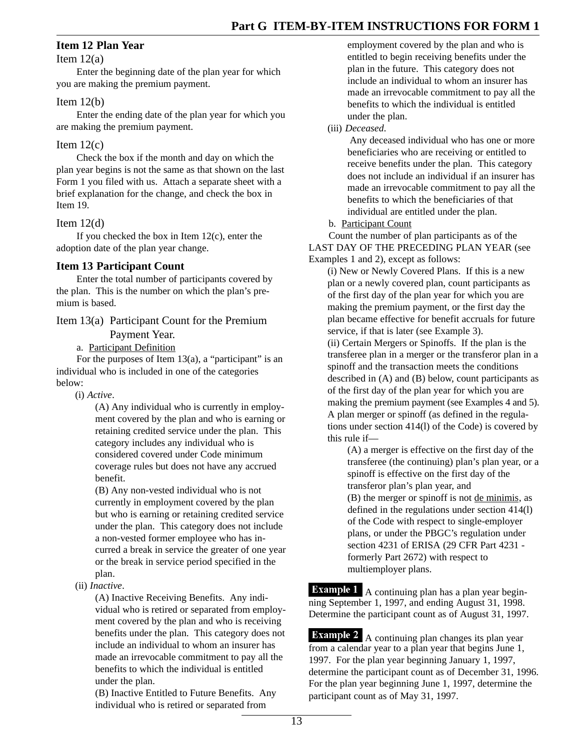## **Item 12 Plan Year**

### Item  $12(a)$

Enter the beginning date of the plan year for which you are making the premium payment.

### Item  $12(b)$

Enter the ending date of the plan year for which you are making the premium payment.

### Item  $12(c)$

Check the box if the month and day on which the plan year begins is not the same as that shown on the last Form 1 you filed with us. Attach a separate sheet with a brief explanation for the change, and check the box in Item 19.

### Item  $12(d)$

If you checked the box in Item 12(c), enter the adoption date of the plan year change.

### **Item 13 Participant Count**

Enter the total number of participants covered by the plan. This is the number on which the plan's premium is based.

Item 13(a) Participant Count for the Premium Payment Year.

a. Participant Definition

For the purposes of Item  $13(a)$ , a "participant" is an individual who is included in one of the categories below:

(i) *Active*.

(A) Any individual who is currently in employment covered by the plan and who is earning or retaining credited service under the plan. This category includes any individual who is considered covered under Code minimum coverage rules but does not have any accrued benefit.

(B) Any non-vested individual who is not currently in employment covered by the plan but who is earning or retaining credited service under the plan. This category does not include a non-vested former employee who has incurred a break in service the greater of one year or the break in service period specified in the plan.

(ii) *Inactive*.

(A) Inactive Receiving Benefits. Any individual who is retired or separated from employment covered by the plan and who is receiving benefits under the plan. This category does not include an individual to whom an insurer has made an irrevocable commitment to pay all the benefits to which the individual is entitled under the plan.

(B) Inactive Entitled to Future Benefits. Any individual who is retired or separated from

employment covered by the plan and who is entitled to begin receiving benefits under the plan in the future. This category does not include an individual to whom an insurer has made an irrevocable commitment to pay all the benefits to which the individual is entitled under the plan.

### (iii) *Deceased*.

Any deceased individual who has one or more beneficiaries who are receiving or entitled to receive benefits under the plan. This category does not include an individual if an insurer has made an irrevocable commitment to pay all the benefits to which the beneficiaries of that individual are entitled under the plan.

b. Participant Count

Count the number of plan participants as of the LAST DAY OF THE PRECEDING PLAN YEAR (see Examples 1 and 2), except as follows:

(i) New or Newly Covered Plans. If this is a new plan or a newly covered plan, count participants as of the first day of the plan year for which you are making the premium payment, or the first day the plan became effective for benefit accruals for future service, if that is later (see Example 3).

(ii) Certain Mergers or Spinoffs. If the plan is the transferee plan in a merger or the transferor plan in a spinoff and the transaction meets the conditions described in (A) and (B) below, count participants as of the first day of the plan year for which you are making the premium payment (see Examples 4 and 5). A plan merger or spinoff (as defined in the regulations under section 414(l) of the Code) is covered by this rule if—

(A) a merger is effective on the first day of the transferee (the continuing) plan's plan year, or a spinoff is effective on the first day of the transferor plan's plan year, and (B) the merger or spinoff is not de minimis, as defined in the regulations under section 414(l) of the Code with respect to single-employer plans, or under the PBGC's regulation under section 4231 of ERISA (29 CFR Part 4231 formerly Part 2672) with respect to multiemployer plans.

**Example 1** A continuing plan has a plan year beginning September 1, 1997, and ending August 31, 1998. Determine the participant count as of August 31, 1997.

**Example 2** A continuing plan changes its plan year from a calendar year to a plan year that begins June 1, 1997. For the plan year beginning January 1, 1997, determine the participant count as of December 31, 1996. For the plan year beginning June 1, 1997, determine the participant count as of May 31, 1997.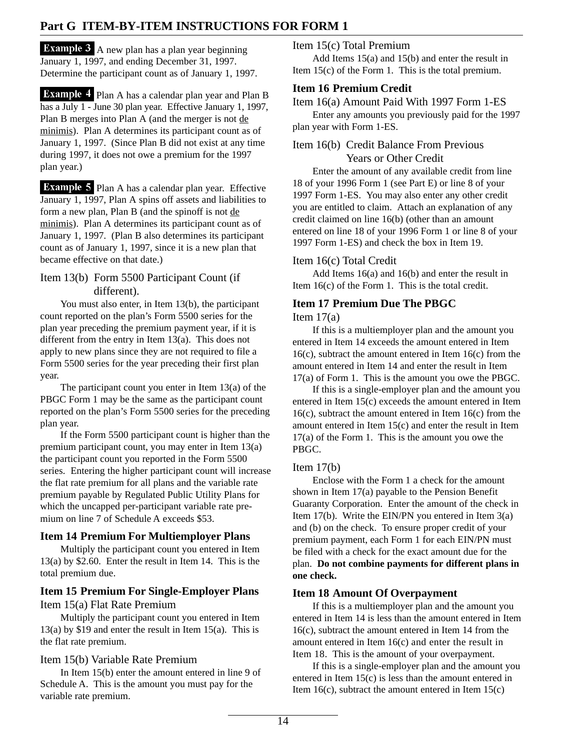## **Part G ITEM-BY-ITEM INSTRUCTIONS FOR FORM 1**

**Example 3** A new plan has a plan year beginning January 1, 1997, and ending December 31, 1997. Determine the participant count as of January 1, 1997.

**Example 4** Plan A has a calendar plan year and Plan B has a July 1 - June 30 plan year. Effective January 1, 1997, Plan B merges into Plan A (and the merger is not de minimis). Plan A determines its participant count as of January 1, 1997. (Since Plan B did not exist at any time during 1997, it does not owe a premium for the 1997 plan year.)

**Example 5** Plan A has a calendar plan year. Effective January 1, 1997, Plan A spins off assets and liabilities to form a new plan, Plan B (and the spinoff is not de minimis). Plan A determines its participant count as of January 1, 1997. (Plan B also determines its participant count as of January 1, 1997, since it is a new plan that became effective on that date.)

### Item 13(b) Form 5500 Participant Count (if different).

You must also enter, in Item 13(b), the participant count reported on the plan's Form 5500 series for the plan year preceding the premium payment year, if it is different from the entry in Item 13(a). This does not apply to new plans since they are not required to file a Form 5500 series for the year preceding their first plan year.

The participant count you enter in Item 13(a) of the PBGC Form 1 may be the same as the participant count reported on the plan's Form 5500 series for the preceding plan year.

If the Form 5500 participant count is higher than the premium participant count, you may enter in Item 13(a) the participant count you reported in the Form 5500 series. Entering the higher participant count will increase the flat rate premium for all plans and the variable rate premium payable by Regulated Public Utility Plans for which the uncapped per-participant variable rate premium on line 7 of Schedule A exceeds \$53.

## **Item 14 Premium For Multiemployer Plans**

Multiply the participant count you entered in Item 13(a) by \$2.60. Enter the result in Item 14. This is the total premium due.

### **Item 15 Premium For Single-Employer Plans** Item 15(a) Flat Rate Premium

Multiply the participant count you entered in Item 13(a) by \$19 and enter the result in Item 15(a). This is the flat rate premium.

## Item 15(b) Variable Rate Premium

In Item 15(b) enter the amount entered in line 9 of Schedule A. This is the amount you must pay for the variable rate premium.

### Item 15(c) Total Premium

Add Items 15(a) and 15(b) and enter the result in Item 15(c) of the Form 1. This is the total premium.

## **Item 16 Premium Credit**

Item 16(a) Amount Paid With 1997 Form 1-ES

Enter any amounts you previously paid for the 1997 plan year with Form 1-ES.

## Item 16(b) Credit Balance From Previous Years or Other Credit

Enter the amount of any available credit from line 18 of your 1996 Form 1 (see Part E) or line 8 of your 1997 Form 1-ES. You may also enter any other credit you are entitled to claim. Attach an explanation of any credit claimed on line 16(b) (other than an amount entered on line 18 of your 1996 Form 1 or line 8 of your 1997 Form 1-ES) and check the box in Item 19.

## Item 16(c) Total Credit

Add Items 16(a) and 16(b) and enter the result in Item 16(c) of the Form 1. This is the total credit.

## **Item 17 Premium Due The PBGC**

Item  $17(a)$ 

If this is a multiemployer plan and the amount you entered in Item 14 exceeds the amount entered in Item 16(c), subtract the amount entered in Item 16(c) from the amount entered in Item 14 and enter the result in Item 17(a) of Form 1. This is the amount you owe the PBGC.

If this is a single-employer plan and the amount you entered in Item 15(c) exceeds the amount entered in Item 16(c), subtract the amount entered in Item 16(c) from the amount entered in Item 15(c) and enter the result in Item 17(a) of the Form 1. This is the amount you owe the PBGC.

### Item  $17(b)$

Enclose with the Form 1 a check for the amount shown in Item 17(a) payable to the Pension Benefit Guaranty Corporation. Enter the amount of the check in Item 17(b). Write the EIN/PN you entered in Item  $3(a)$ and (b) on the check. To ensure proper credit of your premium payment, each Form 1 for each EIN/PN must be filed with a check for the exact amount due for the plan. **Do not combine payments for different plans in one check.**

## **Item 18 Amount Of Overpayment**

If this is a multiemployer plan and the amount you entered in Item 14 is less than the amount entered in Item 16(c), subtract the amount entered in Item 14 from the amount entered in Item 16(c) and enter the result in Item 18. This is the amount of your overpayment.

If this is a single-employer plan and the amount you entered in Item 15(c) is less than the amount entered in Item  $16(c)$ , subtract the amount entered in Item  $15(c)$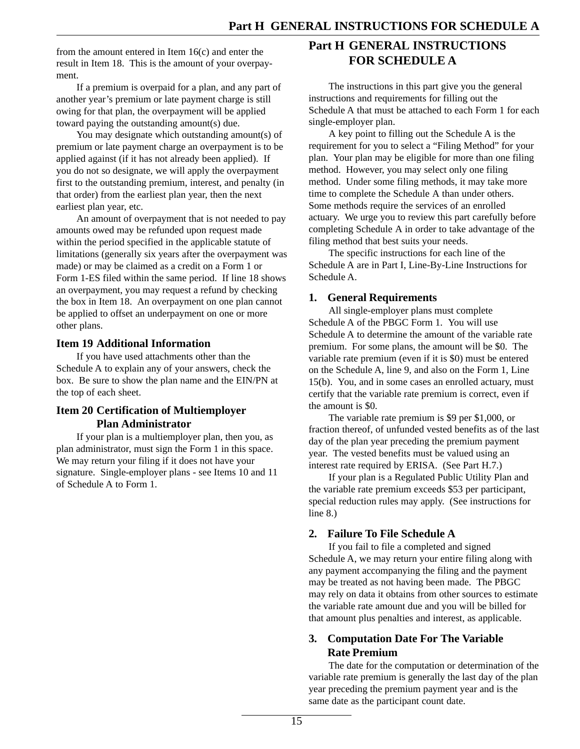from the amount entered in Item 16(c) and enter the result in Item 18. This is the amount of your overpayment.

If a premium is overpaid for a plan, and any part of another year's premium or late payment charge is still owing for that plan, the overpayment will be applied toward paying the outstanding amount(s) due.

You may designate which outstanding amount(s) of premium or late payment charge an overpayment is to be applied against (if it has not already been applied). If you do not so designate, we will apply the overpayment first to the outstanding premium, interest, and penalty (in that order) from the earliest plan year, then the next earliest plan year, etc.

An amount of overpayment that is not needed to pay amounts owed may be refunded upon request made within the period specified in the applicable statute of limitations (generally six years after the overpayment was made) or may be claimed as a credit on a Form 1 or Form 1-ES filed within the same period. If line 18 shows an overpayment, you may request a refund by checking the box in Item 18. An overpayment on one plan cannot be applied to offset an underpayment on one or more other plans.

### **Item 19 Additional Information**

If you have used attachments other than the Schedule A to explain any of your answers, check the box. Be sure to show the plan name and the EIN/PN at the top of each sheet.

### **Item 20 Certification of Multiemployer Plan Administrator**

If your plan is a multiemployer plan, then you, as plan administrator, must sign the Form 1 in this space. We may return your filing if it does not have your signature. Single-employer plans - see Items 10 and 11 of Schedule A to Form 1.

## **Part H GENERAL INSTRUCTIONS FOR SCHEDULE A**

The instructions in this part give you the general instructions and requirements for filling out the Schedule A that must be attached to each Form 1 for each single-employer plan.

A key point to filling out the Schedule A is the requirement for you to select a "Filing Method" for your plan. Your plan may be eligible for more than one filing method. However, you may select only one filing method. Under some filing methods, it may take more time to complete the Schedule A than under others. Some methods require the services of an enrolled actuary. We urge you to review this part carefully before completing Schedule A in order to take advantage of the filing method that best suits your needs.

The specific instructions for each line of the Schedule A are in Part I, Line-By-Line Instructions for Schedule A.

### **1. General Requirements**

All single-employer plans must complete Schedule A of the PBGC Form 1. You will use Schedule A to determine the amount of the variable rate premium. For some plans, the amount will be \$0. The variable rate premium (even if it is \$0) must be entered on the Schedule A, line 9, and also on the Form 1, Line 15(b). You, and in some cases an enrolled actuary, must certify that the variable rate premium is correct, even if the amount is \$0.

The variable rate premium is \$9 per \$1,000, or fraction thereof, of unfunded vested benefits as of the last day of the plan year preceding the premium payment year. The vested benefits must be valued using an interest rate required by ERISA. (See Part H.7.)

If your plan is a Regulated Public Utility Plan and the variable rate premium exceeds \$53 per participant, special reduction rules may apply. (See instructions for line 8.)

## **2. Failure To File Schedule A**

If you fail to file a completed and signed Schedule A, we may return your entire filing along with any payment accompanying the filing and the payment may be treated as not having been made. The PBGC may rely on data it obtains from other sources to estimate the variable rate amount due and you will be billed for that amount plus penalties and interest, as applicable.

## **3. Computation Date For The Variable Rate Premium**

The date for the computation or determination of the variable rate premium is generally the last day of the plan year preceding the premium payment year and is the same date as the participant count date.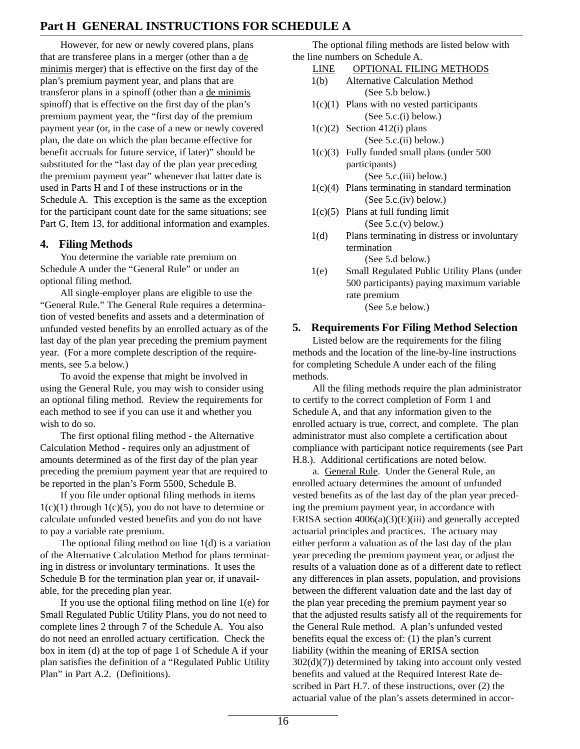However, for new or newly covered plans, plans that are transferee plans in a merger (other than a de minimis merger) that is effective on the first day of the plan's premium payment year, and plans that are transferor plans in a spinoff (other than a de minimis spinoff) that is effective on the first day of the plan's premium payment year, the "first day of the premium payment year (or, in the case of a new or newly covered plan, the date on which the plan became effective for benefit accruals for future service, if later)" should be substituted for the "last day of the plan year preceding the premium payment year" whenever that latter date is used in Parts H and I of these instructions or in the Schedule A. This exception is the same as the exception for the participant count date for the same situations; see Part G, Item 13, for additional information and examples.

### **4. Filing Methods**

You determine the variable rate premium on Schedule A under the "General Rule" or under an optional filing method.

All single-employer plans are eligible to use the "General Rule." The General Rule requires a determination of vested benefits and assets and a determination of unfunded vested benefits by an enrolled actuary as of the last day of the plan year preceding the premium payment year. (For a more complete description of the requirements, see 5.a below.)

To avoid the expense that might be involved in using the General Rule, you may wish to consider using an optional filing method. Review the requirements for each method to see if you can use it and whether you wish to do so.

The first optional filing method - the Alternative Calculation Method - requires only an adjustment of amounts determined as of the first day of the plan year preceding the premium payment year that are required to be reported in the plan's Form 5500, Schedule B.

If you file under optional filing methods in items  $1(c)(1)$  through  $1(c)(5)$ , you do not have to determine or calculate unfunded vested benefits and you do not have to pay a variable rate premium.

The optional filing method on line 1(d) is a variation of the Alternative Calculation Method for plans terminating in distress or involuntary terminations. It uses the Schedule B for the termination plan year or, if unavailable, for the preceding plan year.

If you use the optional filing method on line  $1(e)$  for Small Regulated Public Utility Plans, you do not need to complete lines 2 through 7 of the Schedule A. You also do not need an enrolled actuary certification. Check the box in item (d) at the top of page 1 of Schedule A if your plan satisfies the definition of a "Regulated Public Utility Plan" in Part A.2. (Definitions).

The optional filing methods are listed below with the line numbers on Schedule A.

- LINE OPTIONAL FILING METHODS
- 1(b) Alternative Calculation Method (See 5.b below.)
- 1(c)(1) Plans with no vested participants (See 5.c.(i) below.)
- $1(c)(2)$  Section 412(i) plans (See 5.c.(ii) below.)
- 1(c)(3) Fully funded small plans (under 500 participants) (See 5.c.(iii) below.)
- 1(c)(4) Plans terminating in standard termination (See 5.c.(iv) below.)
- 1(c)(5) Plans at full funding limit (See  $5.c.(v)$  below.)
- 1(d) Plans terminating in distress or involuntary termination (See 5.d below.)
- 1(e) Small Regulated Public Utility Plans (under 500 participants) paying maximum variable rate premium (See 5.e below.)

### **5. Requirements For Filing Method Selection**

Listed below are the requirements for the filing methods and the location of the line-by-line instructions for completing Schedule A under each of the filing methods.

All the filing methods require the plan administrator to certify to the correct completion of Form 1 and Schedule A, and that any information given to the enrolled actuary is true, correct, and complete. The plan administrator must also complete a certification about compliance with participant notice requirements (see Part H.8.). Additional certifications are noted below.

a. General Rule. Under the General Rule, an enrolled actuary determines the amount of unfunded vested benefits as of the last day of the plan year preceding the premium payment year, in accordance with ERISA section  $4006(a)(3)(E)(iii)$  and generally accepted actuarial principles and practices. The actuary may either perform a valuation as of the last day of the plan year preceding the premium payment year, or adjust the results of a valuation done as of a different date to reflect any differences in plan assets, population, and provisions between the different valuation date and the last day of the plan year preceding the premium payment year so that the adjusted results satisfy all of the requirements for the General Rule method. A plan's unfunded vested benefits equal the excess of: (1) the plan's current liability (within the meaning of ERISA section 302(d)(7)) determined by taking into account only vested benefits and valued at the Required Interest Rate described in Part H.7. of these instructions, over (2) the actuarial value of the plan's assets determined in accor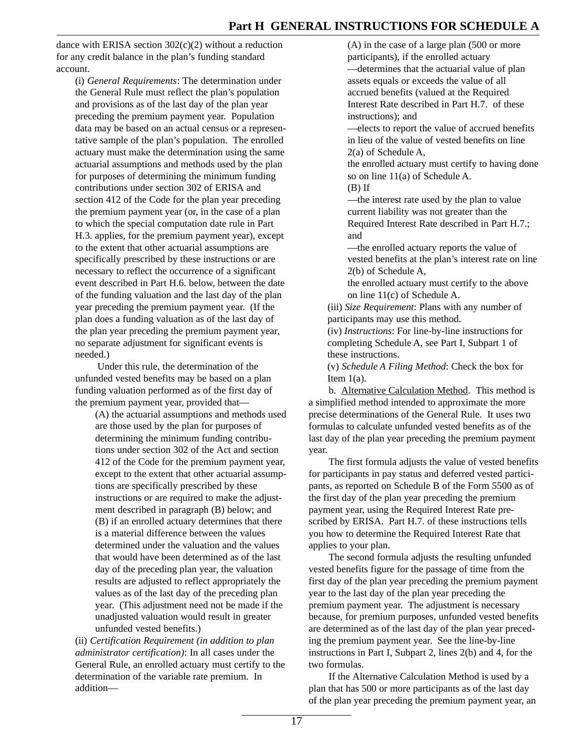dance with ERISA section  $302(c)(2)$  without a reduction for any credit balance in the plan's funding standard account.

(i) *General Requirements*: The determination under the General Rule must reflect the plan's population and provisions as of the last day of the plan year preceding the premium payment year. Population data may be based on an actual census or a representative sample of the plan's population. The enrolled actuary must make the determination using the same actuarial assumptions and methods used by the plan for purposes of determining the minimum funding contributions under section 302 of ERISA and section 412 of the Code for the plan year preceding the premium payment year (or, in the case of a plan to which the special computation date rule in Part H.3. applies, for the premium payment year), except to the extent that other actuarial assumptions are specifically prescribed by these instructions or are necessary to reflect the occurrence of a significant event described in Part H.6. below, between the date of the funding valuation and the last day of the plan year preceding the premium payment year. (If the plan does a funding valuation as of the last day of the plan year preceding the premium payment year, no separate adjustment for significant events is needed.)

Under this rule, the determination of the unfunded vested benefits may be based on a plan funding valuation performed as of the first day of the premium payment year, provided that—

(A) the actuarial assumptions and methods used are those used by the plan for purposes of determining the minimum funding contributions under section 302 of the Act and section 412 of the Code for the premium payment year, except to the extent that other actuarial assumptions are specifically prescribed by these instructions or are required to make the adjustment described in paragraph (B) below; and (B) if an enrolled actuary determines that there is a material difference between the values determined under the valuation and the values that would have been determined as of the last day of the preceding plan year, the valuation results are adjusted to reflect appropriately the values as of the last day of the preceding plan year. (This adjustment need not be made if the unadjusted valuation would result in greater unfunded vested benefits.)

(ii) *Certification Requirement (in addition to plan administrator certification)*: In all cases under the General Rule, an enrolled actuary must certify to the determination of the variable rate premium. In addition(A) in the case of a large plan (500 or more participants), if the enrolled actuary —determines that the actuarial value of plan assets equals or exceeds the value of all accrued benefits (valued at the Required Interest Rate described in Part H.7. of these instructions); and

—elects to report the value of accrued benefits in lieu of the value of vested benefits on line 2(a) of Schedule A,

the enrolled actuary must certify to having done so on line 11(a) of Schedule A.

(B) If

—the interest rate used by the plan to value current liability was not greater than the Required Interest Rate described in Part H.7.; and

—the enrolled actuary reports the value of vested benefits at the plan's interest rate on line 2(b) of Schedule A,

the enrolled actuary must certify to the above on line 11(c) of Schedule A.

(iii) *Size Requirement*: Plans with any number of participants may use this method.

(iv) *Instructions*: For line-by-line instructions for completing Schedule A, see Part I, Subpart 1 of these instructions.

(v) *Schedule A Filing Method*: Check the box for Item  $1(a)$ .

b. Alternative Calculation Method. This method is a simplified method intended to approximate the more precise determinations of the General Rule. It uses two formulas to calculate unfunded vested benefits as of the last day of the plan year preceding the premium payment year.

The first formula adjusts the value of vested benefits for participants in pay status and deferred vested participants, as reported on Schedule B of the Form 5500 as of the first day of the plan year preceding the premium payment year, using the Required Interest Rate prescribed by ERISA. Part H.7. of these instructions tells you how to determine the Required Interest Rate that applies to your plan.

The second formula adjusts the resulting unfunded vested benefits figure for the passage of time from the first day of the plan year preceding the premium payment year to the last day of the plan year preceding the premium payment year. The adjustment is necessary because, for premium purposes, unfunded vested benefits are determined as of the last day of the plan year preceding the premium payment year. See the line-by-line instructions in Part I, Subpart 2, lines 2(b) and 4, for the two formulas.

If the Alternative Calculation Method is used by a plan that has 500 or more participants as of the last day of the plan year preceding the premium payment year, an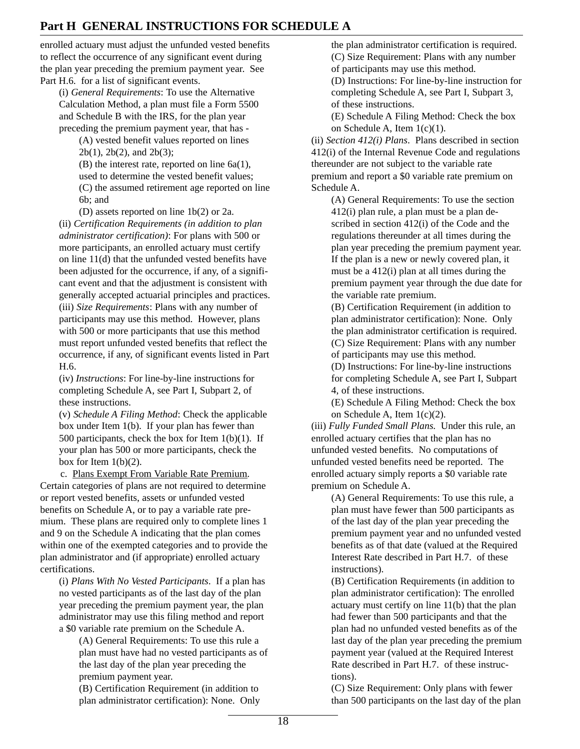enrolled actuary must adjust the unfunded vested benefits to reflect the occurrence of any significant event during the plan year preceding the premium payment year. See Part H.6. for a list of significant events.

(i) *General Requirements*: To use the Alternative Calculation Method, a plan must file a Form 5500 and Schedule B with the IRS, for the plan year preceding the premium payment year, that has -

(A) vested benefit values reported on lines 2b(1), 2b(2), and 2b(3);

(B) the interest rate, reported on line 6a(1), used to determine the vested benefit values; (C) the assumed retirement age reported on line 6b; and

(D) assets reported on line 1b(2) or 2a. (ii) *Certification Requirements (in addition to plan administrator certification)*: For plans with 500 or more participants, an enrolled actuary must certify on line 11(d) that the unfunded vested benefits have been adjusted for the occurrence, if any, of a significant event and that the adjustment is consistent with generally accepted actuarial principles and practices. (iii) *Size Requirements*: Plans with any number of participants may use this method. However, plans with 500 or more participants that use this method must report unfunded vested benefits that reflect the occurrence, if any, of significant events listed in Part H.6.

(iv) *Instructions*: For line-by-line instructions for completing Schedule A, see Part I, Subpart 2, of these instructions.

(v) *Schedule A Filing Method*: Check the applicable box under Item 1(b). If your plan has fewer than 500 participants, check the box for Item  $1(b)(1)$ . If your plan has 500 or more participants, check the box for Item  $1(b)(2)$ .

c. Plans Exempt From Variable Rate Premium. Certain categories of plans are not required to determine or report vested benefits, assets or unfunded vested benefits on Schedule A, or to pay a variable rate premium. These plans are required only to complete lines 1 and 9 on the Schedule A indicating that the plan comes within one of the exempted categories and to provide the plan administrator and (if appropriate) enrolled actuary certifications.

(i) *Plans With No Vested Participants*. If a plan has no vested participants as of the last day of the plan year preceding the premium payment year, the plan administrator may use this filing method and report a \$0 variable rate premium on the Schedule A.

(A) General Requirements: To use this rule a plan must have had no vested participants as of the last day of the plan year preceding the premium payment year.

(B) Certification Requirement (in addition to plan administrator certification): None. Only

the plan administrator certification is required. (C) Size Requirement: Plans with any number of participants may use this method.

(D) Instructions: For line-by-line instruction for completing Schedule A, see Part I, Subpart 3, of these instructions.

(E) Schedule A Filing Method: Check the box on Schedule A, Item 1(c)(1).

(ii) *Section 412(i) Plans*. Plans described in section 412(i) of the Internal Revenue Code and regulations thereunder are not subject to the variable rate premium and report a \$0 variable rate premium on Schedule A.

(A) General Requirements: To use the section 412(i) plan rule, a plan must be a plan described in section 412(i) of the Code and the regulations thereunder at all times during the plan year preceding the premium payment year. If the plan is a new or newly covered plan, it must be a 412(i) plan at all times during the premium payment year through the due date for the variable rate premium.

(B) Certification Requirement (in addition to plan administrator certification): None. Only the plan administrator certification is required. (C) Size Requirement: Plans with any number of participants may use this method.

(D) Instructions: For line-by-line instructions for completing Schedule A, see Part I, Subpart 4, of these instructions.

(E) Schedule A Filing Method: Check the box on Schedule A, Item  $1(c)(2)$ .

(iii) *Fully Funded Small Plans*. Under this rule, an enrolled actuary certifies that the plan has no unfunded vested benefits. No computations of unfunded vested benefits need be reported. The enrolled actuary simply reports a \$0 variable rate premium on Schedule A.

(A) General Requirements: To use this rule, a plan must have fewer than 500 participants as of the last day of the plan year preceding the premium payment year and no unfunded vested benefits as of that date (valued at the Required Interest Rate described in Part H.7. of these instructions).

(B) Certification Requirements (in addition to plan administrator certification): The enrolled actuary must certify on line 11(b) that the plan had fewer than 500 participants and that the plan had no unfunded vested benefits as of the last day of the plan year preceding the premium payment year (valued at the Required Interest Rate described in Part H.7. of these instructions).

(C) Size Requirement: Only plans with fewer than 500 participants on the last day of the plan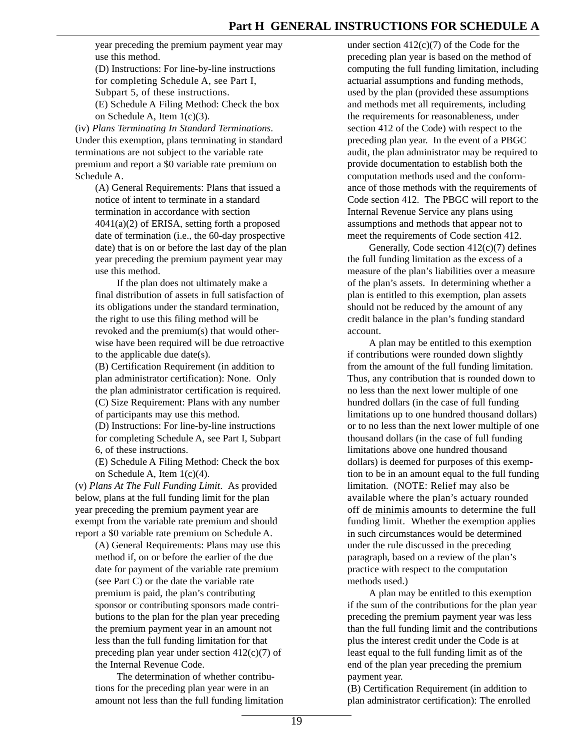year preceding the premium payment year may use this method.

(D) Instructions: For line-by-line instructions for completing Schedule A, see Part I, Subpart 5, of these instructions. (E) Schedule A Filing Method: Check the box on Schedule A, Item 1(c)(3).

(iv) *Plans Terminating In Standard Terminations*. Under this exemption, plans terminating in standard terminations are not subject to the variable rate premium and report a \$0 variable rate premium on Schedule A.

(A) General Requirements: Plans that issued a notice of intent to terminate in a standard termination in accordance with section 4041(a)(2) of ERISA, setting forth a proposed date of termination (i.e., the 60-day prospective date) that is on or before the last day of the plan year preceding the premium payment year may use this method.

If the plan does not ultimately make a final distribution of assets in full satisfaction of its obligations under the standard termination, the right to use this filing method will be revoked and the premium(s) that would otherwise have been required will be due retroactive to the applicable due date(s).

(B) Certification Requirement (in addition to plan administrator certification): None. Only the plan administrator certification is required. (C) Size Requirement: Plans with any number of participants may use this method.

(D) Instructions: For line-by-line instructions for completing Schedule A, see Part I, Subpart 6, of these instructions.

(E) Schedule A Filing Method: Check the box on Schedule A, Item 1(c)(4).

(v) *Plans At The Full Funding Limit*. As provided below, plans at the full funding limit for the plan year preceding the premium payment year are exempt from the variable rate premium and should report a \$0 variable rate premium on Schedule A.

(A) General Requirements: Plans may use this method if, on or before the earlier of the due date for payment of the variable rate premium (see Part C) or the date the variable rate premium is paid, the plan's contributing sponsor or contributing sponsors made contributions to the plan for the plan year preceding the premium payment year in an amount not less than the full funding limitation for that preceding plan year under section 412(c)(7) of the Internal Revenue Code.

The determination of whether contributions for the preceding plan year were in an amount not less than the full funding limitation under section 412(c)(7) of the Code for the preceding plan year is based on the method of computing the full funding limitation, including actuarial assumptions and funding methods, used by the plan (provided these assumptions and methods met all requirements, including the requirements for reasonableness, under section 412 of the Code) with respect to the preceding plan year. In the event of a PBGC audit, the plan administrator may be required to provide documentation to establish both the computation methods used and the conformance of those methods with the requirements of Code section 412. The PBGC will report to the Internal Revenue Service any plans using assumptions and methods that appear not to meet the requirements of Code section 412.

Generally, Code section  $412(c)(7)$  defines the full funding limitation as the excess of a measure of the plan's liabilities over a measure of the plan's assets. In determining whether a plan is entitled to this exemption, plan assets should not be reduced by the amount of any credit balance in the plan's funding standard account.

A plan may be entitled to this exemption if contributions were rounded down slightly from the amount of the full funding limitation. Thus, any contribution that is rounded down to no less than the next lower multiple of one hundred dollars (in the case of full funding limitations up to one hundred thousand dollars) or to no less than the next lower multiple of one thousand dollars (in the case of full funding limitations above one hundred thousand dollars) is deemed for purposes of this exemption to be in an amount equal to the full funding limitation. (NOTE: Relief may also be available where the plan's actuary rounded off de minimis amounts to determine the full funding limit. Whether the exemption applies in such circumstances would be determined under the rule discussed in the preceding paragraph, based on a review of the plan's practice with respect to the computation methods used.)

A plan may be entitled to this exemption if the sum of the contributions for the plan year preceding the premium payment year was less than the full funding limit and the contributions plus the interest credit under the Code is at least equal to the full funding limit as of the end of the plan year preceding the premium payment year.

(B) Certification Requirement (in addition to plan administrator certification): The enrolled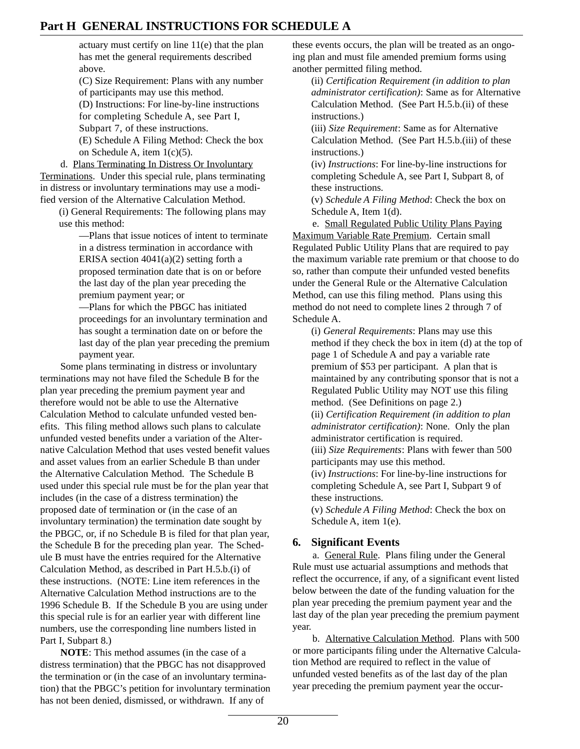actuary must certify on line 11(e) that the plan has met the general requirements described above.

(C) Size Requirement: Plans with any number of participants may use this method.

(D) Instructions: For line-by-line instructions for completing Schedule A, see Part I,

Subpart 7, of these instructions.

(E) Schedule A Filing Method: Check the box on Schedule A, item 1(c)(5).

d. Plans Terminating In Distress Or Involuntary Terminations. Under this special rule, plans terminating in distress or involuntary terminations may use a modified version of the Alternative Calculation Method.

(i) General Requirements: The following plans may use this method:

—Plans that issue notices of intent to terminate in a distress termination in accordance with ERISA section  $4041(a)(2)$  setting forth a proposed termination date that is on or before the last day of the plan year preceding the premium payment year; or

—Plans for which the PBGC has initiated proceedings for an involuntary termination and has sought a termination date on or before the last day of the plan year preceding the premium payment year.

Some plans terminating in distress or involuntary terminations may not have filed the Schedule B for the plan year preceding the premium payment year and therefore would not be able to use the Alternative Calculation Method to calculate unfunded vested benefits. This filing method allows such plans to calculate unfunded vested benefits under a variation of the Alternative Calculation Method that uses vested benefit values and asset values from an earlier Schedule B than under the Alternative Calculation Method. The Schedule B used under this special rule must be for the plan year that includes (in the case of a distress termination) the proposed date of termination or (in the case of an involuntary termination) the termination date sought by the PBGC, or, if no Schedule B is filed for that plan year, the Schedule B for the preceding plan year. The Schedule B must have the entries required for the Alternative Calculation Method, as described in Part H.5.b.(i) of these instructions. (NOTE: Line item references in the Alternative Calculation Method instructions are to the 1996 Schedule B. If the Schedule B you are using under this special rule is for an earlier year with different line numbers, use the corresponding line numbers listed in Part I, Subpart 8.)

**NOTE**: This method assumes (in the case of a distress termination) that the PBGC has not disapproved the termination or (in the case of an involuntary termination) that the PBGC's petition for involuntary termination has not been denied, dismissed, or withdrawn. If any of

these events occurs, the plan will be treated as an ongoing plan and must file amended premium forms using another permitted filing method.

(ii) *Certification Requirement (in addition to plan administrator certification)*: Same as for Alternative Calculation Method. (See Part H.5.b.(ii) of these instructions.)

(iii) *Size Requirement*: Same as for Alternative Calculation Method. (See Part H.5.b.(iii) of these instructions.)

(iv) *Instructions*: For line-by-line instructions for completing Schedule A, see Part I, Subpart 8, of these instructions.

(v) *Schedule A Filing Method*: Check the box on Schedule A, Item 1(d).

e. Small Regulated Public Utility Plans Paying Maximum Variable Rate Premium. Certain small Regulated Public Utility Plans that are required to pay the maximum variable rate premium or that choose to do so, rather than compute their unfunded vested benefits under the General Rule or the Alternative Calculation Method, can use this filing method. Plans using this method do not need to complete lines 2 through 7 of Schedule A.

(i) *General Requirements*: Plans may use this method if they check the box in item (d) at the top of page 1 of Schedule A and pay a variable rate premium of \$53 per participant. A plan that is maintained by any contributing sponsor that is not a Regulated Public Utility may NOT use this filing method. (See Definitions on page 2.) (ii) *Certification Requirement (in addition to plan administrator certification)*: None. Only the plan administrator certification is required. (iii) *Size Requirements*: Plans with fewer than 500 participants may use this method. (iv) *Instructions*: For line-by-line instructions for

completing Schedule A, see Part I, Subpart 9 of these instructions.

(v) *Schedule A Filing Method*: Check the box on Schedule A, item 1(e).

### **6. Significant Events**

a. General Rule. Plans filing under the General Rule must use actuarial assumptions and methods that reflect the occurrence, if any, of a significant event listed below between the date of the funding valuation for the plan year preceding the premium payment year and the last day of the plan year preceding the premium payment year.

b. Alternative Calculation Method. Plans with 500 or more participants filing under the Alternative Calculation Method are required to reflect in the value of unfunded vested benefits as of the last day of the plan year preceding the premium payment year the occur-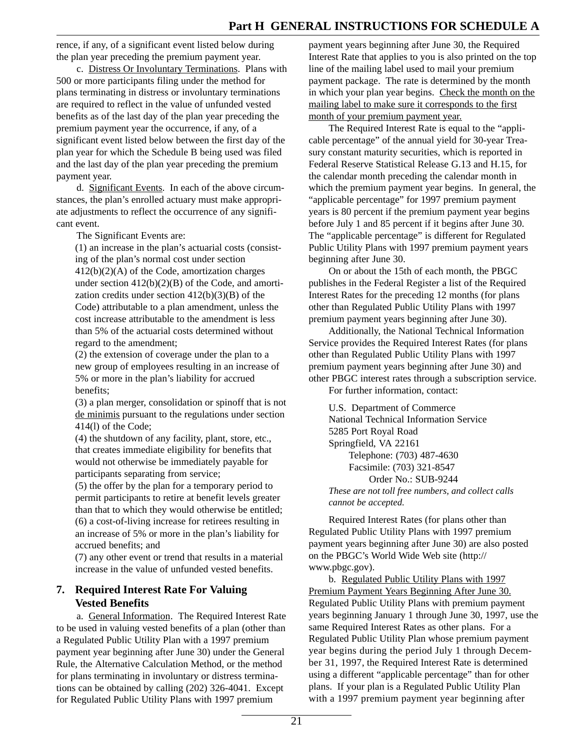rence, if any, of a significant event listed below during the plan year preceding the premium payment year.

c. Distress Or Involuntary Terminations. Plans with 500 or more participants filing under the method for plans terminating in distress or involuntary terminations are required to reflect in the value of unfunded vested benefits as of the last day of the plan year preceding the premium payment year the occurrence, if any, of a significant event listed below between the first day of the plan year for which the Schedule B being used was filed and the last day of the plan year preceding the premium payment year.

d. Significant Events. In each of the above circumstances, the plan's enrolled actuary must make appropriate adjustments to reflect the occurrence of any significant event.

The Significant Events are:

(1) an increase in the plan's actuarial costs (consisting of the plan's normal cost under section 412(b)(2)(A) of the Code, amortization charges under section 412(b)(2)(B) of the Code, and amortization credits under section  $412(b)(3)(B)$  of the Code) attributable to a plan amendment, unless the cost increase attributable to the amendment is less than 5% of the actuarial costs determined without regard to the amendment;

(2) the extension of coverage under the plan to a new group of employees resulting in an increase of 5% or more in the plan's liability for accrued benefits;

(3) a plan merger, consolidation or spinoff that is not de minimis pursuant to the regulations under section 414(l) of the Code;

(4) the shutdown of any facility, plant, store, etc., that creates immediate eligibility for benefits that would not otherwise be immediately payable for participants separating from service;

(5) the offer by the plan for a temporary period to permit participants to retire at benefit levels greater than that to which they would otherwise be entitled; (6) a cost-of-living increase for retirees resulting in an increase of 5% or more in the plan's liability for accrued benefits; and

(7) any other event or trend that results in a material increase in the value of unfunded vested benefits.

## **7. Required Interest Rate For Valuing Vested Benefits**

a. General Information. The Required Interest Rate to be used in valuing vested benefits of a plan (other than a Regulated Public Utility Plan with a 1997 premium payment year beginning after June 30) under the General Rule, the Alternative Calculation Method, or the method for plans terminating in involuntary or distress terminations can be obtained by calling (202) 326-4041. Except for Regulated Public Utility Plans with 1997 premium

payment years beginning after June 30, the Required Interest Rate that applies to you is also printed on the top line of the mailing label used to mail your premium payment package. The rate is determined by the month in which your plan year begins. Check the month on the mailing label to make sure it corresponds to the first month of your premium payment year.

The Required Interest Rate is equal to the "applicable percentage" of the annual yield for 30-year Treasury constant maturity securities, which is reported in Federal Reserve Statistical Release G.13 and H.15, for the calendar month preceding the calendar month in which the premium payment year begins. In general, the "applicable percentage" for 1997 premium payment years is 80 percent if the premium payment year begins before July 1 and 85 percent if it begins after June 30. The "applicable percentage" is different for Regulated Public Utility Plans with 1997 premium payment years beginning after June 30.

On or about the 15th of each month, the PBGC publishes in the Federal Register a list of the Required Interest Rates for the preceding 12 months (for plans other than Regulated Public Utility Plans with 1997 premium payment years beginning after June 30).

Additionally, the National Technical Information Service provides the Required Interest Rates (for plans other than Regulated Public Utility Plans with 1997 premium payment years beginning after June 30) and other PBGC interest rates through a subscription service.

For further information, contact:

U.S. Department of Commerce National Technical Information Service 5285 Port Royal Road Springfield, VA 22161 Telephone: (703) 487-4630 Facsimile: (703) 321-8547 Order No.: SUB-9244 *These are not toll free numbers, and collect calls cannot be accepted.*

Required Interest Rates (for plans other than Regulated Public Utility Plans with 1997 premium payment years beginning after June 30) are also posted on the PBGC's World Wide Web site (http:// www.pbgc.gov).

b. Regulated Public Utility Plans with 1997 Premium Payment Years Beginning After June 30. Regulated Public Utility Plans with premium payment years beginning January 1 through June 30, 1997, use the same Required Interest Rates as other plans. For a Regulated Public Utility Plan whose premium payment year begins during the period July 1 through December 31, 1997, the Required Interest Rate is determined using a different "applicable percentage" than for other plans. If your plan is a Regulated Public Utility Plan with a 1997 premium payment year beginning after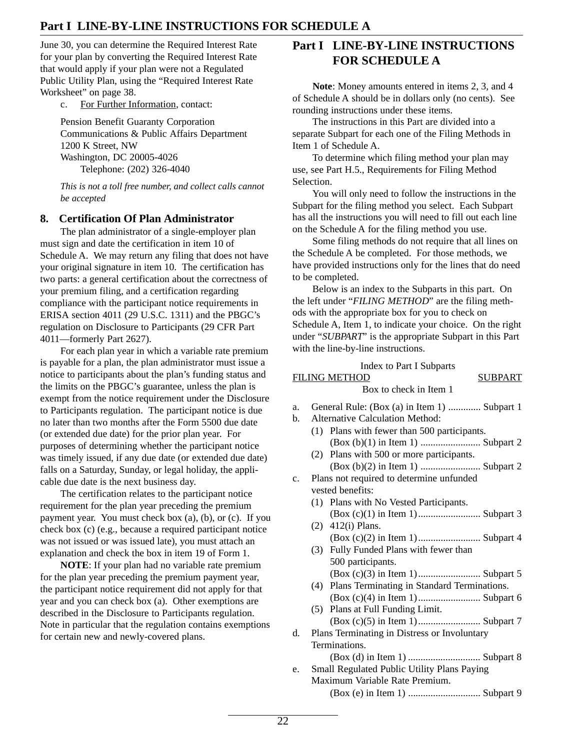## **Part I LINE-BY-LINE INSTRUCTIONS FOR SCHEDULE A**

June 30, you can determine the Required Interest Rate for your plan by converting the Required Interest Rate that would apply if your plan were not a Regulated Public Utility Plan, using the "Required Interest Rate Worksheet" on page 38.

c. For Further Information, contact:

Pension Benefit Guaranty Corporation Communications & Public Affairs Department 1200 K Street, NW Washington, DC 20005-4026 Telephone: (202) 326-4040

*This is not a toll free number, and collect calls cannot be accepted*

### **8. Certification Of Plan Administrator**

The plan administrator of a single-employer plan must sign and date the certification in item 10 of Schedule A. We may return any filing that does not have your original signature in item 10. The certification has two parts: a general certification about the correctness of your premium filing, and a certification regarding compliance with the participant notice requirements in ERISA section 4011 (29 U.S.C. 1311) and the PBGC's regulation on Disclosure to Participants (29 CFR Part 4011—formerly Part 2627).

For each plan year in which a variable rate premium is payable for a plan, the plan administrator must issue a notice to participants about the plan's funding status and the limits on the PBGC's guarantee, unless the plan is exempt from the notice requirement under the Disclosure to Participants regulation. The participant notice is due no later than two months after the Form 5500 due date (or extended due date) for the prior plan year. For purposes of determining whether the participant notice was timely issued, if any due date (or extended due date) falls on a Saturday, Sunday, or legal holiday, the applicable due date is the next business day.

The certification relates to the participant notice requirement for the plan year preceding the premium payment year. You must check box (a), (b), or (c). If you check box (c) (e.g., because a required participant notice was not issued or was issued late), you must attach an explanation and check the box in item 19 of Form 1.

**NOTE**: If your plan had no variable rate premium for the plan year preceding the premium payment year, the participant notice requirement did not apply for that year and you can check box (a). Other exemptions are described in the Disclosure to Participants regulation. Note in particular that the regulation contains exemptions for certain new and newly-covered plans.

## **Part I LINE-BY-LINE INSTRUCTIONS FOR SCHEDULE A**

**Note**: Money amounts entered in items 2, 3, and 4 of Schedule A should be in dollars only (no cents). See rounding instructions under these items.

The instructions in this Part are divided into a separate Subpart for each one of the Filing Methods in Item 1 of Schedule A.

To determine which filing method your plan may use, see Part H.5., Requirements for Filing Method Selection.

You will only need to follow the instructions in the Subpart for the filing method you select. Each Subpart has all the instructions you will need to fill out each line on the Schedule A for the filing method you use.

Some filing methods do not require that all lines on the Schedule A be completed. For those methods, we have provided instructions only for the lines that do need to be completed.

Below is an index to the Subparts in this part. On the left under "*FILING METHOD*" are the filing methods with the appropriate box for you to check on Schedule A, Item 1, to indicate your choice. On the right under "*SUBPART*" is the appropriate Subpart in this Part with the line-by-line instructions.

| <b>Index to Part I Subparts</b> |  |  |  |  |  |
|---------------------------------|--|--|--|--|--|
|---------------------------------|--|--|--|--|--|

| SUBPART |
|---------|
|---------|

### Box to check in Item 1

FILING METHOD

| a. |  |  |  |  | General Rule: (Box (a) in Item 1)  Subpart 1 |
|----|--|--|--|--|----------------------------------------------|
|----|--|--|--|--|----------------------------------------------|

b. Alternative Calculation Method: (1) Plans with fewer than 500 participants. (Box (b)(1) in Item 1) ........................ Subpart 2 (2) Plans with 500 or more participants. (Box (b)(2) in Item 1) ........................ Subpart 2 c. Plans not required to determine unfunded vested benefits: (1) Plans with No Vested Participants. (Box (c)(1) in Item 1)......................... Subpart 3 (2) 412(i) Plans. (Box (c)(2) in Item 1)......................... Subpart 4 (3) Fully Funded Plans with fewer than 500 participants. (Box (c)(3) in Item 1)......................... Subpart 5 (4) Plans Terminating in Standard Terminations. (Box (c)(4) in Item 1)......................... Subpart 6 (5) Plans at Full Funding Limit. (Box (c)(5) in Item 1)......................... Subpart 7 d. Plans Terminating in Distress or Involuntary Terminations. (Box (d) in Item 1) ............................. Subpart 8 e. Small Regulated Public Utility Plans Paying Maximum Variable Rate Premium.

<sup>(</sup>Box (e) in Item 1) ............................. Subpart 9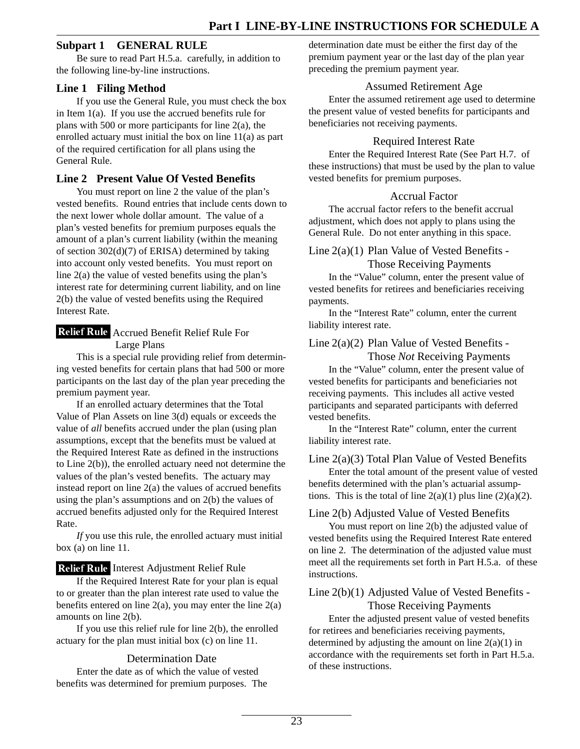## **Subpart 1 GENERAL RULE**

Be sure to read Part H.5.a. carefully, in addition to the following line-by-line instructions.

## **Line 1 Filing Method**

If you use the General Rule, you must check the box in Item 1(a). If you use the accrued benefits rule for plans with 500 or more participants for line 2(a), the enrolled actuary must initial the box on line 11(a) as part of the required certification for all plans using the General Rule.

## **Line 2 Present Value Of Vested Benefits**

You must report on line 2 the value of the plan's vested benefits. Round entries that include cents down to the next lower whole dollar amount. The value of a plan's vested benefits for premium purposes equals the amount of a plan's current liability (within the meaning of section 302(d)(7) of ERISA) determined by taking into account only vested benefits. You must report on line 2(a) the value of vested benefits using the plan's interest rate for determining current liability, and on line 2(b) the value of vested benefits using the Required Interest Rate.

### Relief Rule Accrued Benefit Relief Rule For Large Plans

This is a special rule providing relief from determining vested benefits for certain plans that had 500 or more participants on the last day of the plan year preceding the premium payment year.

If an enrolled actuary determines that the Total Value of Plan Assets on line 3(d) equals or exceeds the value of *all* benefits accrued under the plan (using plan assumptions, except that the benefits must be valued at the Required Interest Rate as defined in the instructions to Line 2(b)), the enrolled actuary need not determine the values of the plan's vested benefits. The actuary may instead report on line 2(a) the values of accrued benefits using the plan's assumptions and on 2(b) the values of accrued benefits adjusted only for the Required Interest Rate.

*If* you use this rule, the enrolled actuary must initial box (a) on line 11.

## Relief Rule Interest Adjustment Relief Rule

If the Required Interest Rate for your plan is equal to or greater than the plan interest rate used to value the benefits entered on line  $2(a)$ , you may enter the line  $2(a)$ amounts on line 2(b).

If you use this relief rule for line 2(b), the enrolled actuary for the plan must initial box (c) on line 11.

### Determination Date

Enter the date as of which the value of vested benefits was determined for premium purposes. The

determination date must be either the first day of the premium payment year or the last day of the plan year preceding the premium payment year.

### Assumed Retirement Age

Enter the assumed retirement age used to determine the present value of vested benefits for participants and beneficiaries not receiving payments.

### Required Interest Rate

Enter the Required Interest Rate (See Part H.7. of these instructions) that must be used by the plan to value vested benefits for premium purposes.

### Accrual Factor

The accrual factor refers to the benefit accrual adjustment, which does not apply to plans using the General Rule. Do not enter anything in this space.

Line 2(a)(1) Plan Value of Vested Benefits -

### Those Receiving Payments

In the "Value" column, enter the present value of vested benefits for retirees and beneficiaries receiving payments.

In the "Interest Rate" column, enter the current liability interest rate.

## Line 2(a)(2) Plan Value of Vested Benefits -

Those *Not* Receiving Payments

In the "Value" column, enter the present value of vested benefits for participants and beneficiaries not receiving payments. This includes all active vested participants and separated participants with deferred vested benefits.

In the "Interest Rate" column, enter the current liability interest rate.

### Line 2(a)(3) Total Plan Value of Vested Benefits

Enter the total amount of the present value of vested benefits determined with the plan's actuarial assumptions. This is the total of line  $2(a)(1)$  plus line  $(2)(a)(2)$ .

### Line 2(b) Adjusted Value of Vested Benefits

You must report on line 2(b) the adjusted value of vested benefits using the Required Interest Rate entered on line 2. The determination of the adjusted value must meet all the requirements set forth in Part H.5.a. of these instructions.

### Line 2(b)(1) Adjusted Value of Vested Benefits - Those Receiving Payments

Enter the adjusted present value of vested benefits for retirees and beneficiaries receiving payments, determined by adjusting the amount on line  $2(a)(1)$  in accordance with the requirements set forth in Part H.5.a. of these instructions.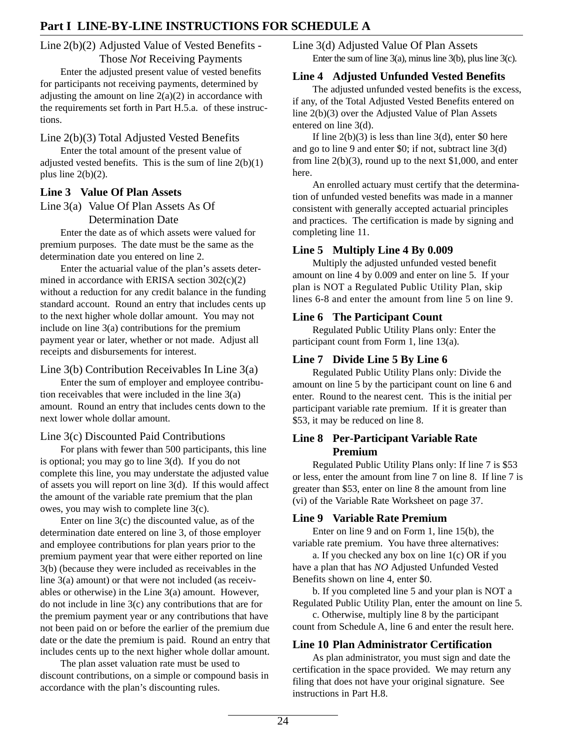## **Part I LINE-BY-LINE INSTRUCTIONS FOR SCHEDULE A**

Line 2(b)(2) Adjusted Value of Vested Benefits - Those *Not* Receiving Payments

Enter the adjusted present value of vested benefits for participants not receiving payments, determined by adjusting the amount on line  $2(a)(2)$  in accordance with the requirements set forth in Part H.5.a. of these instructions.

### Line 2(b)(3) Total Adjusted Vested Benefits

Enter the total amount of the present value of adjusted vested benefits. This is the sum of line  $2(b)(1)$ plus line  $2(b)(2)$ .

### **Line 3 Value Of Plan Assets**

Line 3(a) Value Of Plan Assets As Of

## Determination Date

Enter the date as of which assets were valued for premium purposes. The date must be the same as the determination date you entered on line 2.

Enter the actuarial value of the plan's assets determined in accordance with ERISA section 302(c)(2) without a reduction for any credit balance in the funding standard account. Round an entry that includes cents up to the next higher whole dollar amount. You may not include on line 3(a) contributions for the premium payment year or later, whether or not made. Adjust all receipts and disbursements for interest.

### Line 3(b) Contribution Receivables In Line 3(a)

Enter the sum of employer and employee contribution receivables that were included in the line 3(a) amount. Round an entry that includes cents down to the next lower whole dollar amount.

### Line 3(c) Discounted Paid Contributions

For plans with fewer than 500 participants, this line is optional; you may go to line 3(d). If you do not complete this line, you may understate the adjusted value of assets you will report on line 3(d). If this would affect the amount of the variable rate premium that the plan owes, you may wish to complete line 3(c).

Enter on line 3(c) the discounted value, as of the determination date entered on line 3, of those employer and employee contributions for plan years prior to the premium payment year that were either reported on line 3(b) (because they were included as receivables in the line 3(a) amount) or that were not included (as receivables or otherwise) in the Line 3(a) amount. However, do not include in line 3(c) any contributions that are for the premium payment year or any contributions that have not been paid on or before the earlier of the premium due date or the date the premium is paid. Round an entry that includes cents up to the next higher whole dollar amount.

The plan asset valuation rate must be used to discount contributions, on a simple or compound basis in accordance with the plan's discounting rules.

Line 3(d) Adjusted Value Of Plan Assets Enter the sum of line 3(a), minus line 3(b), plus line 3(c).

### **Line 4 Adjusted Unfunded Vested Benefits**

The adjusted unfunded vested benefits is the excess, if any, of the Total Adjusted Vested Benefits entered on line 2(b)(3) over the Adjusted Value of Plan Assets entered on line 3(d).

If line  $2(b)(3)$  is less than line  $3(d)$ , enter \$0 here and go to line 9 and enter \$0; if not, subtract line 3(d) from line  $2(b)(3)$ , round up to the next \$1,000, and enter here.

An enrolled actuary must certify that the determination of unfunded vested benefits was made in a manner consistent with generally accepted actuarial principles and practices. The certification is made by signing and completing line 11.

### **Line 5 Multiply Line 4 By 0.009**

Multiply the adjusted unfunded vested benefit amount on line 4 by 0.009 and enter on line 5. If your plan is NOT a Regulated Public Utility Plan, skip lines 6-8 and enter the amount from line 5 on line 9.

### **Line 6 The Participant Count**

Regulated Public Utility Plans only: Enter the participant count from Form 1, line 13(a).

### **Line 7 Divide Line 5 By Line 6**

Regulated Public Utility Plans only: Divide the amount on line 5 by the participant count on line 6 and enter. Round to the nearest cent. This is the initial per participant variable rate premium. If it is greater than \$53, it may be reduced on line 8.

### **Line 8 Per-Participant Variable Rate Premium**

Regulated Public Utility Plans only: If line 7 is \$53 or less, enter the amount from line 7 on line 8. If line 7 is greater than \$53, enter on line 8 the amount from line (vi) of the Variable Rate Worksheet on page 37.

### **Line 9 Variable Rate Premium**

Enter on line 9 and on Form 1, line 15(b), the variable rate premium. You have three alternatives:

a. If you checked any box on line 1(c) OR if you have a plan that has *NO* Adjusted Unfunded Vested Benefits shown on line 4, enter \$0.

b. If you completed line 5 and your plan is NOT a Regulated Public Utility Plan, enter the amount on line 5.

c. Otherwise, multiply line 8 by the participant count from Schedule A, line 6 and enter the result here.

### **Line 10 Plan Administrator Certification**

As plan administrator, you must sign and date the certification in the space provided. We may return any filing that does not have your original signature. See instructions in Part H.8.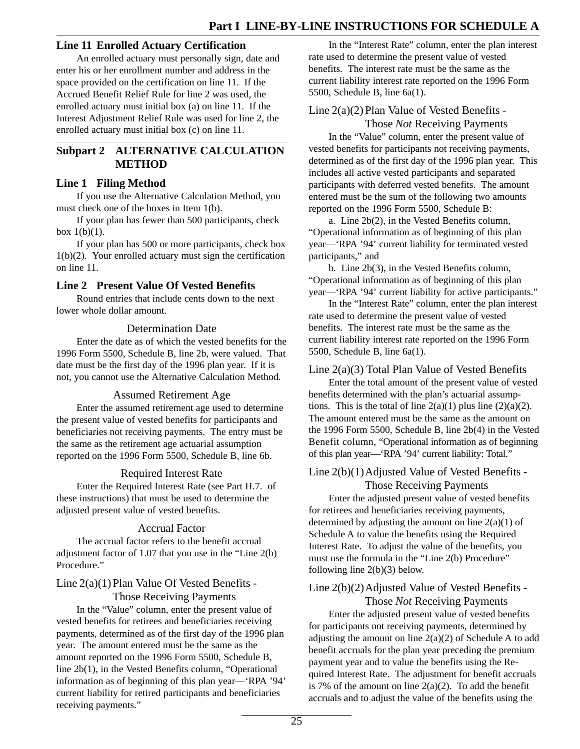### **Line 11 Enrolled Actuary Certification**

An enrolled actuary must personally sign, date and enter his or her enrollment number and address in the space provided on the certification on line 11. If the Accrued Benefit Relief Rule for line 2 was used, the enrolled actuary must initial box (a) on line 11. If the Interest Adjustment Relief Rule was used for line 2, the enrolled actuary must initial box (c) on line 11.

## **Subpart 2 ALTERNATIVE CALCULATION METHOD**

### **Line 1 Filing Method**

If you use the Alternative Calculation Method, you must check one of the boxes in Item 1(b).

If your plan has fewer than 500 participants, check box  $1(b)(1)$ .

If your plan has 500 or more participants, check box 1(b)(2). Your enrolled actuary must sign the certification on line 11.

## **Line 2 Present Value Of Vested Benefits**

Round entries that include cents down to the next lower whole dollar amount.

### Determination Date

Enter the date as of which the vested benefits for the 1996 Form 5500, Schedule B, line 2b, were valued. That date must be the first day of the 1996 plan year. If it is not, you cannot use the Alternative Calculation Method.

### Assumed Retirement Age

Enter the assumed retirement age used to determine the present value of vested benefits for participants and beneficiaries not receiving payments. The entry must be the same as the retirement age actuarial assumption reported on the 1996 Form 5500, Schedule B, line 6b.

### Required Interest Rate

Enter the Required Interest Rate (see Part H.7. of these instructions) that must be used to determine the adjusted present value of vested benefits.

### Accrual Factor

The accrual factor refers to the benefit accrual adjustment factor of 1.07 that you use in the "Line 2(b) Procedure."

### Line 2(a)(1) Plan Value Of Vested Benefits - Those Receiving Payments

In the "Value" column, enter the present value of vested benefits for retirees and beneficiaries receiving payments, determined as of the first day of the 1996 plan year. The amount entered must be the same as the amount reported on the 1996 Form 5500, Schedule B, line 2b(1), in the Vested Benefits column, "Operational information as of beginning of this plan year—'RPA '94' current liability for retired participants and beneficiaries receiving payments."

In the "Interest Rate" column, enter the plan interest rate used to determine the present value of vested benefits. The interest rate must be the same as the current liability interest rate reported on the 1996 Form 5500, Schedule B, line 6a(1).

## Line 2(a)(2) Plan Value of Vested Benefits -

Those *Not* Receiving Payments

In the "Value" column, enter the present value of vested benefits for participants not receiving payments, determined as of the first day of the 1996 plan year. This includes all active vested participants and separated participants with deferred vested benefits. The amount entered must be the sum of the following two amounts reported on the 1996 Form 5500, Schedule B:

a. Line 2b(2), in the Vested Benefits column, "Operational information as of beginning of this plan year—'RPA '94' current liability for terminated vested participants," and

b. Line 2b(3), in the Vested Benefits column, "Operational information as of beginning of this plan year—'RPA '94' current liability for active participants."

In the "Interest Rate" column, enter the plan interest rate used to determine the present value of vested benefits. The interest rate must be the same as the current liability interest rate reported on the 1996 Form 5500, Schedule B, line 6a(1).

## Line 2(a)(3) Total Plan Value of Vested Benefits

Enter the total amount of the present value of vested benefits determined with the plan's actuarial assumptions. This is the total of line  $2(a)(1)$  plus line  $(2)(a)(2)$ . The amount entered must be the same as the amount on the 1996 Form 5500, Schedule B, line 2b(4) in the Vested Benefit column, "Operational information as of beginning of this plan year—'RPA '94' current liability: Total."

### Line 2(b)(1)Adjusted Value of Vested Benefits -

Those Receiving Payments Enter the adjusted present value of vested benefits for retirees and beneficiaries receiving payments, determined by adjusting the amount on line  $2(a)(1)$  of Schedule A to value the benefits using the Required Interest Rate. To adjust the value of the benefits, you must use the formula in the "Line 2(b) Procedure" following line 2(b)(3) below.

## Line 2(b)(2)Adjusted Value of Vested Benefits - Those *Not* Receiving Payments

Enter the adjusted present value of vested benefits for participants not receiving payments, determined by adjusting the amount on line  $2(a)(2)$  of Schedule A to add benefit accruals for the plan year preceding the premium payment year and to value the benefits using the Required Interest Rate. The adjustment for benefit accruals is 7% of the amount on line  $2(a)(2)$ . To add the benefit accruals and to adjust the value of the benefits using the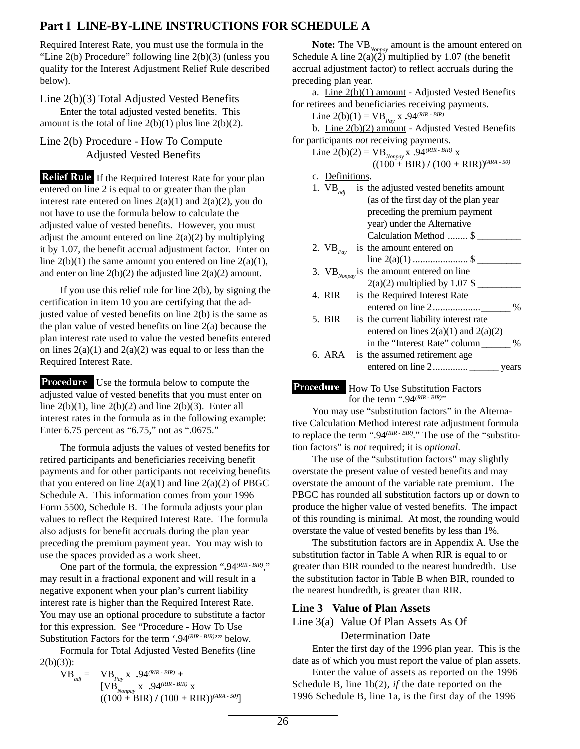## **Part I LINE-BY-LINE INSTRUCTIONS FOR SCHEDULE A**

Required Interest Rate, you must use the formula in the "Line 2(b) Procedure" following line 2(b)(3) (unless you qualify for the Interest Adjustment Relief Rule described below).

Line 2(b)(3) Total Adjusted Vested Benefits

Enter the total adjusted vested benefits. This amount is the total of line  $2(b)(1)$  plus line  $2(b)(2)$ .

Line 2(b) Procedure - How To Compute Adjusted Vested Benefits

Relief Rule If the Required Interest Rate for your plan entered on line 2 is equal to or greater than the plan interest rate entered on lines  $2(a)(1)$  and  $2(a)(2)$ , you do not have to use the formula below to calculate the adjusted value of vested benefits. However, you must adjust the amount entered on line  $2(a)(2)$  by multiplying it by 1.07, the benefit accrual adjustment factor. Enter on line  $2(b)(1)$  the same amount you entered on line  $2(a)(1)$ , and enter on line  $2(b)(2)$  the adjusted line  $2(a)(2)$  amount.

If you use this relief rule for line 2(b), by signing the certification in item 10 you are certifying that the adjusted value of vested benefits on line 2(b) is the same as the plan value of vested benefits on line 2(a) because the plan interest rate used to value the vested benefits entered on lines  $2(a)(1)$  and  $2(a)(2)$  was equal to or less than the Required Interest Rate.

**Procedure** Use the formula below to compute the adjusted value of vested benefits that you must enter on line  $2(b)(1)$ , line  $2(b)(2)$  and line  $2(b)(3)$ . Enter all interest rates in the formula as in the following example: Enter 6.75 percent as "6.75," not as ".0675."

The formula adjusts the values of vested benefits for retired participants and beneficiaries receiving benefit payments and for other participants not receiving benefits that you entered on line  $2(a)(1)$  and line  $2(a)(2)$  of PBGC Schedule A. This information comes from your 1996 Form 5500, Schedule B. The formula adjusts your plan values to reflect the Required Interest Rate. The formula also adjusts for benefit accruals during the plan year preceding the premium payment year. You may wish to use the spaces provided as a work sheet.

One part of the formula, the expression "**.**94*(RIR - BIR)*," may result in a fractional exponent and will result in a negative exponent when your plan's current liability interest rate is higher than the Required Interest Rate. You may use an optional procedure to substitute a factor for this expression. See "Procedure - How To Use Substitution Factors for the term '**.**94*(RIR - BIR)*'" below.

Formula for Total Adjusted Vested Benefits (line  $2(b)(3)$ :

$$
\begin{array}{rl} \rm{VB}_{\it{adj}} = & \rm{VB}_{\it{Pay}} \; x \;\cdot\!\!\!\!\! \cdot\!\!\!\! 94^{\it{(RIR-BIR)}} + \\ & [\rm{VB}_{\it{Nonpay}} \; x \;\cdot\!\!\!\!\! 94^{\it{(RIR-BIR)}} \; x \\ & ((100 + BIR) \; / \; (100 + RIR))^{\it{(ARA-S0)}}] \end{array}
$$

Note: The VB<sub>Nonpay</sub> amount is the amount entered on Schedule A line  $2(a)(2)$  multiplied by 1.07 (the benefit accrual adjustment factor) to reflect accruals during the preceding plan year.

a. Line 2(b)(1) amount - Adjusted Vested Benefits for retirees and beneficiaries receiving payments.

Line 2(b)(1) =  $VB_{Pav}$  x  $.94^{(RIR - BIR)}$ 

b. Line  $2(b)(2)$  amount - Adjusted Vested Benefits for participants *not* receiving payments.

Line  $2(b)(2) = VB_{N \text{norm}} x .94^{(RIR + BIR)} x$ 

$$
((100 + BIR) / (100 + RIR))^{(ARA - 50)}
$$

c. Definitions.

| Definitions.                      |                                                |
|-----------------------------------|------------------------------------------------|
| 1. $VB_{adj}$                     | is the adjusted vested benefits amount         |
|                                   | (as of the first day of the plan year          |
|                                   | preceding the premium payment                  |
|                                   | year) under the Alternative                    |
|                                   | Calculation Method  \$                         |
| 2. $VB_{\scriptscriptstyle{Pav}}$ | is the amount entered on                       |
|                                   | line $2(a)(1)$ \$                              |
|                                   | 3. $VB_{Nonpay}$ is the amount entered on line |
|                                   | $2(a)(2)$ multiplied by 1.07 \$                |
| 4. RIR                            | is the Required Interest Rate                  |
|                                   | $\frac{0}{0}$                                  |
| 5. BIR                            | is the current liability interest rate         |
|                                   | entered on lines $2(a)(1)$ and $2(a)(2)$       |
|                                   | in the "Interest Rate" column<br>$\frac{0}{0}$ |
| 6. ARA                            | is the assumed retirement age.                 |
|                                   |                                                |
|                                   |                                                |

**Procedure** How To Use Substitution Factors for the term ".94*(RIR - BIR)*"

You may use "substitution factors" in the Alternative Calculation Method interest rate adjustment formula to replace the term ".94<sup>(RIR *- BIR*)." The use of the "substitu-</sup> tion factors" is *not* required; it is *optional*.

The use of the "substitution factors" may slightly overstate the present value of vested benefits and may overstate the amount of the variable rate premium. The PBGC has rounded all substitution factors up or down to produce the higher value of vested benefits. The impact of this rounding is minimal. At most, the rounding would overstate the value of vested benefits by less than 1%.

The substitution factors are in Appendix A. Use the substitution factor in Table A when RIR is equal to or greater than BIR rounded to the nearest hundredth. Use the substitution factor in Table B when BIR, rounded to the nearest hundredth, is greater than RIR.

### **Line 3 Value of Plan Assets**

Line 3(a) Value Of Plan Assets As Of Determination Date

Enter the first day of the 1996 plan year. This is the date as of which you must report the value of plan assets.

Enter the value of assets as reported on the 1996 Schedule B, line 1b(2), *if* the date reported on the 1996 Schedule B, line 1a, is the first day of the 1996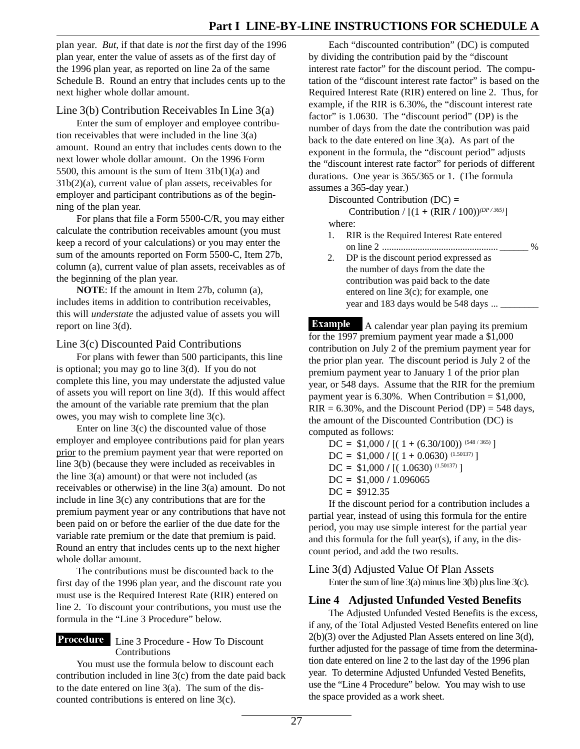plan year. *But*, if that date is *not* the first day of the 1996 plan year, enter the value of assets as of the first day of the 1996 plan year, as reported on line 2a of the same Schedule B. Round an entry that includes cents up to the next higher whole dollar amount.

## Line 3(b) Contribution Receivables In Line 3(a)

Enter the sum of employer and employee contribution receivables that were included in the line 3(a) amount. Round an entry that includes cents down to the next lower whole dollar amount. On the 1996 Form 5500, this amount is the sum of Item 31b(1)(a) and 31b(2)(a), current value of plan assets, receivables for employer and participant contributions as of the beginning of the plan year.

For plans that file a Form 5500-C/R, you may either calculate the contribution receivables amount (you must keep a record of your calculations) or you may enter the sum of the amounts reported on Form 5500-C, Item 27b, column (a), current value of plan assets, receivables as of the beginning of the plan year.

**NOTE**: If the amount in Item 27b, column (a), includes items in addition to contribution receivables, this will *understate* the adjusted value of assets you will report on line 3(d).

### Line 3(c) Discounted Paid Contributions

For plans with fewer than 500 participants, this line is optional; you may go to line 3(d). If you do not complete this line, you may understate the adjusted value of assets you will report on line 3(d). If this would affect the amount of the variable rate premium that the plan owes, you may wish to complete line 3(c).

Enter on line 3(c) the discounted value of those employer and employee contributions paid for plan years prior to the premium payment year that were reported on line 3(b) (because they were included as receivables in the line 3(a) amount) or that were not included (as receivables or otherwise) in the line 3(a) amount. Do not include in line 3(c) any contributions that are for the premium payment year or any contributions that have not been paid on or before the earlier of the due date for the variable rate premium or the date that premium is paid. Round an entry that includes cents up to the next higher whole dollar amount.

The contributions must be discounted back to the first day of the 1996 plan year, and the discount rate you must use is the Required Interest Rate (RIR) entered on line 2. To discount your contributions, you must use the formula in the "Line 3 Procedure" below.

### **Procedure** Line 3 Procedure - How To Discount **Contributions**

You must use the formula below to discount each contribution included in line 3(c) from the date paid back to the date entered on line  $3(a)$ . The sum of the discounted contributions is entered on line 3(c).

Each "discounted contribution" (DC) is computed by dividing the contribution paid by the "discount interest rate factor" for the discount period. The computation of the "discount interest rate factor" is based on the Required Interest Rate (RIR) entered on line 2. Thus, for example, if the RIR is 6.30%, the "discount interest rate factor" is 1.0630. The "discount period" (DP) is the number of days from the date the contribution was paid back to the date entered on line 3(a). As part of the exponent in the formula, the "discount period" adjusts the "discount interest rate factor" for periods of different durations. One year is 365/365 or 1. (The formula assumes a 365-day year.)

Discounted Contribution  $(DC)$  = Contribution /  $[(1 + (RIR / 100))^{(DP / 365)}]$ where:

- 1. RIR is the Required Interest Rate entered on line 2 ................................................. \_\_\_\_\_\_ %
- 2. DP is the discount period expressed as the number of days from the date the contribution was paid back to the date entered on line 3(c); for example, one year and 183 days would be  $548$  days  $\ldots$

Example A calendar year plan paying its premium for the 1997 premium payment year made a \$1,000 contribution on July 2 of the premium payment year for the prior plan year. The discount period is July 2 of the premium payment year to January 1 of the prior plan year, or 548 days. Assume that the RIR for the premium payment year is  $6.30\%$ . When Contribution = \$1,000,  $RIR = 6.30\%$ , and the Discount Period (DP) = 548 days, the amount of the Discounted Contribution (DC) is computed as follows:

 $DC = $1,000 / [(1 + (6.30/100))^{(548/365)}]$  $DC = $1,000 / [(1 + 0.0630)^{(1.50137)}]$  $DC = $1,000 / [(1.0630)^{(1.50137)}]$ DC **=** \$1,000 **/** 1.096065 DC **=** \$912.35

If the discount period for a contribution includes a partial year, instead of using this formula for the entire period, you may use simple interest for the partial year and this formula for the full year(s), if any, in the discount period, and add the two results.

Line 3(d) Adjusted Value Of Plan Assets Enter the sum of line  $3(a)$  minus line  $3(b)$  plus line  $3(c)$ .

## **Line 4 Adjusted Unfunded Vested Benefits**

The Adjusted Unfunded Vested Benefits is the excess, if any, of the Total Adjusted Vested Benefits entered on line 2(b)(3) over the Adjusted Plan Assets entered on line 3(d), further adjusted for the passage of time from the determination date entered on line 2 to the last day of the 1996 plan year. To determine Adjusted Unfunded Vested Benefits, use the "Line 4 Procedure" below. You may wish to use the space provided as a work sheet.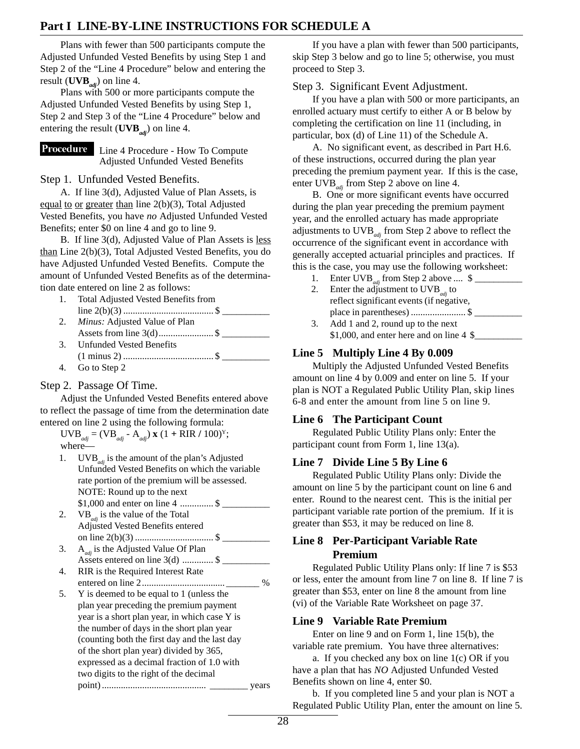## **Part I LINE-BY-LINE INSTRUCTIONS FOR SCHEDULE A**

Plans with fewer than 500 participants compute the Adjusted Unfunded Vested Benefits by using Step 1 and Step 2 of the "Line 4 Procedure" below and entering the result (**UVB***adj*) on line 4.

Plans with 500 or more participants compute the Adjusted Unfunded Vested Benefits by using Step 1, Step 2 and Step 3 of the "Line 4 Procedure" below and entering the result ( $\mathbf{UVB}_{adi}$ ) on line 4.

### **Procedure** Line 4 Procedure - How To Compute Adjusted Unfunded Vested Benefits

Step 1. Unfunded Vested Benefits.

A. If line 3(d), Adjusted Value of Plan Assets, is equal to or greater than line 2(b)(3), Total Adjusted Vested Benefits, you have *no* Adjusted Unfunded Vested Benefits; enter \$0 on line 4 and go to line 9.

B. If line 3(d), Adjusted Value of Plan Assets is less than Line 2(b)(3), Total Adjusted Vested Benefits, you do have Adjusted Unfunded Vested Benefits. Compute the amount of Unfunded Vested Benefits as of the determination date entered on line 2 as follows:

- 1. Total Adjusted Vested Benefits from line 2(b)(3) ...................................... \$ \_\_\_\_\_\_\_\_\_\_
- 2. *Minus:* Adjusted Value of Plan Assets from line 3(d)....................... \$ \_\_\_\_\_\_\_\_\_\_
- 3. Unfunded Vested Benefits (1 minus 2) ...................................... \$ \_\_\_\_\_\_\_\_\_\_
- 4. Go to Step 2

### Step 2. Passage Of Time.

Adjust the Unfunded Vested Benefits entered above to reflect the passage of time from the determination date entered on line 2 using the following formula:

```
UVB_{adj} = (VB_{adj} - A_{adj}) \times (1 + RIR / 100)^{Y};where—
```
1. UVB*adj* is the amount of the plan's Adjusted Unfunded Vested Benefits on which the variable rate portion of the premium will be assessed. NOTE: Round up to the next \$1,000 and enter on line 4 .............. \$ \_\_\_\_\_\_\_\_\_\_ 2. VB*adj* is the value of the Total Adjusted Vested Benefits entered on line 2(b)(3) ................................. \$ \_\_\_\_\_\_\_\_\_\_ 3. A*adj* is the Adjusted Value Of Plan Assets entered on line 3(d) ............. \$ \_\_\_\_\_\_\_\_\_\_ 4. RIR is the Required Interest Rate entered on line 2................................... \_\_\_\_\_\_\_ % 5. Y is deemed to be equal to 1 (unless the plan year preceding the premium payment year is a short plan year, in which case Y is the number of days in the short plan year (counting both the first day and the last day of the short plan year) divided by 365, expressed as a decimal fraction of 1.0 with

two digits to the right of the decimal point) ............................................ \_\_\_\_\_\_\_\_ years

If you have a plan with fewer than 500 participants, skip Step 3 below and go to line 5; otherwise, you must proceed to Step 3.

### Step 3. Significant Event Adjustment.

If you have a plan with 500 or more participants, an enrolled actuary must certify to either A or B below by completing the certification on line 11 (including, in particular, box (d) of Line 11) of the Schedule A.

A. No significant event, as described in Part H.6. of these instructions, occurred during the plan year preceding the premium payment year. If this is the case, enter UVB*adj* from Step 2 above on line 4.

B. One or more significant events have occurred during the plan year preceding the premium payment year, and the enrolled actuary has made appropriate adjustments to UVB*adj* from Step 2 above to reflect the occurrence of the significant event in accordance with generally accepted actuarial principles and practices. If this is the case, you may use the following worksheet:

- 1. Enter UVB*adj* from Step 2 above .... \$ \_\_\_\_\_\_\_\_\_\_
	- Enter the adjustment to  $\text{UVB}_{\text{adj}}$  to reflect significant events (if negative, place in parentheses) ....................... \$ \_\_\_\_\_\_\_\_\_\_
	- 3. Add 1 and 2, round up to the next  $$1,000$ , and enter here and on line 4  $$$

### **Line 5 Multiply Line 4 By 0.009**

Multiply the Adjusted Unfunded Vested Benefits amount on line 4 by 0.009 and enter on line 5. If your plan is NOT a Regulated Public Utility Plan, skip lines 6-8 and enter the amount from line 5 on line 9.

### **Line 6 The Participant Count**

Regulated Public Utility Plans only: Enter the participant count from Form 1, line 13(a).

### **Line 7 Divide Line 5 By Line 6**

Regulated Public Utility Plans only: Divide the amount on line 5 by the participant count on line 6 and enter. Round to the nearest cent. This is the initial per participant variable rate portion of the premium. If it is greater than \$53, it may be reduced on line 8.

### **Line 8 Per-Participant Variable Rate Premium**

Regulated Public Utility Plans only: If line 7 is \$53 or less, enter the amount from line 7 on line 8. If line 7 is greater than \$53, enter on line 8 the amount from line (vi) of the Variable Rate Worksheet on page 37.

### **Line 9 Variable Rate Premium**

Enter on line 9 and on Form 1, line 15(b), the variable rate premium. You have three alternatives:

a. If you checked any box on line 1(c) OR if you have a plan that has *NO* Adjusted Unfunded Vested Benefits shown on line 4, enter \$0.

b. If you completed line 5 and your plan is NOT a Regulated Public Utility Plan, enter the amount on line 5.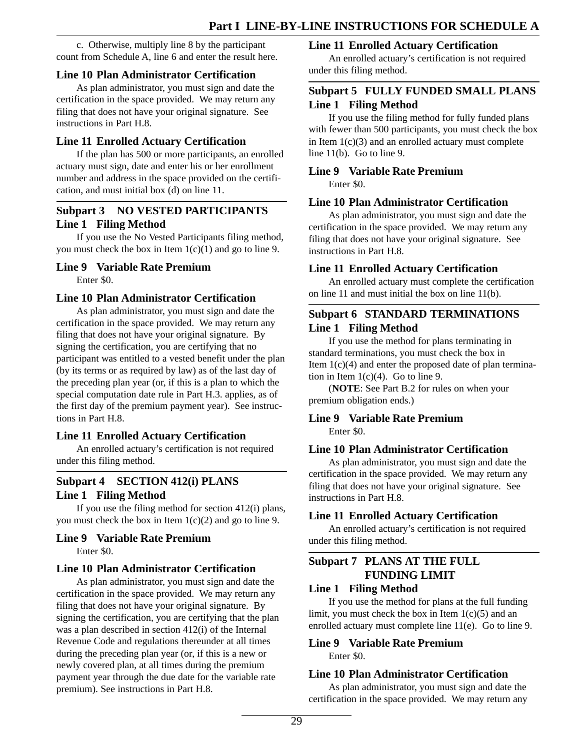c. Otherwise, multiply line 8 by the participant count from Schedule A, line 6 and enter the result here.

### **Line 10 Plan Administrator Certification**

As plan administrator, you must sign and date the certification in the space provided. We may return any filing that does not have your original signature. See instructions in Part H.8.

### **Line 11 Enrolled Actuary Certification**

If the plan has 500 or more participants, an enrolled actuary must sign, date and enter his or her enrollment number and address in the space provided on the certification, and must initial box (d) on line 11.

## **Subpart 3 NO VESTED PARTICIPANTS Line 1 Filing Method**

If you use the No Vested Participants filing method, you must check the box in Item  $1(c)(1)$  and go to line 9.

## **Line 9 Variable Rate Premium**

Enter \$0.

### **Line 10 Plan Administrator Certification**

As plan administrator, you must sign and date the certification in the space provided. We may return any filing that does not have your original signature. By signing the certification, you are certifying that no participant was entitled to a vested benefit under the plan (by its terms or as required by law) as of the last day of the preceding plan year (or, if this is a plan to which the special computation date rule in Part H.3. applies, as of the first day of the premium payment year). See instructions in Part H.8.

### **Line 11 Enrolled Actuary Certification**

An enrolled actuary's certification is not required under this filing method.

## **Subpart 4 SECTION 412(i) PLANS Line 1 Filing Method**

If you use the filing method for section 412(i) plans, you must check the box in Item  $1(c)(2)$  and go to line 9.

### **Line 9 Variable Rate Premium** Enter \$0.

### **Line 10 Plan Administrator Certification**

As plan administrator, you must sign and date the certification in the space provided. We may return any filing that does not have your original signature. By signing the certification, you are certifying that the plan was a plan described in section 412(i) of the Internal Revenue Code and regulations thereunder at all times during the preceding plan year (or, if this is a new or newly covered plan, at all times during the premium payment year through the due date for the variable rate premium). See instructions in Part H.8.

## **Line 11 Enrolled Actuary Certification**

An enrolled actuary's certification is not required under this filing method.

## **Subpart 5 FULLY FUNDED SMALL PLANS Line 1 Filing Method**

If you use the filing method for fully funded plans with fewer than 500 participants, you must check the box in Item  $1(c)(3)$  and an enrolled actuary must complete line 11(b). Go to line 9.

### **Line 9 Variable Rate Premium** Enter \$0.

### **Line 10 Plan Administrator Certification**

As plan administrator, you must sign and date the certification in the space provided. We may return any filing that does not have your original signature. See instructions in Part H.8.

### **Line 11 Enrolled Actuary Certification**

An enrolled actuary must complete the certification on line 11 and must initial the box on line 11(b).

## **Subpart 6 STANDARD TERMINATIONS Line 1 Filing Method**

If you use the method for plans terminating in standard terminations, you must check the box in Item  $1(c)(4)$  and enter the proposed date of plan termination in Item  $1(c)(4)$ . Go to line 9.

(**NOTE**: See Part B.2 for rules on when your premium obligation ends.)

### **Line 9 Variable Rate Premium** Enter \$0.

### **Line 10 Plan Administrator Certification**

As plan administrator, you must sign and date the certification in the space provided. We may return any filing that does not have your original signature. See instructions in Part H.8.

### **Line 11 Enrolled Actuary Certification**

An enrolled actuary's certification is not required under this filing method.

## **Subpart 7 PLANS AT THE FULL FUNDING LIMIT**

### **Line 1 Filing Method**

If you use the method for plans at the full funding limit, you must check the box in Item  $1(c)(5)$  and an enrolled actuary must complete line 11(e). Go to line 9.

### **Line 9 Variable Rate Premium** Enter \$0.

### **Line 10 Plan Administrator Certification**

As plan administrator, you must sign and date the certification in the space provided. We may return any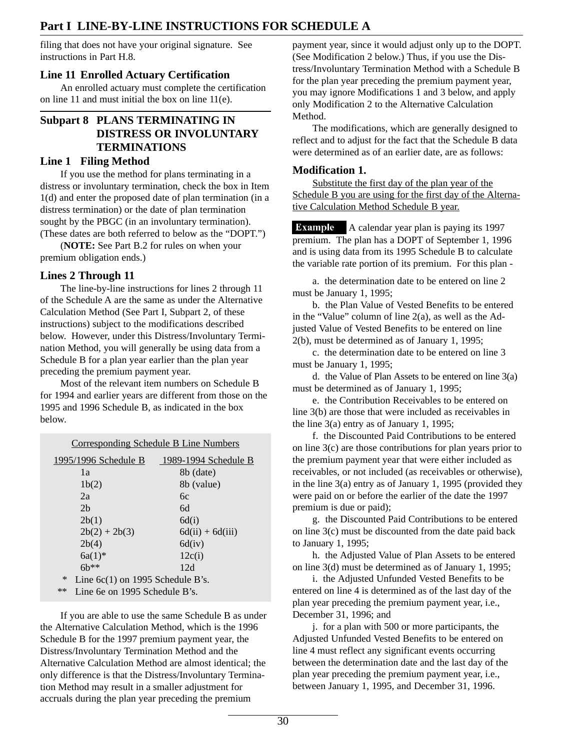## **Part I LINE-BY-LINE INSTRUCTIONS FOR SCHEDULE A**

filing that does not have your original signature. See instructions in Part H.8.

### **Line 11 Enrolled Actuary Certification**

An enrolled actuary must complete the certification on line 11 and must initial the box on line 11(e).

## **Subpart 8 PLANS TERMINATING IN DISTRESS OR INVOLUNTARY TERMINATIONS**

### **Line 1 Filing Method**

If you use the method for plans terminating in a distress or involuntary termination, check the box in Item 1(d) and enter the proposed date of plan termination (in a distress termination) or the date of plan termination sought by the PBGC (in an involuntary termination). (These dates are both referred to below as the "DOPT.")

(**NOTE:** See Part B.2 for rules on when your premium obligation ends.)

## **Lines 2 Through 11**

The line-by-line instructions for lines 2 through 11 of the Schedule A are the same as under the Alternative Calculation Method (See Part I, Subpart 2, of these instructions) subject to the modifications described below. However, under this Distress/Involuntary Termination Method, you will generally be using data from a Schedule B for a plan year earlier than the plan year preceding the premium payment year.

Most of the relevant item numbers on Schedule B for 1994 and earlier years are different from those on the 1995 and 1996 Schedule B, as indicated in the box below.

| <b>Corresponding Schedule B Line Numbers</b> |                      |  |  |  |
|----------------------------------------------|----------------------|--|--|--|
| $1995/1996$ Schedule B                       | 1989-1994 Schedule B |  |  |  |
| 1a                                           | 8b (date)            |  |  |  |
| 1b(2)                                        | 8b (value)           |  |  |  |
| 2a                                           | 6с                   |  |  |  |
| 2 <sub>b</sub>                               | 6d                   |  |  |  |
| 2b(1)                                        | 6d(i)                |  |  |  |
| $2b(2) + 2b(3)$                              | $6d(ii) + 6d(iii)$   |  |  |  |
| 2b(4)                                        | 6d(iv)               |  |  |  |
| $6a(1)$ *                                    | 12c(i)               |  |  |  |
| $6h**$                                       | 12d                  |  |  |  |
| $\ast$<br>Line $6c(1)$ on 1995 Schedule B's. |                      |  |  |  |
| $**$<br>Line 6e on 1995 Schedule B's.        |                      |  |  |  |

If you are able to use the same Schedule B as under the Alternative Calculation Method, which is the 1996 Schedule B for the 1997 premium payment year, the Distress/Involuntary Termination Method and the Alternative Calculation Method are almost identical; the only difference is that the Distress/Involuntary Termination Method may result in a smaller adjustment for accruals during the plan year preceding the premium

payment year, since it would adjust only up to the DOPT. (See Modification 2 below.) Thus, if you use the Distress/Involuntary Termination Method with a Schedule B for the plan year preceding the premium payment year, you may ignore Modifications 1 and 3 below, and apply only Modification 2 to the Alternative Calculation Method.

The modifications, which are generally designed to reflect and to adjust for the fact that the Schedule B data were determined as of an earlier date, are as follows:

### **Modification 1.**

Substitute the first day of the plan year of the Schedule B you are using for the first day of the Alternative Calculation Method Schedule B year.

**Example** A calendar year plan is paying its 1997 premium. The plan has a DOPT of September 1, 1996 and is using data from its 1995 Schedule B to calculate the variable rate portion of its premium. For this plan -

a. the determination date to be entered on line 2 must be January 1, 1995;

b. the Plan Value of Vested Benefits to be entered in the "Value" column of line  $2(a)$ , as well as the Adjusted Value of Vested Benefits to be entered on line 2(b), must be determined as of January 1, 1995;

c. the determination date to be entered on line 3 must be January 1, 1995;

d. the Value of Plan Assets to be entered on line 3(a) must be determined as of January 1, 1995;

e. the Contribution Receivables to be entered on line 3(b) are those that were included as receivables in the line 3(a) entry as of January 1, 1995;

f. the Discounted Paid Contributions to be entered on line 3(c) are those contributions for plan years prior to the premium payment year that were either included as receivables, or not included (as receivables or otherwise), in the line 3(a) entry as of January 1, 1995 (provided they were paid on or before the earlier of the date the 1997 premium is due or paid);

g. the Discounted Paid Contributions to be entered on line 3(c) must be discounted from the date paid back to January 1, 1995;

h. the Adjusted Value of Plan Assets to be entered on line 3(d) must be determined as of January 1, 1995;

i. the Adjusted Unfunded Vested Benefits to be entered on line 4 is determined as of the last day of the plan year preceding the premium payment year, i.e., December 31, 1996; and

j. for a plan with 500 or more participants, the Adjusted Unfunded Vested Benefits to be entered on line 4 must reflect any significant events occurring between the determination date and the last day of the plan year preceding the premium payment year, i.e., between January 1, 1995, and December 31, 1996.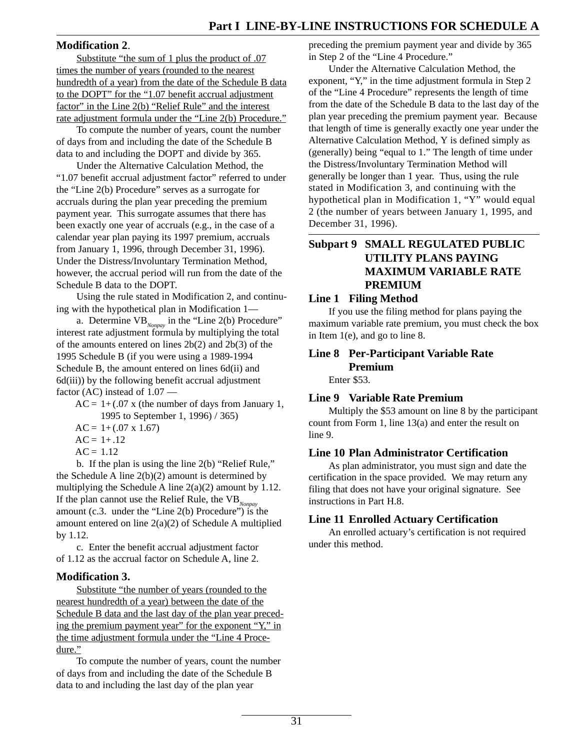## **Modification 2**.

Substitute "the sum of 1 plus the product of .07 times the number of years (rounded to the nearest hundredth of a year) from the date of the Schedule B data to the DOPT" for the "1.07 benefit accrual adjustment factor" in the Line 2(b) "Relief Rule" and the interest rate adjustment formula under the "Line 2(b) Procedure."

To compute the number of years, count the number of days from and including the date of the Schedule B data to and including the DOPT and divide by 365.

Under the Alternative Calculation Method, the "1.07 benefit accrual adjustment factor" referred to under the "Line 2(b) Procedure" serves as a surrogate for accruals during the plan year preceding the premium payment year. This surrogate assumes that there has been exactly one year of accruals (e.g., in the case of a calendar year plan paying its 1997 premium, accruals from January 1, 1996, through December 31, 1996). Under the Distress/Involuntary Termination Method, however, the accrual period will run from the date of the Schedule B data to the DOPT.

Using the rule stated in Modification 2, and continuing with the hypothetical plan in Modification 1—

a. Determine VB*Nonpay* in the "Line 2(b) Procedure" interest rate adjustment formula by multiplying the total of the amounts entered on lines 2b(2) and 2b(3) of the 1995 Schedule B (if you were using a 1989-1994 Schedule B, the amount entered on lines 6d(ii) and 6d(iii)) by the following benefit accrual adjustment factor (AC) instead of 1.07 —

 $AC = 1 + (.07 \times (the number of days from January 1,$ 1995 to September 1, 1996) / 365)

 $AC = 1 + (.07 \times 1.67)$ 

 $AC = 1 + .12$ 

 $AC = 1.12$ 

b. If the plan is using the line 2(b) "Relief Rule," the Schedule A line  $2(b)(2)$  amount is determined by multiplying the Schedule A line  $2(a)(2)$  amount by 1.12. If the plan cannot use the Relief Rule, the VB<sub>Nonpay</sub> amount (c.3. under the "Line 2(b) Procedure") is the amount entered on line 2(a)(2) of Schedule A multiplied by 1.12.

c. Enter the benefit accrual adjustment factor of 1.12 as the accrual factor on Schedule A, line 2.

## **Modification 3.**

Substitute "the number of years (rounded to the nearest hundredth of a year) between the date of the Schedule B data and the last day of the plan year preceding the premium payment year" for the exponent "Y," in the time adjustment formula under the "Line 4 Procedure."

To compute the number of years, count the number of days from and including the date of the Schedule B data to and including the last day of the plan year

preceding the premium payment year and divide by 365 in Step 2 of the "Line 4 Procedure."

Under the Alternative Calculation Method, the exponent, "Y," in the time adjustment formula in Step 2 of the "Line 4 Procedure" represents the length of time from the date of the Schedule B data to the last day of the plan year preceding the premium payment year. Because that length of time is generally exactly one year under the Alternative Calculation Method, Y is defined simply as (generally) being "equal to 1." The length of time under the Distress/Involuntary Termination Method will generally be longer than 1 year. Thus, using the rule stated in Modification 3, and continuing with the hypothetical plan in Modification 1, "Y" would equal 2 (the number of years between January 1, 1995, and December 31, 1996).

## **Subpart 9 SMALL REGULATED PUBLIC UTILITY PLANS PAYING MAXIMUM VARIABLE RATE PREMIUM**

## **Line 1 Filing Method**

If you use the filing method for plans paying the maximum variable rate premium, you must check the box in Item 1(e), and go to line 8.

### **Line 8 Per-Participant Variable Rate Premium** Enter \$53.

## **Line 9 Variable Rate Premium**

Multiply the \$53 amount on line 8 by the participant count from Form 1, line 13(a) and enter the result on line 9.

### **Line 10 Plan Administrator Certification**

As plan administrator, you must sign and date the certification in the space provided. We may return any filing that does not have your original signature. See instructions in Part H.8.

## **Line 11 Enrolled Actuary Certification**

An enrolled actuary's certification is not required under this method.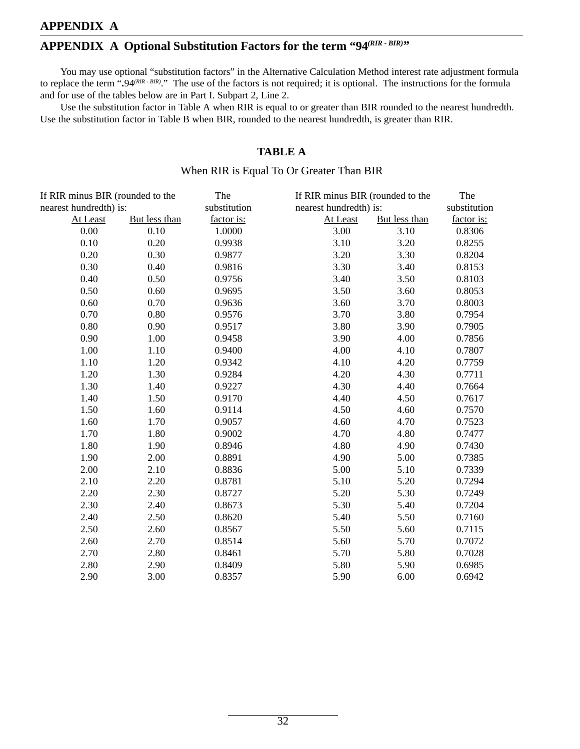## **APPENDIX A**

# APPENDIX A Optional Substitution Factors for the term "94<sup>*RIR - BIR*)"</sup>

You may use optional "substitution factors" in the Alternative Calculation Method interest rate adjustment formula to replace the term "**.**94*(RIR - BIR)*." The use of the factors is not required; it is optional. The instructions for the formula and for use of the tables below are in Part I. Subpart 2, Line 2.

Use the substitution factor in Table A when RIR is equal to or greater than BIR rounded to the nearest hundredth. Use the substitution factor in Table B when BIR, rounded to the nearest hundredth, is greater than RIR.

### **TABLE A**

### When RIR is Equal To Or Greater Than BIR

| If RIR minus BIR (rounded to the<br>nearest hundredth) is: |      | The<br>substitution | If RIR minus BIR (rounded to the<br>nearest hundredth) is: |      | The<br>substitution |
|------------------------------------------------------------|------|---------------------|------------------------------------------------------------|------|---------------------|
|                                                            |      |                     |                                                            |      |                     |
| 0.00                                                       | 0.10 | 1.0000              | 3.00                                                       | 3.10 | 0.8306              |
| 0.10                                                       | 0.20 | 0.9938              | 3.10                                                       | 3.20 | 0.8255              |
| 0.20                                                       | 0.30 | 0.9877              | 3.20                                                       | 3.30 | 0.8204              |
| 0.30                                                       | 0.40 | 0.9816              | 3.30                                                       | 3.40 | 0.8153              |
| 0.40                                                       | 0.50 | 0.9756              | 3.40                                                       | 3.50 | 0.8103              |
| 0.50                                                       | 0.60 | 0.9695              | 3.50                                                       | 3.60 | 0.8053              |
| 0.60                                                       | 0.70 | 0.9636              | 3.60                                                       | 3.70 | 0.8003              |
| 0.70                                                       | 0.80 | 0.9576              | 3.70                                                       | 3.80 | 0.7954              |
| 0.80                                                       | 0.90 | 0.9517              | 3.80                                                       | 3.90 | 0.7905              |
| 0.90                                                       | 1.00 | 0.9458              | 3.90                                                       | 4.00 | 0.7856              |
| 1.00                                                       | 1.10 | 0.9400              | 4.00                                                       | 4.10 | 0.7807              |
| 1.10                                                       | 1.20 | 0.9342              | 4.10                                                       | 4.20 | 0.7759              |
| 1.20                                                       | 1.30 | 0.9284              | 4.20                                                       | 4.30 | 0.7711              |
| 1.30                                                       | 1.40 | 0.9227              | 4.30                                                       | 4.40 | 0.7664              |
| 1.40                                                       | 1.50 | 0.9170              | 4.40                                                       | 4.50 | 0.7617              |
| 1.50                                                       | 1.60 | 0.9114              | 4.50                                                       | 4.60 | 0.7570              |
| 1.60                                                       | 1.70 | 0.9057              | 4.60                                                       | 4.70 | 0.7523              |
| 1.70                                                       | 1.80 | 0.9002              | 4.70                                                       | 4.80 | 0.7477              |
| 1.80                                                       | 1.90 | 0.8946              | 4.80                                                       | 4.90 | 0.7430              |
| 1.90                                                       | 2.00 | 0.8891              | 4.90                                                       | 5.00 | 0.7385              |
| 2.00                                                       | 2.10 | 0.8836              | 5.00                                                       | 5.10 | 0.7339              |
| 2.10                                                       | 2.20 | 0.8781              | 5.10                                                       | 5.20 | 0.7294              |
| 2.20                                                       | 2.30 | 0.8727              | 5.20                                                       | 5.30 | 0.7249              |
| 2.30                                                       | 2.40 | 0.8673              | 5.30                                                       | 5.40 | 0.7204              |
| 2.40                                                       | 2.50 | 0.8620              | 5.40                                                       | 5.50 | 0.7160              |
| 2.50                                                       | 2.60 | 0.8567              | 5.50                                                       | 5.60 | 0.7115              |
| 2.60                                                       | 2.70 | 0.8514              | 5.60                                                       | 5.70 | 0.7072              |
| 2.70                                                       | 2.80 | 0.8461              | 5.70                                                       | 5.80 | 0.7028              |
| 2.80                                                       | 2.90 | 0.8409              | 5.80                                                       | 5.90 | 0.6985              |
| 2.90                                                       | 3.00 | 0.8357              | 5.90                                                       | 6.00 | 0.6942              |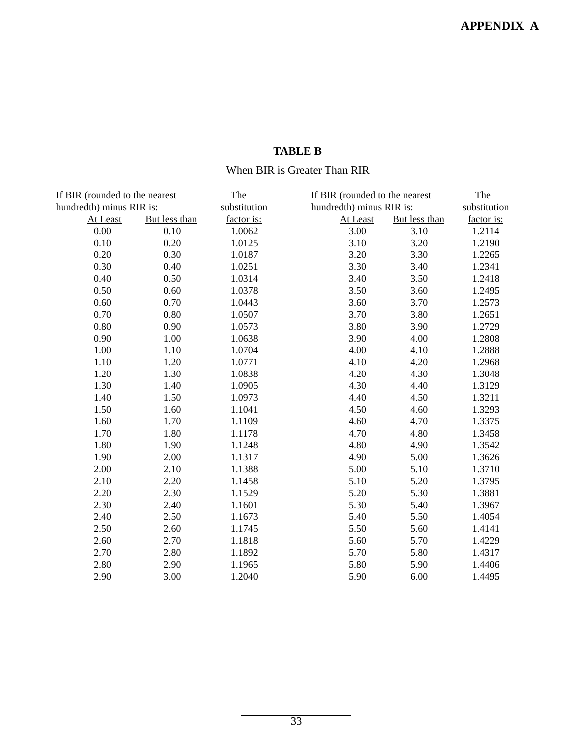## **TABLE B**

## When BIR is Greater Than RIR

| If BIR (rounded to the nearest<br>hundredth) minus RIR is: |      | The<br>substitution | If BIR (rounded to the nearest<br>hundredth) minus RIR is: |      | The<br>substitution |
|------------------------------------------------------------|------|---------------------|------------------------------------------------------------|------|---------------------|
|                                                            |      |                     |                                                            |      |                     |
| 0.00                                                       | 0.10 | 1.0062              | 3.00                                                       | 3.10 | 1.2114              |
| 0.10                                                       | 0.20 | 1.0125              | 3.10                                                       | 3.20 | 1.2190              |
| 0.20                                                       | 0.30 | 1.0187              | 3.20                                                       | 3.30 | 1.2265              |
| 0.30                                                       | 0.40 | 1.0251              | 3.30                                                       | 3.40 | 1.2341              |
| 0.40                                                       | 0.50 | 1.0314              | 3.40                                                       | 3.50 | 1.2418              |
| 0.50                                                       | 0.60 | 1.0378              | 3.50                                                       | 3.60 | 1.2495              |
| 0.60                                                       | 0.70 | 1.0443              | 3.60                                                       | 3.70 | 1.2573              |
| 0.70                                                       | 0.80 | 1.0507              | 3.70                                                       | 3.80 | 1.2651              |
| 0.80                                                       | 0.90 | 1.0573              | 3.80                                                       | 3.90 | 1.2729              |
| 0.90                                                       | 1.00 | 1.0638              | 3.90                                                       | 4.00 | 1.2808              |
| 1.00                                                       | 1.10 | 1.0704              | 4.00                                                       | 4.10 | 1.2888              |
| 1.10                                                       | 1.20 | 1.0771              | 4.10                                                       | 4.20 | 1.2968              |
| 1.20                                                       | 1.30 | 1.0838              | 4.20                                                       | 4.30 | 1.3048              |
| 1.30                                                       | 1.40 | 1.0905              | 4.30                                                       | 4.40 | 1.3129              |
| 1.40                                                       | 1.50 | 1.0973              | 4.40                                                       | 4.50 | 1.3211              |
| 1.50                                                       | 1.60 | 1.1041              | 4.50                                                       | 4.60 | 1.3293              |
| 1.60                                                       | 1.70 | 1.1109              | 4.60                                                       | 4.70 | 1.3375              |
| 1.70                                                       | 1.80 | 1.1178              | 4.70                                                       | 4.80 | 1.3458              |
| 1.80                                                       | 1.90 | 1.1248              | 4.80                                                       | 4.90 | 1.3542              |
| 1.90                                                       | 2.00 | 1.1317              | 4.90                                                       | 5.00 | 1.3626              |
| 2.00                                                       | 2.10 | 1.1388              | 5.00                                                       | 5.10 | 1.3710              |
| 2.10                                                       | 2.20 | 1.1458              | 5.10                                                       | 5.20 | 1.3795              |
| 2.20                                                       | 2.30 | 1.1529              | 5.20                                                       | 5.30 | 1.3881              |
| 2.30                                                       | 2.40 | 1.1601              | 5.30                                                       | 5.40 | 1.3967              |
| 2.40                                                       | 2.50 | 1.1673              | 5.40                                                       | 5.50 | 1.4054              |
| 2.50                                                       | 2.60 | 1.1745              | 5.50                                                       | 5.60 | 1.4141              |
| 2.60                                                       | 2.70 | 1.1818              | 5.60                                                       | 5.70 | 1.4229              |
| 2.70                                                       | 2.80 | 1.1892              | 5.70                                                       | 5.80 | 1.4317              |
| 2.80                                                       | 2.90 | 1.1965              | 5.80                                                       | 5.90 | 1.4406              |
| 2.90                                                       | 3.00 | 1.2040              | 5.90                                                       | 6.00 | 1.4495              |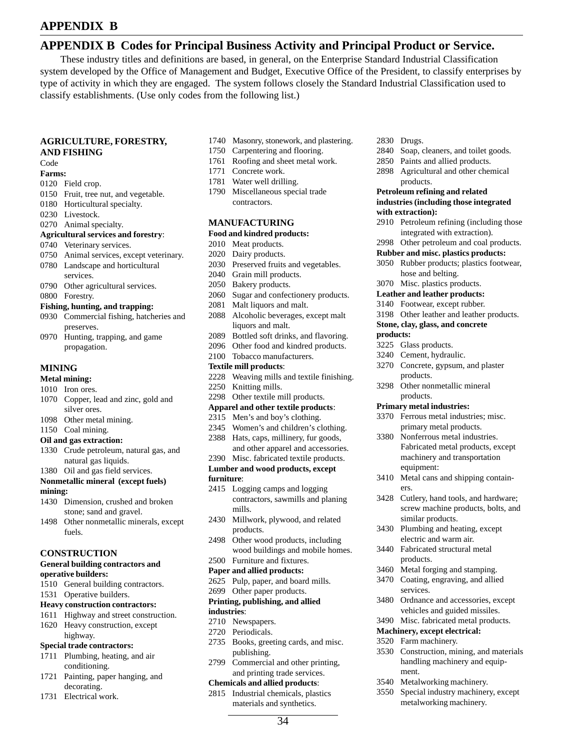## **APPENDIX B Codes for Principal Business Activity and Principal Product or Service.**

These industry titles and definitions are based, in general, on the Enterprise Standard Industrial Classification system developed by the Office of Management and Budget, Executive Office of the President, to classify enterprises by type of activity in which they are engaged. The system follows closely the Standard Industrial Classification used to classify establishments. (Use only codes from the following list.)

### **AGRICULTURE, FORESTRY,**

### **AND FISHING**

### Code

### **Farms:**

- 0120 Field crop.
- 0150 Fruit, tree nut, and vegetable.
- 0180 Horticultural specialty.
- 0230 Livestock.

## 0270 Animal specialty.

## **Agricultural services and forestry**:

- 0740 Veterinary services.
- 0750 Animal services, except veterinary. 0780 Landscape and horticultural
- services.
- 0790 Other agricultural services.
- 0800 Forestry.

## **Fishing, hunting, and trapping:**

- 0930 Commercial fishing, hatcheries and preserves.
- 0970 Hunting, trapping, and game propagation.

### **MINING**

### **Metal mining:**

### 1010 Iron ores.

- 1070 Copper, lead and zinc, gold and silver ores.
- 1098 Other metal mining.
- 1150 Coal mining.

### **Oil and gas extraction:**

- 1330 Crude petroleum, natural gas, and natural gas liquids.
- 1380 Oil and gas field services.

### **Nonmetallic mineral (except fuels)**

### **mining:**

1430 Dimension, crushed and broken stone; sand and gravel.

1498 Other nonmetallic minerals, except fuels.

### **CONSTRUCTION**

### **General building contractors and operative builders:**

- 1510 General building contractors. 1531 Operative builders.
- **Heavy construction contractors:**
- 1611 Highway and street construction.
- 1620 Heavy construction, except highway.

### **Special trade contractors:**

- 1711 Plumbing, heating, and air conditioning.
- 1721 Painting, paper hanging, and decorating.
- 1731 Electrical work.
- 1740 Masonry, stonework, and plastering.
- 1750 Carpentering and flooring.
- 1761 Roofing and sheet metal work. 1771 Concrete work.
- 1781 Water well drilling.
- 1790 Miscellaneous special trade contractors.

### **MANUFACTURING**

### **Food and kindred products:**

- 2010 Meat products.
- 2020 Dairy products.
- 2030 Preserved fruits and vegetables.
- 2040 Grain mill products.
- 2050 Bakery products.
- 2060 Sugar and confectionery products.
- 2081 Malt liquors and malt. 2088 Alcoholic beverages, except malt liquors and malt.
- 2089 Bottled soft drinks, and flavoring.
- 2096 Other food and kindred products.
- 2100 Tobacco manufacturers.

### **Textile mill products**:

- 2228 Weaving mills and textile finishing.
- 2250 Knitting mills.
- 2298 Other textile mill products.
- **Apparel and other textile products**:
- 2315 Men's and boy's clothing.
- 2345 Women's and children's clothing.
- 2388 Hats, caps, millinery, fur goods, and other apparel and accessories.
- 2390 Misc. fabricated textile products.

### **Lumber and wood products, except**

### **furniture**:

- 2415 Logging camps and logging contractors, sawmills and planing mills.
- 2430 Millwork, plywood, and related products.
- 2498 Other wood products, including wood buildings and mobile homes.

### 2500 Furniture and fixtures. **Paper and allied products:**

- 
- 2625 Pulp, paper, and board mills. 2699 Other paper products.

## **Printing, publishing, and allied**

### **industries**:

- 2710 Newspapers.
- 2720 Periodicals.
- 2735 Books, greeting cards, and misc. publishing.
- 2799 Commercial and other printing, and printing trade services.

### **Chemicals and allied products**:

2815 Industrial chemicals, plastics materials and synthetics.

34

### 2830 Drugs.

- 2840 Soap, cleaners, and toilet goods.
- 2850 Paints and allied products.
- 2898 Agricultural and other chemical products.

### **Petroleum refining and related**

### **industries (including those integrated with extraction):**

- 2910 Petroleum refining (including those integrated with extraction).
- 2998 Other petroleum and coal products.

### **Rubber and misc. plastics products:**

- 3050 Rubber products; plastics footwear, hose and belting.
- 3070 Misc. plastics products.
- **Leather and leather products:**
- 3140 Footwear, except rubber.

**products:**

3225 Glass products. 3240 Cement, hydraulic.

products.

products. **Primary metal industries:**

equipment:

similar products. 3430 Plumbing and heating, except electric and warm air. 3440 Fabricated structural metal

3460 Metal forging and stamping. 3470 Coating, engraving, and allied

3480 Ordnance and accessories, except vehicles and guided missiles. 3490 Misc. fabricated metal products. **Machinery, except electrical:** 3520 Farm machinery.

3530 Construction, mining, and materials handling machinery and equip-

3550 Special industry machinery, except metalworking machinery.

3540 Metalworking machinery.

products.

services.

ment.

ers.

3198 Other leather and leather products. **Stone, clay, glass, and concrete**

3270 Concrete, gypsum, and plaster

3370 Ferrous metal industries; misc. primary metal products. 3380 Nonferrous metal industries.

3410 Metal cans and shipping contain-

3428 Cutlery, hand tools, and hardware; screw machine products, bolts, and

Fabricated metal products, except machinery and transportation

3298 Other nonmetallic mineral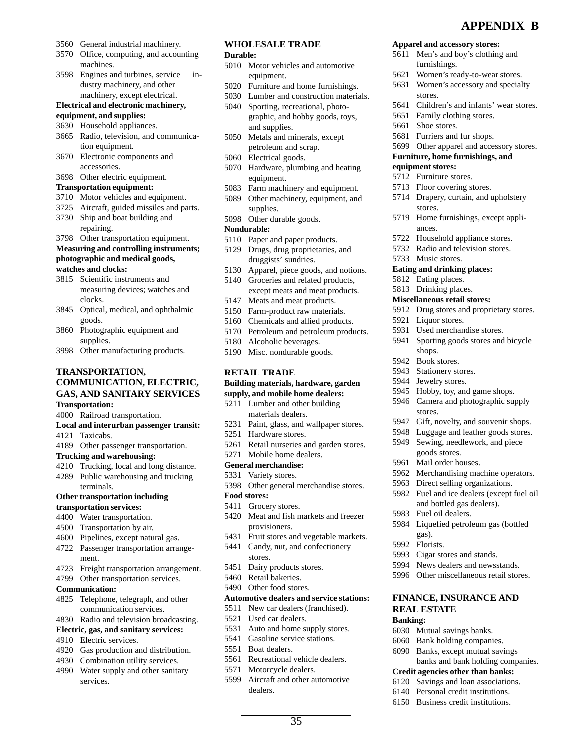- 3560 General industrial machinery.
- 3570 Office, computing, and accounting machines.
- 3598 Engines and turbines, service industry machinery, and other machinery, except electrical.

## **Electrical and electronic machinery,**

- **equipment, and supplies:**
- 3630 Household appliances.
- 3665 Radio, television, and communication equipment.
- 3670 Electronic components and accessories.
- 3698 Other electric equipment.

### **Transportation equipment:**

- 3710 Motor vehicles and equipment.
- 3725 Aircraft, guided missiles and parts. 3730 Ship and boat building and
- repairing.
- 3798 Other transportation equipment.

### **Measuring and controlling instruments; photographic and medical goods,**

### **watches and clocks:**

- 3815 Scientific instruments and measuring devices; watches and clocks.
- 3845 Optical, medical, and ophthalmic goods.
- 3860 Photographic equipment and supplies.
- 3998 Other manufacturing products.

### **TRANSPORTATION, COMMUNICATION, ELECTRIC, GAS, AND SANITARY SERVICES**

### **Transportation:**

- 4000 Railroad transportation.
- **Local and interurban passenger transit:**
- 4121 Taxicabs.
- 4189 Other passenger transportation.

### **Trucking and warehousing:**

- 4210 Trucking, local and long distance. 4289 Public warehousing and trucking
- terminals.

### **Other transportation including**

- **transportation services:**
- 4400 Water transportation.
- 4500 Transportation by air.
- 4600 Pipelines, except natural gas. 4722 Passenger transportation arrange-
- ment.
- 4723 Freight transportation arrangement.
- 4799 Other transportation services.

### **Communication:**

- 4825 Telephone, telegraph, and other communication services.
- 4830 Radio and television broadcasting.
- **Electric, gas, and sanitary services:**
- 4910 Electric services.
- 4920 Gas production and distribution.
- 4930 Combination utility services.
- 4990 Water supply and other sanitary services.

### **WHOLESALE TRADE**

### **Durable:**

- 5010 Motor vehicles and automotive equipment.
- 5020 Furniture and home furnishings.
- 5030 Lumber and construction materials.
- 5040 Sporting, recreational, photographic, and hobby goods, toys, and supplies.
- 5050 Metals and minerals, except petroleum and scrap.
- 5060 Electrical goods.
- 5070 Hardware, plumbing and heating equipment.
- 5083 Farm machinery and equipment.
- 5089 Other machinery, equipment, and supplies.
- 5098 Other durable goods.

### **Nondurable:**

- 5110 Paper and paper products. 5129 Drugs, drug proprietaries, and druggists' sundries.
- 5130 Apparel, piece goods, and notions.
- 5140 Groceries and related products, except meats and meat products.
- 5147 Meats and meat products.
- 5150 Farm-product raw materials.
- 5160 Chemicals and allied products.
- 5170 Petroleum and petroleum products.
- 5180 Alcoholic beverages.
- 5190 Misc. nondurable goods.

### **RETAIL TRADE**

### **Building materials, hardware, garden supply, and mobile home dealers:**

- 5211 Lumber and other building materials dealers.
- 5231 Paint, glass, and wallpaper stores.
- 5251 Hardware stores.
- 5261 Retail nurseries and garden stores.
- 5271 Mobile home dealers.

### **General merchandise:**

- 5331 Variety stores.
- 5398 Other general merchandise stores.
- **Food stores:**
- 5411 Grocery stores.
- 5420 Meat and fish markets and freezer provisioners.
- 5431 Fruit stores and vegetable markets.
- 5441 Candy, nut, and confectionery stores.
- 5451 Dairy products stores.
- 5460 Retail bakeries.
- 5490 Other food stores.

### **Automotive dealers and service stations:**

- 5511 New car dealers (franchised).
- 5521 Used car dealers.
- 5531 Auto and home supply stores.
- 5541 Gasoline service stations.
- 5551 Boat dealers.
- 5561 Recreational vehicle dealers.
- 5571 Motorcycle dealers.
- 5599 Aircraft and other automotive dealers.

35

### **Apparel and accessory stores:**

5611 Men's and boy's clothing and furnishings.

5651 Family clothing stores.

5681 Furriers and fur shops.

5661 Shoe stores.

**equipment stores:** 5712 Furniture stores. 5713 Floor covering stores.

stores.

ances.

5733 Music stores. **Eating and drinking places:** 5812 Eating places. 5813 Drinking places. **Miscellaneous retail stores:**

5921 Liquor stores.

shops. 5942 Book stores. 5943 Stationery stores. 5944 Jewelry stores.

stores.

goods stores. 5961 Mail order houses.

5983 Fuel oil dealers.

5993 Cigar stores and stands. 5994 News dealers and newsstands. 5996 Other miscellaneous retail stores.

6030 Mutual savings banks. 6060 Bank holding companies. 6090 Banks, except mutual savings

**FINANCE, INSURANCE AND**

**Credit agencies other than banks:** 6120 Savings and loan associations. 6140 Personal credit institutions. 6150 Business credit institutions.

banks and bank holding companies.

gas). 5992 Florists.

**REAL ESTATE Banking:**

- 5621 Women's ready-to-wear stores.
- 5631 Women's accessory and specialty stores.
- 5641 Children's and infants' wear stores.

5699 Other apparel and accessory stores. **Furniture, home furnishings, and**

5714 Drapery, curtain, and upholstery

5719 Home furnishings, except appli-

5912 Drug stores and proprietary stores.

5931 Used merchandise stores. 5941 Sporting goods stores and bicycle

5945 Hobby, toy, and game shops. 5946 Camera and photographic supply

5947 Gift, novelty, and souvenir shops. 5948 Luggage and leather goods stores. 5949 Sewing, needlework, and piece

5962 Merchandising machine operators. 5963 Direct selling organizations. 5982 Fuel and ice dealers (except fuel oil and bottled gas dealers).

5984 Liquefied petroleum gas (bottled

5722 Household appliance stores. 5732 Radio and television stores.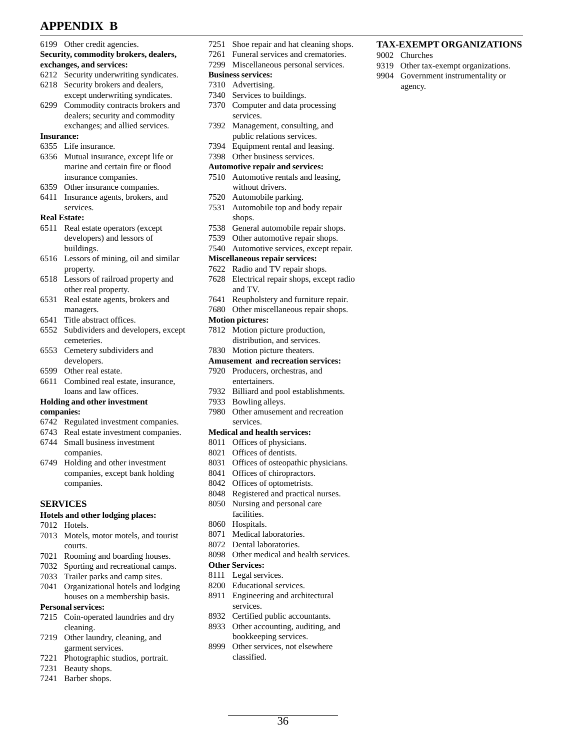## **APPENDIX B**

### 6199 Other credit agencies. **Security, commodity brokers, dealers,**

### **exchanges, and services:**

- 6212 Security underwriting syndicates.
- 6218 Security brokers and dealers,
- except underwriting syndicates. 6299 Commodity contracts brokers and dealers; security and commodity
- exchanges; and allied services. **Insurance:**

### 6355 Life insurance.

- 6356 Mutual insurance, except life or marine and certain fire or flood insurance companies.
- 6359 Other insurance companies.
- 6411 Insurance agents, brokers, and services.

### **Real Estate:**

- 6511 Real estate operators (except developers) and lessors of buildings.
- 6516 Lessors of mining, oil and similar property.
- 6518 Lessors of railroad property and other real property.
- 6531 Real estate agents, brokers and managers.
- 6541 Title abstract offices.
- 6552 Subdividers and developers, except cemeteries.
- 6553 Cemetery subdividers and developers.
- 6599 Other real estate.
- 6611 Combined real estate, insurance, loans and law offices.

### **Holding and other investment**

### **companies:**

- 6742 Regulated investment companies.
- 6743 Real estate investment companies.
- 6744 Small business investment companies.
- 6749 Holding and other investment companies, except bank holding companies.

### **SERVICES**

### **Hotels and other lodging places:**

- 7012 Hotels.
- 7013 Motels, motor motels, and tourist courts.
- 7021 Rooming and boarding houses.
- 7032 Sporting and recreational camps.
- 7033 Trailer parks and camp sites.
- 7041 Organizational hotels and lodging houses on a membership basis.

### **Personal services:**

- 7215 Coin-operated laundries and dry cleaning.
- 7219 Other laundry, cleaning, and garment services.
- 7221 Photographic studios, portrait.
- 7231 Beauty shops.
- 7241 Barber shops.
- 7251 Shoe repair and hat cleaning shops.
- 7261 Funeral services and crematories.
- 7299 Miscellaneous personal services.

### **Business services:** 7310 Advertising.

- 7340 Services to buildings.
- 7370 Computer and data processing services.
- 7392 Management, consulting, and public relations services.
- 7394 Equipment rental and leasing.
- 7398 Other business services.

### **Automotive repair and services:**

- 7510 Automotive rentals and leasing, without drivers.
- 7520 Automobile parking.
- 7531 Automobile top and body repair shops.
- 7538 General automobile repair shops.
- 7539 Other automotive repair shops.
- 7540 Automotive services, except repair.

### **Miscellaneous repair services:**

- 7622 Radio and TV repair shops.
- 7628 Electrical repair shops, except radio and TV.
- 7641 Reupholstery and furniture repair.
- 7680 Other miscellaneous repair shops.

### **Motion pictures:**

- 7812 Motion picture production, distribution, and services.
- 7830 Motion picture theaters.

### **Amusement and recreation services:**

- 7920 Producers, orchestras, and entertainers.
- 7932 Billiard and pool establishments.
- 7933 Bowling alleys.
- 7980 Other amusement and recreation services.

### **Medical and health services:**

- 8011 Offices of physicians.
- 8021 Offices of dentists.
- 8031 Offices of osteopathic physicians.
- 8041 Offices of chiropractors.
- 8042 Offices of optometrists.
- 8048 Registered and practical nurses.
- 8050 Nursing and personal care facilities.
- 8060 Hospitals.
- 8071 Medical laboratories.
- 8072 Dental laboratories.
- 8098 Other medical and health services.

### **Other Services:**

- 8111 Legal services.
- 8200 Educational services.
- 8911 Engineering and architectural services.
- 8932 Certified public accountants.
- 8933 Other accounting, auditing, and bookkeeping services.
- 8999 Other services, not elsewhere classified.

### **TAX-EXEMPT ORGANIZATIONS**

- 9002 Churches
- 9319 Other tax-exempt organizations.
- 9904 Government instrumentality or
- agency.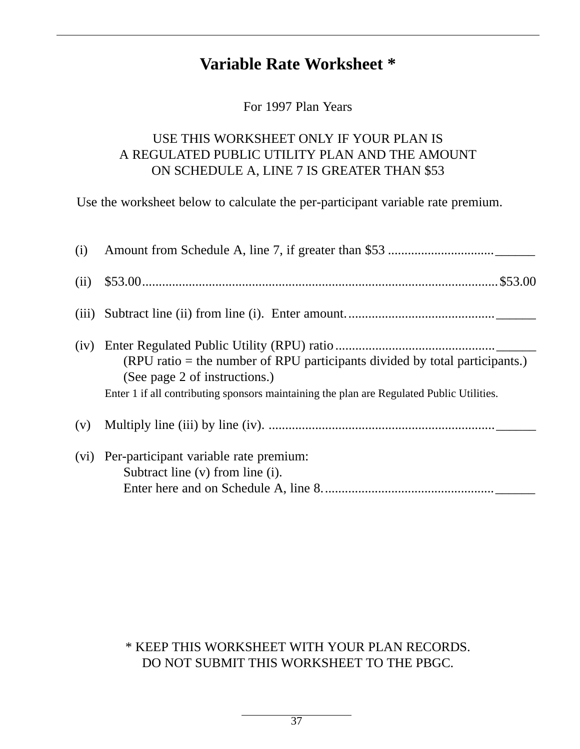# **Variable Rate Worksheet \***

## For 1997 Plan Years

## USE THIS WORKSHEET ONLY IF YOUR PLAN IS A REGULATED PUBLIC UTILITY PLAN AND THE AMOUNT ON SCHEDULE A, LINE 7 IS GREATER THAN \$53

Use the worksheet below to calculate the per-participant variable rate premium.

| (i)   |                                                                                                                                                                                                             |
|-------|-------------------------------------------------------------------------------------------------------------------------------------------------------------------------------------------------------------|
| (ii)  |                                                                                                                                                                                                             |
| (iii) |                                                                                                                                                                                                             |
| (iv)  | $(RPU ratio = the number of RPU participants divided by total participants.)$<br>(See page 2 of instructions.)<br>Enter 1 if all contributing sponsors maintaining the plan are Regulated Public Utilities. |
| (v)   |                                                                                                                                                                                                             |
|       | (vi) Per-participant variable rate premium:<br>Subtract line (v) from line (i).                                                                                                                             |

# \* KEEP THIS WORKSHEET WITH YOUR PLAN RECORDS. DO NOT SUBMIT THIS WORKSHEET TO THE PBGC.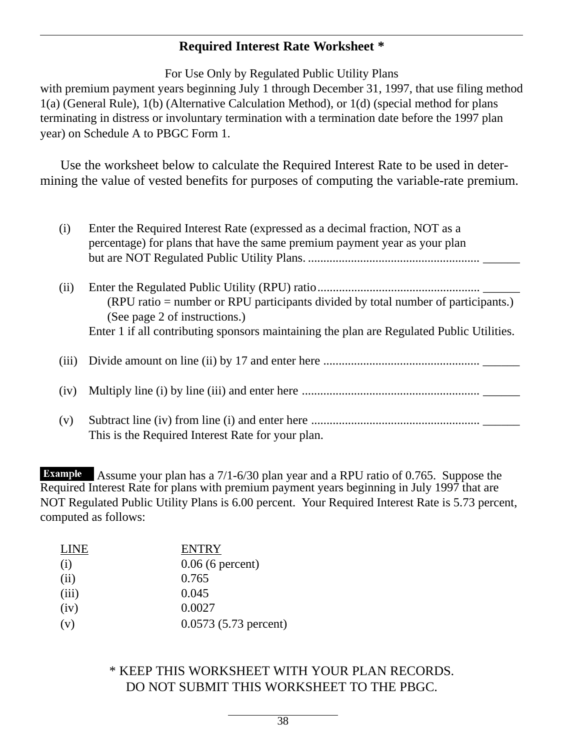## **Required Interest Rate Worksheet \***

For Use Only by Regulated Public Utility Plans

with premium payment years beginning July 1 through December 31, 1997, that use filing method 1(a) (General Rule), 1(b) (Alternative Calculation Method), or 1(d) (special method for plans terminating in distress or involuntary termination with a termination date before the 1997 plan year) on Schedule A to PBGC Form 1.

Use the worksheet below to calculate the Required Interest Rate to be used in determining the value of vested benefits for purposes of computing the variable-rate premium.

| (i)   | Enter the Required Interest Rate (expressed as a decimal fraction, NOT as a<br>percentage) for plans that have the same premium payment year as your plan                                                       |
|-------|-----------------------------------------------------------------------------------------------------------------------------------------------------------------------------------------------------------------|
| (ii)  | (RPU ratio = number or RPU participants divided by total number of participants.)<br>(See page 2 of instructions.)<br>Enter 1 if all contributing sponsors maintaining the plan are Regulated Public Utilities. |
| (iii) |                                                                                                                                                                                                                 |
| (iv)  |                                                                                                                                                                                                                 |
| (v)   | This is the Required Interest Rate for your plan.                                                                                                                                                               |

 Assume your plan has a 7/1-6/30 plan year and a RPU ratio of 0.765. Suppose the Required Interest Rate for plans with premium payment years beginning in July 1997 that are NOT Regulated Public Utility Plans is 6.00 percent. Your Required Interest Rate is 5.73 percent, computed as follows:

| <b>LINE</b> | <b>ENTRY</b>            |
|-------------|-------------------------|
| (i)         | $0.06$ (6 percent)      |
| (ii)        | 0.765                   |
| (iii)       | 0.045                   |
| (iv)        | 0.0027                  |
| (v)         | $0.0573$ (5.73 percent) |

## \* KEEP THIS WORKSHEET WITH YOUR PLAN RECORDS. DO NOT SUBMIT THIS WORKSHEET TO THE PBGC.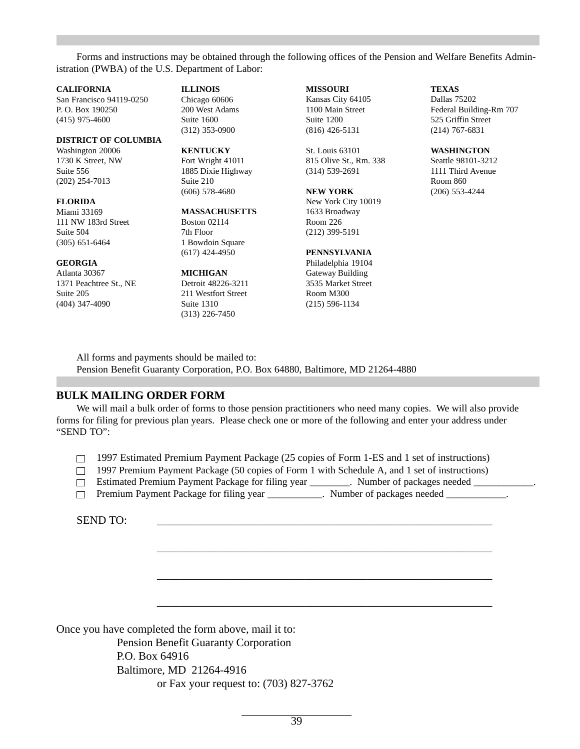Forms and instructions may be obtained through the following offices of the Pension and Welfare Benefits Administration (PWBA) of the U.S. Department of Labor:

**CALIFORNIA** San Francisco 94119-0250 P. O. Box 190250 (415) 975-4600

**DISTRICT OF COLUMBIA** Washington 20006 1730 K Street, NW Suite 556 (202) 254-7013

**FLORIDA** Miami 33169 111 NW 183rd Street Suite 504

(305) 651-6464 **GEORGIA**

Atlanta 30367 1371 Peachtree St., NE Suite 205 (404) 347-4090

**ILLINOIS** Chicago 60606 200 West Adams Suite 1600 (312) 353-0900

**KENTUCKY** Fort Wright 41011 1885 Dixie Highway Suite 210 (606) 578-4680

### **MASSACHUSETTS**

Boston 02114 7th Floor 1 Bowdoin Square (617) 424-4950

### **MICHIGAN**

Detroit 48226-3211 211 Westfort Street Suite 1310 (313) 226-7450

**MISSOURI** Kansas City 64105 1100 Main Street Suite 1200 (816) 426-5131

St. Louis 63101 815 Olive St., Rm. 338 (314) 539-2691

**NEW YORK** New York City 10019 1633 Broadway Room 226 (212) 399-5191

### **PENNSYLVANIA**

Philadelphia 19104 Gateway Building 3535 Market Street Room M300 (215) 596-1134

**TEXAS**

Dallas 75202 Federal Building-Rm 707 525 Griffin Street (214) 767-6831

### **WASHINGTON**

Seattle 98101-3212 1111 Third Avenue Room 860 (206) 553-4244

All forms and payments should be mailed to: Pension Benefit Guaranty Corporation, P.O. Box 64880, Baltimore, MD 21264-4880

### **BULK MAILING ORDER FORM**

We will mail a bulk order of forms to those pension practitioners who need many copies. We will also provide forms for filing for previous plan years. Please check one or more of the following and enter your address under "SEND TO":

 $\Box$ 1997 Estimated Premium Payment Package (25 copies of Form 1-ES and 1 set of instructions)

1997 Premium Payment Package (50 copies of Form 1 with Schedule A, and 1 set of instructions)  $\Box$ 

\_\_\_\_\_\_\_\_\_\_\_\_\_\_\_\_\_\_\_\_\_\_\_\_\_\_\_\_\_\_\_\_\_\_\_\_\_\_\_\_\_\_\_\_\_\_\_\_\_\_\_\_\_\_\_\_\_\_\_

\_\_\_\_\_\_\_\_\_\_\_\_\_\_\_\_\_\_\_\_\_\_\_\_\_\_\_\_\_\_\_\_\_\_\_\_\_\_\_\_\_\_\_\_\_\_\_\_\_\_\_\_\_\_\_\_\_\_\_

\_\_\_\_\_\_\_\_\_\_\_\_\_\_\_\_\_\_\_\_\_\_\_\_\_\_\_\_\_\_\_\_\_\_\_\_\_\_\_\_\_\_\_\_\_\_\_\_\_\_\_\_\_\_\_\_\_\_\_

 $\Box$ Estimated Premium Payment Package for filing year \_\_\_\_\_\_\_\_. Number of packages needed \_\_\_\_\_\_\_\_\_\_.

Premium Payment Package for filing year \_\_\_\_\_\_\_\_\_\_\_. Number of packages needed \_  $\Box$ 

SEND TO: \_\_\_\_\_\_\_\_\_\_\_\_\_\_\_\_\_\_\_\_\_\_\_\_\_\_\_\_\_\_\_\_\_\_\_\_\_\_\_\_\_\_\_\_\_\_\_\_\_\_\_\_\_\_\_\_\_\_\_

Once you have completed the form above, mail it to: Pension Benefit Guaranty Corporation P.O. Box 64916 Baltimore, MD 21264-4916 or Fax your request to: (703) 827-3762